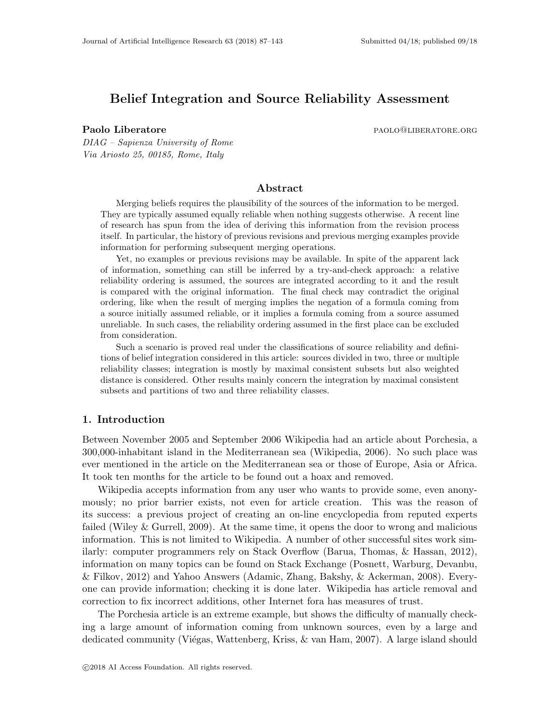# **Belief Integration and Source Reliability Assessment**

**Paolo Liberatore parameters parameters parameters parameters parameters parameters parameters parameters** 

*DIAG – Sapienza University of Rome Via Ariosto 25, 00185, Rome, Italy*

## **Abstract**

Merging beliefs requires the plausibility of the sources of the information to be merged. They are typically assumed equally reliable when nothing suggests otherwise. A recent line of research has spun from the idea of deriving this information from the revision process itself. In particular, the history of previous revisions and previous merging examples provide information for performing subsequent merging operations.

Yet, no examples or previous revisions may be available. In spite of the apparent lack of information, something can still be inferred by a try-and-check approach: a relative reliability ordering is assumed, the sources are integrated according to it and the result is compared with the original information. The final check may contradict the original ordering, like when the result of merging implies the negation of a formula coming from a source initially assumed reliable, or it implies a formula coming from a source assumed unreliable. In such cases, the reliability ordering assumed in the first place can be excluded from consideration.

Such a scenario is proved real under the classifications of source reliability and definitions of belief integration considered in this article: sources divided in two, three or multiple reliability classes; integration is mostly by maximal consistent subsets but also weighted distance is considered. Other results mainly concern the integration by maximal consistent subsets and partitions of two and three reliability classes.

## **1. Introduction**

Between November 2005 and September 2006 Wikipedia had an article about Porchesia, a 300,000-inhabitant island in the Mediterranean sea (Wikipedia, 2006). No such place was ever mentioned in the article on the Mediterranean sea or those of Europe, Asia or Africa. It took ten months for the article to be found out a hoax and removed.

Wikipedia accepts information from any user who wants to provide some, even anonymously; no prior barrier exists, not even for article creation. This was the reason of its success: a previous project of creating an on-line encyclopedia from reputed experts failed (Wiley & Gurrell, 2009). At the same time, it opens the door to wrong and malicious information. This is not limited to Wikipedia. A number of other successful sites work similarly: computer programmers rely on Stack Overflow (Barua, Thomas, & Hassan, 2012), information on many topics can be found on Stack Exchange (Posnett, Warburg, Devanbu, & Filkov, 2012) and Yahoo Answers (Adamic, Zhang, Bakshy, & Ackerman, 2008). Everyone can provide information; checking it is done later. Wikipedia has article removal and correction to fix incorrect additions, other Internet fora has measures of trust.

The Porchesia article is an extreme example, but shows the difficulty of manually checking a large amount of information coming from unknown sources, even by a large and dedicated community (Viégas, Wattenberg, Kriss, & van Ham, 2007). A large island should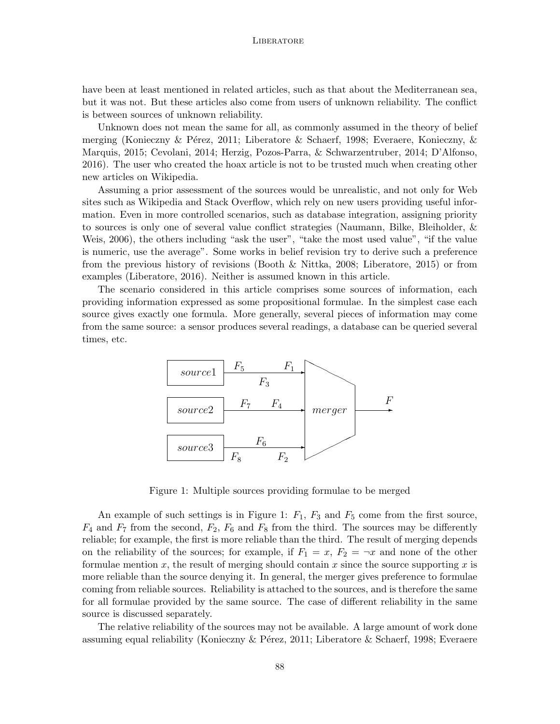have been at least mentioned in related articles, such as that about the Mediterranean sea, but it was not. But these articles also come from users of unknown reliability. The conflict is between sources of unknown reliability.

Unknown does not mean the same for all, as commonly assumed in the theory of belief merging (Konieczny & Pérez, 2011; Liberatore & Schaerf, 1998; Everaere, Konieczny, & Marquis, 2015; Cevolani, 2014; Herzig, Pozos-Parra, & Schwarzentruber, 2014; D'Alfonso, 2016). The user who created the hoax article is not to be trusted much when creating other new articles on Wikipedia.

Assuming a prior assessment of the sources would be unrealistic, and not only for Web sites such as Wikipedia and Stack Overflow, which rely on new users providing useful information. Even in more controlled scenarios, such as database integration, assigning priority to sources is only one of several value conflict strategies (Naumann, Bilke, Bleiholder, & Weis, 2006), the others including "ask the user", "take the most used value", "if the value is numeric, use the average". Some works in belief revision try to derive such a preference from the previous history of revisions (Booth & Nittka, 2008; Liberatore, 2015) or from examples (Liberatore, 2016). Neither is assumed known in this article.

The scenario considered in this article comprises some sources of information, each providing information expressed as some propositional formulae. In the simplest case each source gives exactly one formula. More generally, several pieces of information may come from the same source: a sensor produces several readings, a database can be queried several times, etc.



Figure 1: Multiple sources providing formulae to be merged

An example of such settings is in Figure 1:  $F_1$ ,  $F_3$  and  $F_5$  come from the first source,  $F_4$  and  $F_7$  from the second,  $F_2$ ,  $F_6$  and  $F_8$  from the third. The sources may be differently reliable; for example, the first is more reliable than the third. The result of merging depends on the reliability of the sources; for example, if  $F_1 = x$ ,  $F_2 = -x$  and none of the other formulae mention *x*, the result of merging should contain *x* since the source supporting *x* is more reliable than the source denying it. In general, the merger gives preference to formulae coming from reliable sources. Reliability is attached to the sources, and is therefore the same for all formulae provided by the same source. The case of different reliability in the same source is discussed separately.

The relative reliability of the sources may not be available. A large amount of work done assuming equal reliability (Konieczny & Pérez, 2011; Liberatore & Schaerf, 1998; Everaere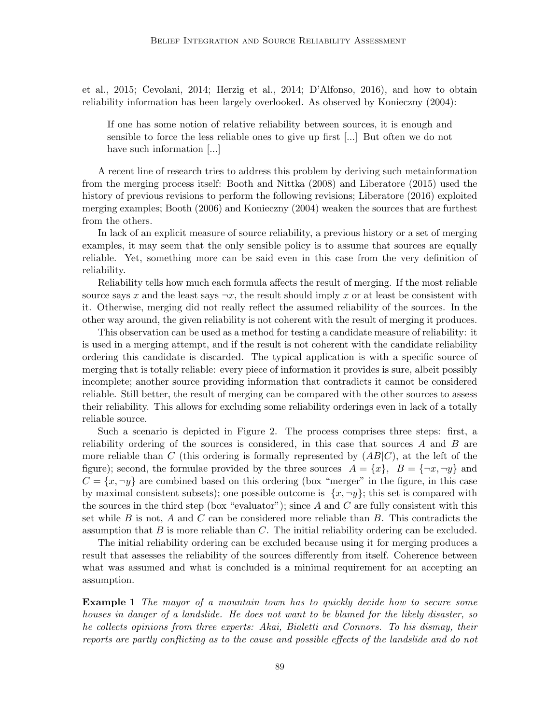et al., 2015; Cevolani, 2014; Herzig et al., 2014; D'Alfonso, 2016), and how to obtain reliability information has been largely overlooked. As observed by Konieczny (2004):

If one has some notion of relative reliability between sources, it is enough and sensible to force the less reliable ones to give up first [...] But often we do not have such information [...]

A recent line of research tries to address this problem by deriving such metainformation from the merging process itself: Booth and Nittka (2008) and Liberatore (2015) used the history of previous revisions to perform the following revisions; Liberatore (2016) exploited merging examples; Booth (2006) and Konieczny (2004) weaken the sources that are furthest from the others.

In lack of an explicit measure of source reliability, a previous history or a set of merging examples, it may seem that the only sensible policy is to assume that sources are equally reliable. Yet, something more can be said even in this case from the very definition of reliability.

Reliability tells how much each formula affects the result of merging. If the most reliable source says *x* and the least says  $\neg x$ , the result should imply *x* or at least be consistent with it. Otherwise, merging did not really reflect the assumed reliability of the sources. In the other way around, the given reliability is not coherent with the result of merging it produces.

This observation can be used as a method for testing a candidate measure of reliability: it is used in a merging attempt, and if the result is not coherent with the candidate reliability ordering this candidate is discarded. The typical application is with a specific source of merging that is totally reliable: every piece of information it provides is sure, albeit possibly incomplete; another source providing information that contradicts it cannot be considered reliable. Still better, the result of merging can be compared with the other sources to assess their reliability. This allows for excluding some reliability orderings even in lack of a totally reliable source.

Such a scenario is depicted in Figure 2. The process comprises three steps: first, a reliability ordering of the sources is considered, in this case that sources *A* and *B* are more reliable than *C* (this ordering is formally represented by (*AB|C*), at the left of the figure); second, the formulae provided by the three sources  $A = \{x\}$ ,  $B = \{\neg x, \neg y\}$  and  $C = \{x, \neg y\}$  are combined based on this ordering (box "merger" in the figure, in this case by maximal consistent subsets); one possible outcome is  $\{x, \neg y\}$ ; this set is compared with the sources in the third step (box "evaluator"); since *A* and *C* are fully consistent with this set while *B* is not, *A* and *C* can be considered more reliable than *B*. This contradicts the assumption that *B* is more reliable than *C*. The initial reliability ordering can be excluded.

The initial reliability ordering can be excluded because using it for merging produces a result that assesses the reliability of the sources differently from itself. Coherence between what was assumed and what is concluded is a minimal requirement for an accepting an assumption.

**Example 1** *The mayor of a mountain town has to quickly decide how to secure some houses in danger of a landslide. He does not want to be blamed for the likely disaster, so he collects opinions from three experts: Akai, Bialetti and Connors. To his dismay, their reports are partly conflicting as to the cause and possible effects of the landslide and do not*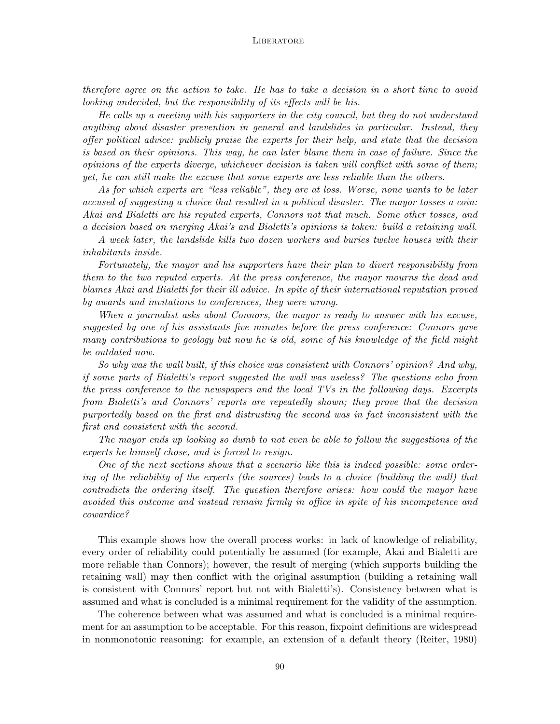*therefore agree on the action to take. He has to take a decision in a short time to avoid looking undecided, but the responsibility of its effects will be his.*

*He calls up a meeting with his supporters in the city council, but they do not understand anything about disaster prevention in general and landslides in particular. Instead, they offer political advice: publicly praise the experts for their help, and state that the decision is based on their opinions. This way, he can later blame them in case of failure. Since the opinions of the experts diverge, whichever decision is taken will conflict with some of them; yet, he can still make the excuse that some experts are less reliable than the others.*

*As for which experts are "less reliable", they are at loss. Worse, none wants to be later accused of suggesting a choice that resulted in a political disaster. The mayor tosses a coin: Akai and Bialetti are his reputed experts, Connors not that much. Some other tosses, and a decision based on merging Akai's and Bialetti's opinions is taken: build a retaining wall.*

*A week later, the landslide kills two dozen workers and buries twelve houses with their inhabitants inside.*

*Fortunately, the mayor and his supporters have their plan to divert responsibility from them to the two reputed experts. At the press conference, the mayor mourns the dead and blames Akai and Bialetti for their ill advice. In spite of their international reputation proved by awards and invitations to conferences, they were wrong.*

*When a journalist asks about Connors, the mayor is ready to answer with his excuse, suggested by one of his assistants five minutes before the press conference: Connors gave many contributions to geology but now he is old, some of his knowledge of the field might be outdated now.*

*So why was the wall built, if this choice was consistent with Connors' opinion? And why, if some parts of Bialetti's report suggested the wall was useless? The questions echo from the press conference to the newspapers and the local TVs in the following days. Excerpts from Bialetti's and Connors' reports are repeatedly shown; they prove that the decision purportedly based on the first and distrusting the second was in fact inconsistent with the first and consistent with the second.*

*The mayor ends up looking so dumb to not even be able to follow the suggestions of the experts he himself chose, and is forced to resign.*

*One of the next sections shows that a scenario like this is indeed possible: some ordering of the reliability of the experts (the sources) leads to a choice (building the wall) that contradicts the ordering itself. The question therefore arises: how could the mayor have avoided this outcome and instead remain firmly in office in spite of his incompetence and cowardice?*

This example shows how the overall process works: in lack of knowledge of reliability, every order of reliability could potentially be assumed (for example, Akai and Bialetti are more reliable than Connors); however, the result of merging (which supports building the retaining wall) may then conflict with the original assumption (building a retaining wall is consistent with Connors' report but not with Bialetti's). Consistency between what is assumed and what is concluded is a minimal requirement for the validity of the assumption.

The coherence between what was assumed and what is concluded is a minimal requirement for an assumption to be acceptable. For this reason, fixpoint definitions are widespread in nonmonotonic reasoning: for example, an extension of a default theory (Reiter, 1980)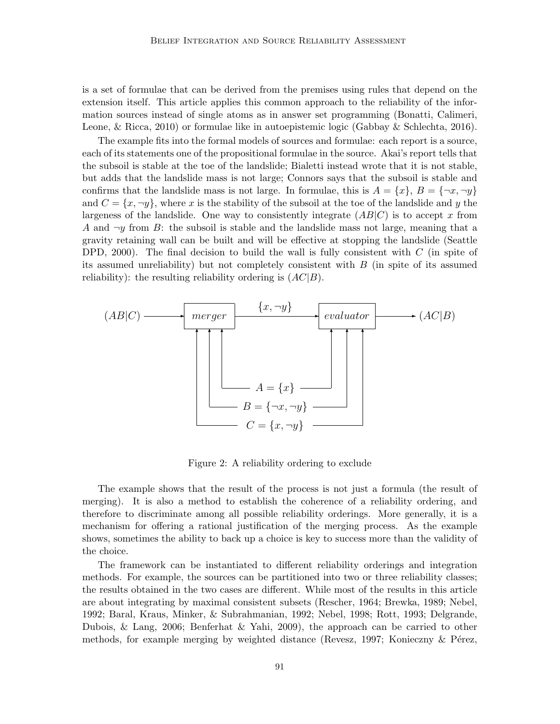is a set of formulae that can be derived from the premises using rules that depend on the extension itself. This article applies this common approach to the reliability of the information sources instead of single atoms as in answer set programming (Bonatti, Calimeri, Leone, & Ricca, 2010) or formulae like in autoepistemic logic (Gabbay & Schlechta, 2016).

The example fits into the formal models of sources and formulae: each report is a source, each of its statements one of the propositional formulae in the source. Akai's report tells that the subsoil is stable at the toe of the landslide; Bialetti instead wrote that it is not stable, but adds that the landslide mass is not large; Connors says that the subsoil is stable and confirms that the landslide mass is not large. In formulae, this is  $A = \{x\}, B = \{\neg x, \neg y\}$ and  $C = \{x, \neg y\}$ , where *x* is the stability of the subsoil at the toe of the landslide and *y* the largeness of the landslide. One way to consistently integrate  $(AB|C)$  is to accept *x* from A and  $\neg y$  from B: the subsoil is stable and the landslide mass not large, meaning that a gravity retaining wall can be built and will be effective at stopping the landslide (Seattle DPD, 2000). The final decision to build the wall is fully consistent with *C* (in spite of its assumed unreliability) but not completely consistent with *B* (in spite of its assumed reliability): the resulting reliability ordering is (*AC|B*).



Figure 2: A reliability ordering to exclude

The example shows that the result of the process is not just a formula (the result of merging). It is also a method to establish the coherence of a reliability ordering, and therefore to discriminate among all possible reliability orderings. More generally, it is a mechanism for offering a rational justification of the merging process. As the example shows, sometimes the ability to back up a choice is key to success more than the validity of the choice.

The framework can be instantiated to different reliability orderings and integration methods. For example, the sources can be partitioned into two or three reliability classes; the results obtained in the two cases are different. While most of the results in this article are about integrating by maximal consistent subsets (Rescher, 1964; Brewka, 1989; Nebel, 1992; Baral, Kraus, Minker, & Subrahmanian, 1992; Nebel, 1998; Rott, 1993; Delgrande, Dubois, & Lang, 2006; Benferhat & Yahi, 2009), the approach can be carried to other methods, for example merging by weighted distance (Revesz, 1997; Konieczny  $\&$  Pérez,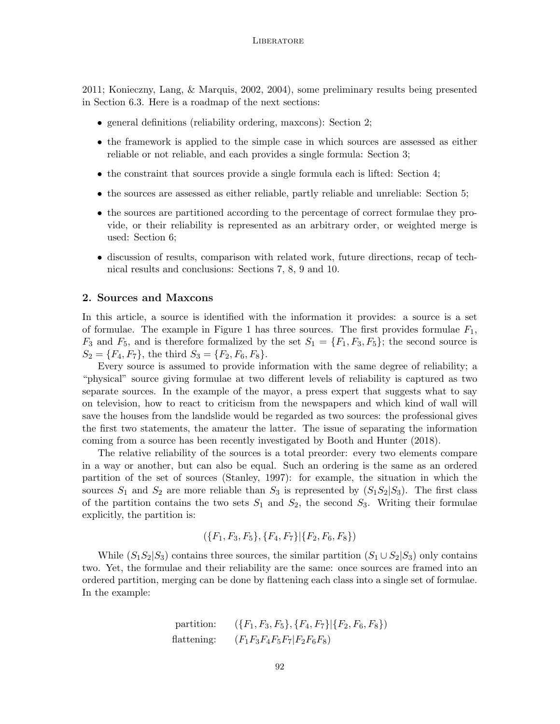2011; Konieczny, Lang, & Marquis, 2002, 2004), some preliminary results being presented in Section 6.3. Here is a roadmap of the next sections:

- general definitions (reliability ordering, maxcons): Section 2;
- the framework is applied to the simple case in which sources are assessed as either reliable or not reliable, and each provides a single formula: Section 3;
- the constraint that sources provide a single formula each is lifted: Section 4;
- the sources are assessed as either reliable, partly reliable and unreliable: Section 5;
- the sources are partitioned according to the percentage of correct formulae they provide, or their reliability is represented as an arbitrary order, or weighted merge is used: Section 6;
- discussion of results, comparison with related work, future directions, recap of technical results and conclusions: Sections 7, 8, 9 and 10.

## **2. Sources and Maxcons**

In this article, a source is identified with the information it provides: a source is a set of formulae. The example in Figure 1 has three sources. The first provides formulae *F*1,  $F_3$  and  $F_5$ , and is therefore formalized by the set  $S_1 = \{F_1, F_3, F_5\}$ ; the second source is  $S_2 = \{F_4, F_7\}$ , the third  $S_3 = \{F_2, F_6, F_8\}$ .

Every source is assumed to provide information with the same degree of reliability; a "physical" source giving formulae at two different levels of reliability is captured as two separate sources. In the example of the mayor, a press expert that suggests what to say on television, how to react to criticism from the newspapers and which kind of wall will save the houses from the landslide would be regarded as two sources: the professional gives the first two statements, the amateur the latter. The issue of separating the information coming from a source has been recently investigated by Booth and Hunter (2018).

The relative reliability of the sources is a total preorder: every two elements compare in a way or another, but can also be equal. Such an ordering is the same as an ordered partition of the set of sources (Stanley, 1997): for example, the situation in which the sources  $S_1$  and  $S_2$  are more reliable than  $S_3$  is represented by  $(S_1S_2|S_3)$ . The first class of the partition contains the two sets  $S_1$  and  $S_2$ , the second  $S_3$ . Writing their formulae explicitly, the partition is:

$$
(\{F_1, F_3, F_5\}, \{F_4, F_7\}|\{F_2, F_6, F_8\})
$$

While  $(S_1S_2|S_3)$  contains three sources, the similar partition  $(S_1 \cup S_2|S_3)$  only contains two. Yet, the formulae and their reliability are the same: once sources are framed into an ordered partition, merging can be done by flattening each class into a single set of formulae. In the example:

partition: 
$$
(\{F_1, F_3, F_5\}, \{F_4, F_7\} | \{F_2, F_6, F_8\})
$$
  
flattening:  $(F_1F_3F_4F_5F_7 | F_2F_6F_8)$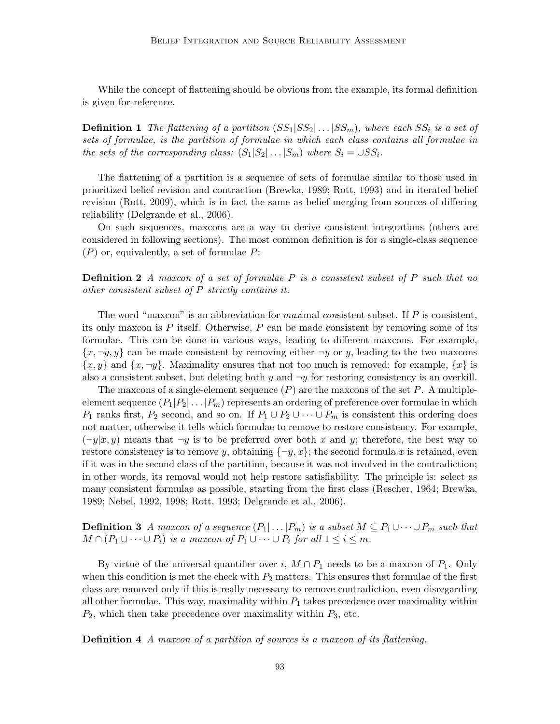While the concept of flattening should be obvious from the example, its formal definition is given for reference.

**Definition 1** The flattening of a partition  $(SS_1|SS_2|\dots|SS_m)$ , where each  $SS_i$  is a set of *sets of formulae, is the partition of formulae in which each class contains all formulae in the sets of the corresponding class:*  $(S_1|S_2| \dots | S_m)$  *where*  $S_i = \bigcup SS_i$ *.* 

The flattening of a partition is a sequence of sets of formulae similar to those used in prioritized belief revision and contraction (Brewka, 1989; Rott, 1993) and in iterated belief revision (Rott, 2009), which is in fact the same as belief merging from sources of differing reliability (Delgrande et al., 2006).

On such sequences, maxcons are a way to derive consistent integrations (others are considered in following sections). The most common definition is for a single-class sequence (*P*) or, equivalently, a set of formulae *P*:

**Definition 2** *A maxcon of a set of formulae P is a consistent subset of P such that no other consistent subset of P strictly contains it.*

The word "maxcon" is an abbreviation for *max*imal *con*sistent subset. If *P* is consistent, its only maxcon is *P* itself. Otherwise, *P* can be made consistent by removing some of its formulae. This can be done in various ways, leading to different maxcons. For example,  $\{x, \neg y, y\}$  can be made consistent by removing either  $\neg y$  or *y*, leading to the two maxcons  $\{x, y\}$  and  $\{x, \neg y\}$ . Maximality ensures that not too much is removed: for example,  $\{x\}$  is also a consistent subset, but deleting both  $y$  and  $\neg y$  for restoring consistency is an overkill.

The maxcons of a single-element sequence (*P*) are the maxcons of the set *P*. A multipleelement sequence  $(P_1|P_2|\dots|P_m)$  represents an ordering of preference over formulae in which *P*<sub>1</sub> ranks first, *P*<sub>2</sub> second, and so on. If  $P_1 \cup P_2 \cup \cdots \cup P_m$  is consistent this ordering does not matter, otherwise it tells which formulae to remove to restore consistency. For example,  $(\neg y|x, y)$  means that  $\neg y$  is to be preferred over both x and y; therefore, the best way to restore consistency is to remove *y*, obtaining  ${\lbrace \neg y, x \rbrace}$ ; the second formula *x* is retained, even if it was in the second class of the partition, because it was not involved in the contradiction; in other words, its removal would not help restore satisfiability. The principle is: select as many consistent formulae as possible, starting from the first class (Rescher, 1964; Brewka, 1989; Nebel, 1992, 1998; Rott, 1993; Delgrande et al., 2006).

**Definition 3** *A maxcon of a sequence*  $(P_1 | \ldots | P_m)$  *is a subset*  $M \subseteq P_1 \cup \cdots \cup P_m$  *such that*  $M \cap (P_1 \cup \cdots \cup P_i)$  *is a maxcon of*  $P_1 \cup \cdots \cup P_i$  *for all*  $1 \leq i \leq m$ *.* 

By virtue of the universal quantifier over *i*,  $M \cap P_1$  needs to be a maxcon of  $P_1$ . Only when this condition is met the check with  $P_2$  matters. This ensures that formulae of the first class are removed only if this is really necessary to remove contradiction, even disregarding all other formulae. This way, maximality within  $P_1$  takes precedence over maximality within *P*2, which then take precedence over maximality within *P*3, etc.

**Definition 4** *A maxcon of a partition of sources is a maxcon of its flattening.*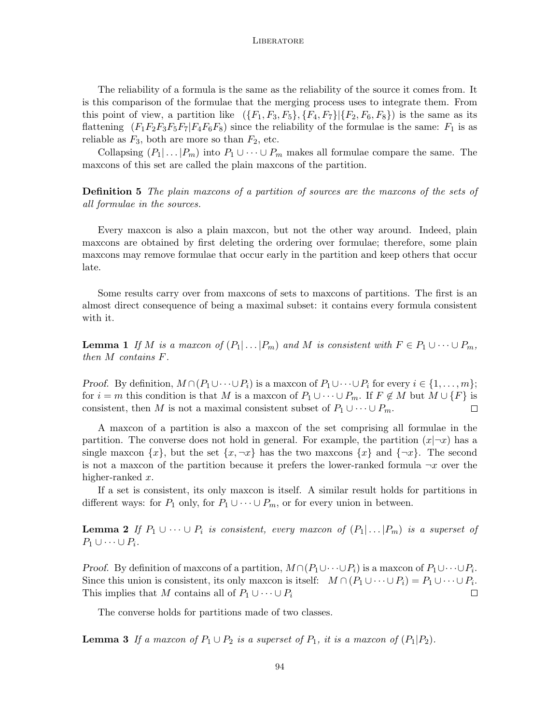The reliability of a formula is the same as the reliability of the source it comes from. It is this comparison of the formulae that the merging process uses to integrate them. From this point of view, a partition like  $({F_1, F_3, F_5}, {F_4, F_7} | {F_2, F_6, F_8})$  is the same as its flattening  $(F_1F_2F_3F_5F_7|F_4F_6F_8)$  since the reliability of the formulae is the same:  $F_1$  is as reliable as  $F_3$ , both are more so than  $F_2$ , etc.

Collapsing  $(P_1 | \ldots | P_m)$  into  $P_1 \cup \cdots \cup P_m$  makes all formulae compare the same. The maxcons of this set are called the plain maxcons of the partition.

**Definition 5** *The plain maxcons of a partition of sources are the maxcons of the sets of all formulae in the sources.*

Every maxcon is also a plain maxcon, but not the other way around. Indeed, plain maxcons are obtained by first deleting the ordering over formulae; therefore, some plain maxcons may remove formulae that occur early in the partition and keep others that occur late.

Some results carry over from maxcons of sets to maxcons of partitions. The first is an almost direct consequence of being a maximal subset: it contains every formula consistent with it.

**Lemma 1** If M is a maxion of  $(P_1 | ... | P_m)$  and M is consistent with  $F \in P_1 \cup ... \cup P_m$ , *then M contains F.*

*Proof.* By definition,  $M \cap (P_1 \cup \cdots \cup P_i)$  is a maxcon of  $P_1 \cup \cdots \cup P_i$  for every  $i \in \{1, \ldots, m\}$ ; for  $i = m$  this condition is that *M* is a maxcon of  $P_1 \cup \cdots \cup P_m$ . If  $F \notin M$  but  $M \cup \{F\}$  is consistent, then *M* is not a maximal consistent subset of  $P_1 \cup \cdots \cup P_m$ .  $\Box$ 

A maxcon of a partition is also a maxcon of the set comprising all formulae in the partition. The converse does not hold in general. For example, the partition  $(x|\neg x)$  has a single maxcon  $\{x\}$ , but the set  $\{x, \neg x\}$  has the two maxcons  $\{x\}$  and  $\{\neg x\}$ . The second is not a maxcon of the partition because it prefers the lower-ranked formula  $\neg x$  over the higher-ranked *x*.

If a set is consistent, its only maxcon is itself. A similar result holds for partitions in different ways: for  $P_1$  only, for  $P_1 \cup \cdots \cup P_m$ , or for every union in between.

**Lemma 2** *If*  $P_1 ∪ ⋯ ∪ P_i$  *is consistent, every maxcon of*  $(P_1 | … | P_m)$  *is a superset of*  $P_1 \cup \cdots \cup P_i$ *.* 

*Proof.* By definition of maxcons of a partition,  $M \cap (P_1 \cup \cdots \cup P_i)$  is a maxcon of  $P_1 \cup \cdots \cup P_i$ . Since this union is consistent, its only maxcon is itself:  $M \cap (P_1 \cup \cdots \cup P_i) = P_1 \cup \cdots \cup P_i$ . This implies that *M* contains all of  $P_1 \cup \cdots \cup P_i$  $\Box$ 

The converse holds for partitions made of two classes.

**Lemma 3** If a maxcon of  $P_1 \cup P_2$  is a superset of  $P_1$ , it is a maxcon of  $(P_1 | P_2)$ .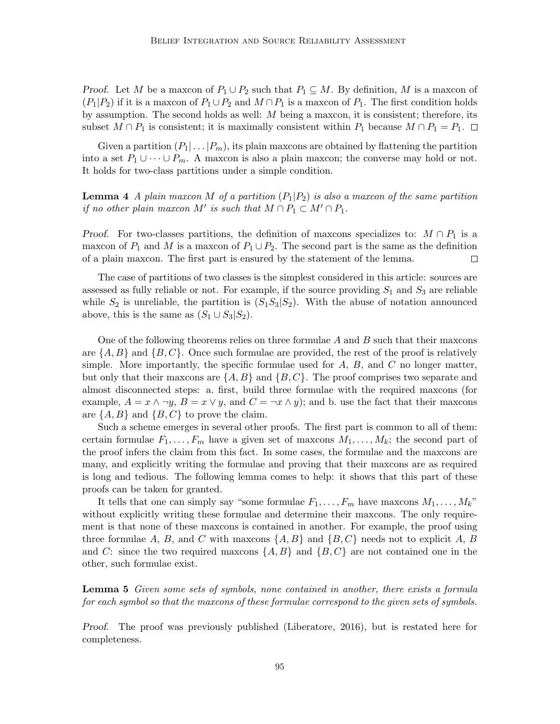*Proof.* Let *M* be a maxcon of  $P_1 \cup P_2$  such that  $P_1 \subseteq M$ . By definition, M is a maxcon of  $(P_1|P_2)$  if it is a maxcon of  $P_1 \cup P_2$  and  $M \cap P_1$  is a maxcon of  $P_1$ . The first condition holds by assumption. The second holds as well: *M* being a maxcon, it is consistent; therefore, its subset  $M \cap P_1$  is consistent; it is maximally consistent within  $P_1$  because  $M \cap P_1 = P_1$ .  $\Box$ 

Given a partition  $(P_1 | ... | P_m)$ , its plain maxcons are obtained by flattening the partition into a set  $P_1 \cup \cdots \cup P_m$ . A maxcon is also a plain maxcon; the converse may hold or not. It holds for two-class partitions under a simple condition.

# **Lemma 4** *A plain maxcon M of a partition*  $(P_1|P_2)$  *is also a maxcon of the same partition if no other plain maxcon*  $M'$  *is such that*  $M \cap P_1 \subset M' \cap P_1$ .

*Proof.* For two-classes partitions, the definition of maxcons specializes to:  $M \cap P_1$  is a maxcon of  $P_1$  and M is a maxcon of  $P_1 \cup P_2$ . The second part is the same as the definition of a plain maxcon. The first part is ensured by the statement of the lemma.  $\Box$ 

The case of partitions of two classes is the simplest considered in this article: sources are assessed as fully reliable or not. For example, if the source providing *S*<sup>1</sup> and *S*<sup>3</sup> are reliable while  $S_2$  is unreliable, the partition is  $(S_1S_3|S_2)$ . With the abuse of notation announced above, this is the same as  $(S_1 \cup S_3 | S_2)$ .

One of the following theorems relies on three formulae *A* and *B* such that their maxcons are  $\{A, B\}$  and  $\{B, C\}$ . Once such formulae are provided, the rest of the proof is relatively simple. More importantly, the specific formulae used for *A*, *B*, and *C* no longer matter, but only that their maxcons are  $\{A, B\}$  and  $\{B, C\}$ . The proof comprises two separate and almost disconnected steps: a. first, build three formulae with the required maxcons (for example,  $A = x \land \neg y$ ,  $B = x \lor y$ , and  $C = \neg x \land y$ ; and b. use the fact that their maxcons are  $\{A, B\}$  and  $\{B, C\}$  to prove the claim.

Such a scheme emerges in several other proofs. The first part is common to all of them: certain formulae  $F_1, \ldots, F_m$  have a given set of maxcons  $M_1, \ldots, M_k$ ; the second part of the proof infers the claim from this fact. In some cases, the formulae and the maxcons are many, and explicitly writing the formulae and proving that their maxcons are as required is long and tedious. The following lemma comes to help: it shows that this part of these proofs can be taken for granted.

It tells that one can simply say "some formulae  $F_1, \ldots, F_m$  have maxcons  $M_1, \ldots, M_k$ " without explicitly writing these formulae and determine their maxcons. The only requirement is that none of these maxcons is contained in another. For example, the proof using three formulae *A*, *B*, and *C* with maxcons  $\{A, B\}$  and  $\{B, C\}$  needs not to explicit *A*, *B* and *C*: since the two required maxcons *{A, B}* and *{B, C}* are not contained one in the other, such formulae exist.

**Lemma 5** *Given some sets of symbols, none contained in another, there exists a formula for each symbol so that the maxcons of these formulae correspond to the given sets of symbols.*

*Proof.* The proof was previously published (Liberatore, 2016), but is restated here for completeness.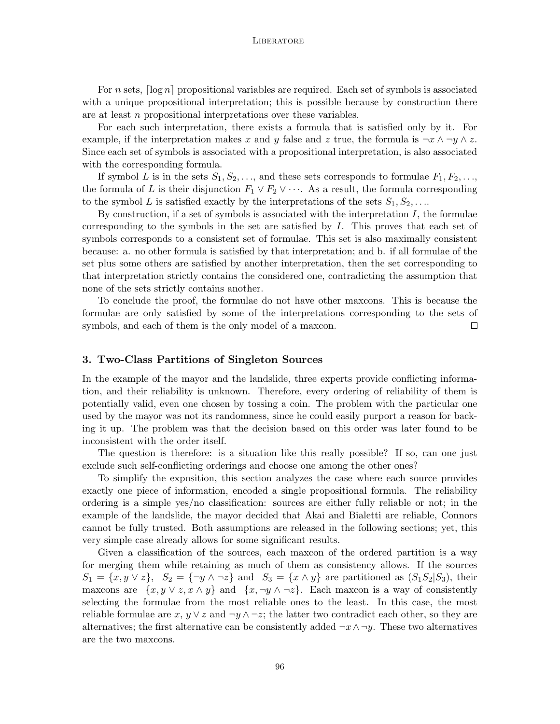For *n* sets,  $\lceil \log n \rceil$  propositional variables are required. Each set of symbols is associated with a unique propositional interpretation; this is possible because by construction there are at least *n* propositional interpretations over these variables.

For each such interpretation, there exists a formula that is satisfied only by it. For example, if the interpretation makes *x* and *y* false and *z* true, the formula is  $\neg x \wedge \neg y \wedge z$ . Since each set of symbols is associated with a propositional interpretation, is also associated with the corresponding formula.

If symbol *L* is in the sets  $S_1, S_2, \ldots$ , and these sets corresponds to formulae  $F_1, F_2, \ldots$ , the formula of *L* is their disjunction  $F_1 \vee F_2 \vee \cdots$ . As a result, the formula corresponding to the symbol *L* is satisfied exactly by the interpretations of the sets  $S_1, S_2, \ldots$ 

By construction, if a set of symbols is associated with the interpretation *I*, the formulae corresponding to the symbols in the set are satisfied by *I*. This proves that each set of symbols corresponds to a consistent set of formulae. This set is also maximally consistent because: a. no other formula is satisfied by that interpretation; and b. if all formulae of the set plus some others are satisfied by another interpretation, then the set corresponding to that interpretation strictly contains the considered one, contradicting the assumption that none of the sets strictly contains another.

To conclude the proof, the formulae do not have other maxcons. This is because the formulae are only satisfied by some of the interpretations corresponding to the sets of symbols, and each of them is the only model of a maxcon.  $\Box$ 

## **3. Two-Class Partitions of Singleton Sources**

In the example of the mayor and the landslide, three experts provide conflicting information, and their reliability is unknown. Therefore, every ordering of reliability of them is potentially valid, even one chosen by tossing a coin. The problem with the particular one used by the mayor was not its randomness, since he could easily purport a reason for backing it up. The problem was that the decision based on this order was later found to be inconsistent with the order itself.

The question is therefore: is a situation like this really possible? If so, can one just exclude such self-conflicting orderings and choose one among the other ones?

To simplify the exposition, this section analyzes the case where each source provides exactly one piece of information, encoded a single propositional formula. The reliability ordering is a simple yes/no classification: sources are either fully reliable or not; in the example of the landslide, the mayor decided that Akai and Bialetti are reliable, Connors cannot be fully trusted. Both assumptions are released in the following sections; yet, this very simple case already allows for some significant results.

Given a classification of the sources, each maxcon of the ordered partition is a way for merging them while retaining as much of them as consistency allows. If the sources  $S_1 = \{x, y \vee z\}, S_2 = \{\neg y \wedge \neg z\}$  and  $S_3 = \{x \wedge y\}$  are partitioned as  $(S_1S_2|S_3)$ , their maxcons are  $\{x, y \vee z, x \wedge y\}$  and  $\{x, \neg y \wedge \neg z\}$ . Each maxcon is a way of consistently selecting the formulae from the most reliable ones to the least. In this case, the most reliable formulae are  $x, y \vee z$  and  $\neg y \wedge \neg z$ ; the latter two contradict each other, so they are alternatives; the first alternative can be consistently added  $\neg x \land \neg y$ . These two alternatives are the two maxcons.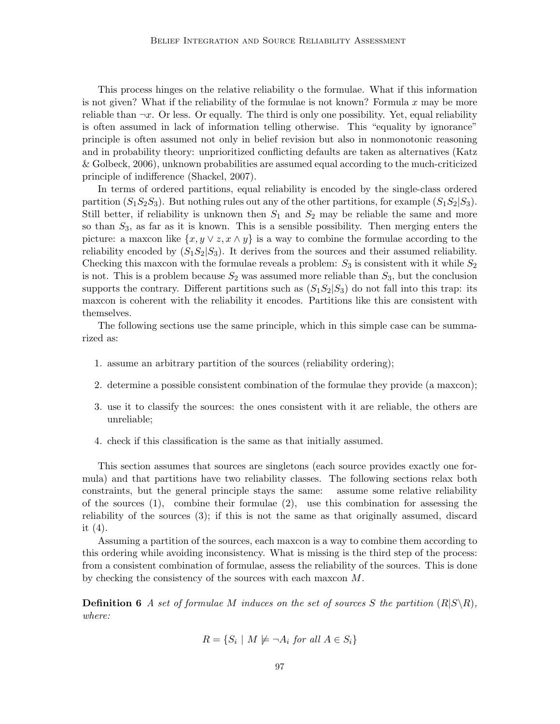This process hinges on the relative reliability o the formulae. What if this information is not given? What if the reliability of the formulae is not known? Formula *x* may be more reliable than  $\neg x$ . Or less. Or equally. The third is only one possibility. Yet, equal reliability is often assumed in lack of information telling otherwise. This "equality by ignorance" principle is often assumed not only in belief revision but also in nonmonotonic reasoning and in probability theory: unprioritized conflicting defaults are taken as alternatives (Katz & Golbeck, 2006), unknown probabilities are assumed equal according to the much-criticized principle of indifference (Shackel, 2007).

In terms of ordered partitions, equal reliability is encoded by the single-class ordered partition  $(S_1S_2S_3)$ . But nothing rules out any of the other partitions, for example  $(S_1S_2|S_3)$ . Still better, if reliability is unknown then  $S_1$  and  $S_2$  may be reliable the same and more so than *S*3, as far as it is known. This is a sensible possibility. Then merging enters the picture: a maxcon like  $\{x, y \vee z, x \wedge y\}$  is a way to combine the formulae according to the reliability encoded by  $(S_1S_2|S_3)$ . It derives from the sources and their assumed reliability. Checking this maxcon with the formulae reveals a problem:  $S_3$  is consistent with it while  $S_2$ is not. This is a problem because  $S_2$  was assumed more reliable than  $S_3$ , but the conclusion supports the contrary. Different partitions such as  $(S_1S_2|S_3)$  do not fall into this trap: its maxcon is coherent with the reliability it encodes. Partitions like this are consistent with themselves.

The following sections use the same principle, which in this simple case can be summarized as:

- 1. assume an arbitrary partition of the sources (reliability ordering);
- 2. determine a possible consistent combination of the formulae they provide (a maxcon);
- 3. use it to classify the sources: the ones consistent with it are reliable, the others are unreliable;
- 4. check if this classification is the same as that initially assumed.

This section assumes that sources are singletons (each source provides exactly one formula) and that partitions have two reliability classes. The following sections relax both constraints, but the general principle stays the same: assume some relative reliability of the sources  $(1)$ , combine their formulae  $(2)$ , use this combination for assessing the reliability of the sources (3); if this is not the same as that originally assumed, discard it (4).

Assuming a partition of the sources, each maxcon is a way to combine them according to this ordering while avoiding inconsistency. What is missing is the third step of the process: from a consistent combination of formulae, assess the reliability of the sources. This is done by checking the consistency of the sources with each maxcon *M*.

**Definition 6** *A set of formulae M induces on the set of sources S the partition*  $(R|S \setminus R)$ *, where:*

$$
R = \{ S_i \mid M \not\models \neg A_i \text{ for all } A \in S_i \}
$$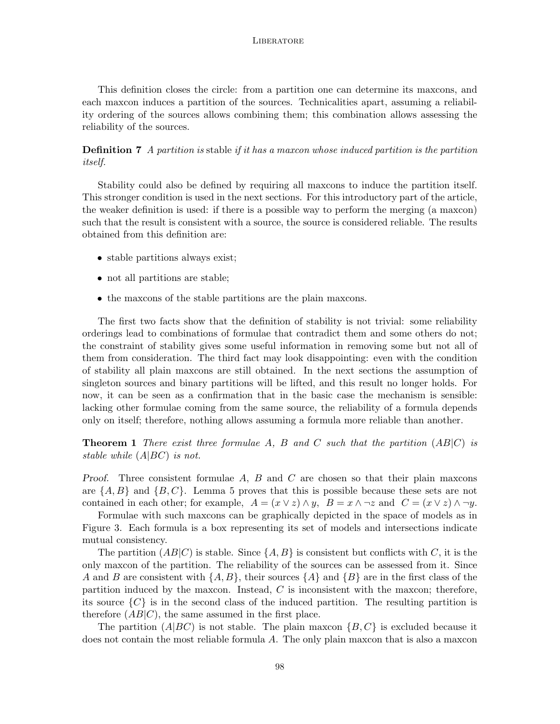This definition closes the circle: from a partition one can determine its maxcons, and each maxcon induces a partition of the sources. Technicalities apart, assuming a reliability ordering of the sources allows combining them; this combination allows assessing the reliability of the sources.

**Definition 7** *A partition is* stable *if it has a maxcon whose induced partition is the partition itself.*

Stability could also be defined by requiring all maxcons to induce the partition itself. This stronger condition is used in the next sections. For this introductory part of the article, the weaker definition is used: if there is a possible way to perform the merging (a maxcon) such that the result is consistent with a source, the source is considered reliable. The results obtained from this definition are:

- stable partitions always exist;
- not all partitions are stable;
- the maxcons of the stable partitions are the plain maxcons.

The first two facts show that the definition of stability is not trivial: some reliability orderings lead to combinations of formulae that contradict them and some others do not; the constraint of stability gives some useful information in removing some but not all of them from consideration. The third fact may look disappointing: even with the condition of stability all plain maxcons are still obtained. In the next sections the assumption of singleton sources and binary partitions will be lifted, and this result no longer holds. For now, it can be seen as a confirmation that in the basic case the mechanism is sensible: lacking other formulae coming from the same source, the reliability of a formula depends only on itself; therefore, nothing allows assuming a formula more reliable than another.

**Theorem 1** *There exist three formulae A, B and C such that the partition* (*AB|C*) *is stable while* (*A|BC*) *is not.*

*Proof.* Three consistent formulae *A*, *B* and *C* are chosen so that their plain maxcons are *{A, B}* and *{B, C}*. Lemma 5 proves that this is possible because these sets are not contained in each other; for example,  $A = (x \vee z) \wedge y$ ,  $B = x \wedge \neg z$  and  $C = (x \vee z) \wedge \neg y$ .

Formulae with such maxcons can be graphically depicted in the space of models as in Figure 3. Each formula is a box representing its set of models and intersections indicate mutual consistency.

The partition  $(AB|C)$  is stable. Since  $\{A, B\}$  is consistent but conflicts with *C*, it is the only maxcon of the partition. The reliability of the sources can be assessed from it. Since *A* and *B* are consistent with *{A, B}*, their sources *{A}* and *{B}* are in the first class of the partition induced by the maxcon. Instead, *C* is inconsistent with the maxcon; therefore, its source  $\{C\}$  is in the second class of the induced partition. The resulting partition is therefore  $(AB|C)$ , the same assumed in the first place.

The partition  $(A|BC)$  is not stable. The plain maxcon  $\{B, C\}$  is excluded because it does not contain the most reliable formula *A*. The only plain maxcon that is also a maxcon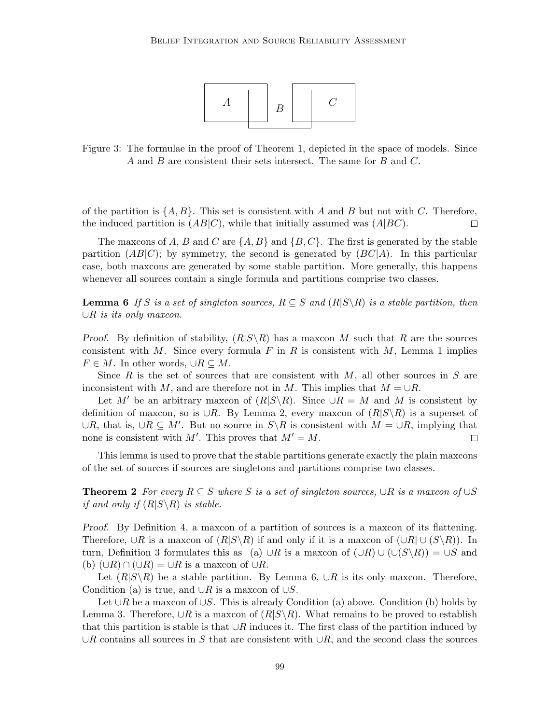

Figure 3: The formulae in the proof of Theorem 1, depicted in the space of models. Since *A* and *B* are consistent their sets intersect. The same for *B* and *C*.

of the partition is  $\{A, B\}$ . This set is consistent with *A* and *B* but not with *C*. Therefore, the induced partition is  $(AB|C)$ , while that initially assumed was  $(A|BC)$ .  $\Box$ 

The maxcons of *A*, *B* and *C* are  $\{A, B\}$  and  $\{B, C\}$ . The first is generated by the stable partition  $(AB|C)$ ; by symmetry, the second is generated by  $(BC|A)$ . In this particular case, both maxcons are generated by some stable partition. More generally, this happens whenever all sources contain a single formula and partitions comprise two classes.

**Lemma 6** *If S* is a set of singleton sources,  $R \subseteq S$  and  $(R|S \setminus R)$  is a stable partition, then *∪R is its only maxcon.*

*Proof.* By definition of stability,  $(R|S\setminus R)$  has a maxcon M such that R are the sources consistent with *M*. Since every formula  $F$  in  $R$  is consistent with  $M$ , Lemma 1 implies *F*  $∈$  *M*. In other words,  $∪R \subseteq M$ .

Since *R* is the set of sources that are consistent with *M*, all other sources in *S* are inconsistent with *M*, and are therefore not in *M*. This implies that  $M = \cup R$ .

Let *M'* be an arbitrary maxcon of  $(R|S \setminus R)$ . Since  $\cup R = M$  and M is consistent by definition of maxcon, so is *∪R*. By Lemma 2, every maxcon of (*R|S\R*) is a superset of *∪R*, that is, *∪R ⊆ M′* . But no source in *S\R* is consistent with *M* = *∪R*, implying that none is consistent with  $M'$ . This proves that  $M' = M$ .  $\Box$ 

This lemma is used to prove that the stable partitions generate exactly the plain maxcons of the set of sources if sources are singletons and partitions comprise two classes.

**Theorem 2** *For every*  $R \subseteq S$  *where S is a set of singleton sources,*  $\cup R$  *is a maxcon of*  $\cup S$ *if and only if*  $(R|S \setminus R)$  *is stable.* 

*Proof.* By Definition 4, a maxcon of a partition of sources is a maxcon of its flattening. Therefore,  $\cup R$  is a maxcon of  $(R|S\backslash R)$  if and only if it is a maxcon of  $(\cup R|\cup (S\backslash R))$ . In turn, Definition 3 formulates this as (a)  $\cup R$  is a maxcon of  $(\cup R) \cup (\cup (S \backslash R)) = \cup S$  and (b)  $(∪R) ∩ (∪R) = ∪R$  is a maxcon of  $∪R$ .

Let  $(R|S\setminus R)$  be a stable partition. By Lemma 6,  $\cup R$  is its only maxcon. Therefore, Condition (a) is true, and *∪R* is a maxcon of *∪S*.

Let *∪R* be a maxcon of *∪S*. This is already Condition (a) above. Condition (b) holds by Lemma 3. Therefore,  $∪R$  is a maxcon of  $(R|S\setminus R)$ . What remains to be proved to establish that this partition is stable is that *∪R* induces it. The first class of the partition induced by *∪R* contains all sources in *S* that are consistent with *∪R*, and the second class the sources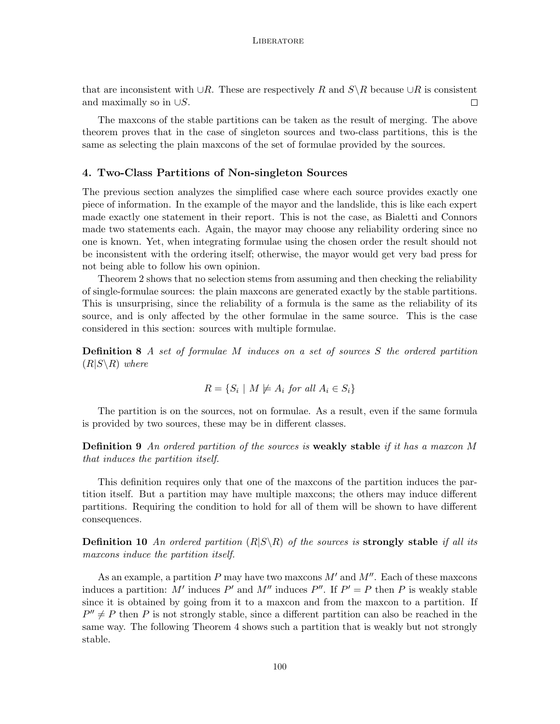that are inconsistent with *∪R*. These are respectively *R* and  $S\ R$  because  $\cup R$  is consistent and maximally so in *∪S*.  $\Box$ 

The maxcons of the stable partitions can be taken as the result of merging. The above theorem proves that in the case of singleton sources and two-class partitions, this is the same as selecting the plain maxcons of the set of formulae provided by the sources.

## **4. Two-Class Partitions of Non-singleton Sources**

The previous section analyzes the simplified case where each source provides exactly one piece of information. In the example of the mayor and the landslide, this is like each expert made exactly one statement in their report. This is not the case, as Bialetti and Connors made two statements each. Again, the mayor may choose any reliability ordering since no one is known. Yet, when integrating formulae using the chosen order the result should not be inconsistent with the ordering itself; otherwise, the mayor would get very bad press for not being able to follow his own opinion.

Theorem 2 shows that no selection stems from assuming and then checking the reliability of single-formulae sources: the plain maxcons are generated exactly by the stable partitions. This is unsurprising, since the reliability of a formula is the same as the reliability of its source, and is only affected by the other formulae in the same source. This is the case considered in this section: sources with multiple formulae.

**Definition 8** *A set of formulae M induces on a set of sources S the ordered partition*  $(R|S\setminus R)$  *where* 

$$
R = \{ S_i \mid M \not\models A_i \text{ for all } A_i \in S_i \}
$$

The partition is on the sources, not on formulae. As a result, even if the same formula is provided by two sources, these may be in different classes.

**Definition 9** *An ordered partition of the sources is* **weakly stable** *if it has a maxcon M that induces the partition itself.*

This definition requires only that one of the maxcons of the partition induces the partition itself. But a partition may have multiple maxcons; the others may induce different partitions. Requiring the condition to hold for all of them will be shown to have different consequences.

**Definition 10** An ordered partition  $(R|S \setminus R)$  of the sources is **strongly stable** *if all its maxcons induce the partition itself.*

As an example, a partition *P* may have two maxcons *M′* and *M′′*. Each of these maxcons induces a partition: *M'* induces  $P'$  and  $M''$  induces  $P''$ . If  $P' = P$  then  $P$  is weakly stable since it is obtained by going from it to a maxcon and from the maxcon to a partition. If  $P'' \neq P$  then *P* is not strongly stable, since a different partition can also be reached in the same way. The following Theorem 4 shows such a partition that is weakly but not strongly stable.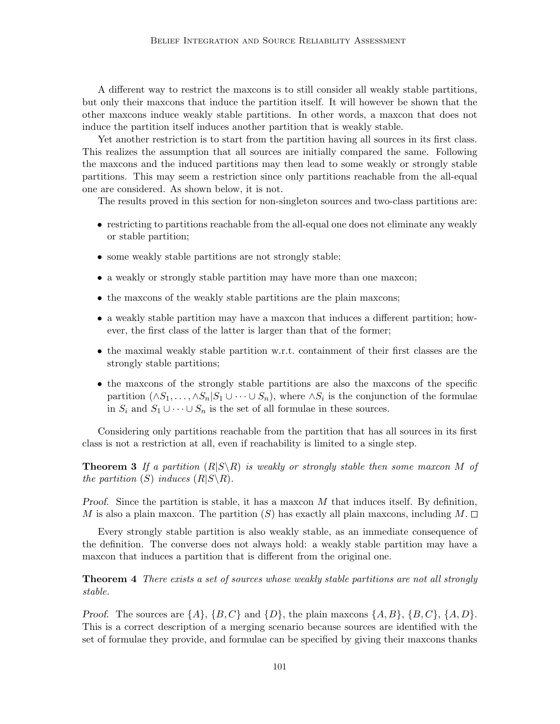A different way to restrict the maxcons is to still consider all weakly stable partitions, but only their maxcons that induce the partition itself. It will however be shown that the other maxcons induce weakly stable partitions. In other words, a maxcon that does not induce the partition itself induces another partition that is weakly stable.

Yet another restriction is to start from the partition having all sources in its first class. This realizes the assumption that all sources are initially compared the same. Following the maxcons and the induced partitions may then lead to some weakly or strongly stable partitions. This may seem a restriction since only partitions reachable from the all-equal one are considered. As shown below, it is not.

The results proved in this section for non-singleton sources and two-class partitions are:

- restricting to partitions reachable from the all-equal one does not eliminate any weakly or stable partition;
- some weakly stable partitions are not strongly stable;
- a weakly or strongly stable partition may have more than one maxcon;
- the maxcons of the weakly stable partitions are the plain maxcons;
- a weakly stable partition may have a maxcon that induces a different partition; however, the first class of the latter is larger than that of the former;
- the maximal weakly stable partition w.r.t. containment of their first classes are the strongly stable partitions;
- the maxcons of the strongly stable partitions are also the maxcons of the specific partition  $(\land S_1, \ldots, \land S_n | S_1 \cup \cdots \cup S_n)$ , where  $\land S_i$  is the conjunction of the formulae in  $S_i$  and  $S_1 \cup \cdots \cup S_n$  is the set of all formulae in these sources.

Considering only partitions reachable from the partition that has all sources in its first class is not a restriction at all, even if reachability is limited to a single step.

**Theorem 3** If a partition  $(R|S \setminus R)$  is weakly or strongly stable then some maxcon M of *the partition*  $(S)$  *induces*  $(R|S \setminus R)$ *.* 

*Proof.* Since the partition is stable, it has a maxcon *M* that induces itself. By definition, *M* is also a plain maxcon. The partition (*S*) has exactly all plain maxcons, including  $M$ .

Every strongly stable partition is also weakly stable, as an immediate consequence of the definition. The converse does not always hold: a weakly stable partition may have a maxcon that induces a partition that is different from the original one.

**Theorem 4** *There exists a set of sources whose weakly stable partitions are not all strongly stable.*

*Proof.* The sources are  $\{A\}$ ,  $\{B, C\}$  and  $\{D\}$ , the plain maxcons  $\{A, B\}$ ,  $\{B, C\}$ ,  $\{A, D\}$ . This is a correct description of a merging scenario because sources are identified with the set of formulae they provide, and formulae can be specified by giving their maxcons thanks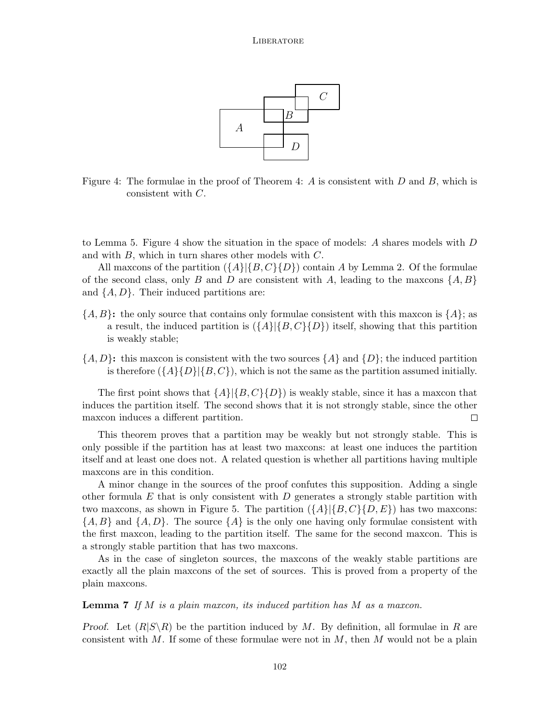

Figure 4: The formulae in the proof of Theorem 4: *A* is consistent with *D* and *B*, which is consistent with *C*.

to Lemma 5. Figure 4 show the situation in the space of models: *A* shares models with *D* and with *B*, which in turn shares other models with *C*.

All maxcons of the partition (*{A}|{B, C}{D}*) contain *A* by Lemma 2. Of the formulae of the second class, only *B* and *D* are consistent with *A*, leading to the maxcons *{A, B}* and *{A, D}*. Their induced partitions are:

- *{A, B}***:** the only source that contains only formulae consistent with this maxcon is *{A}*; as a result, the induced partition is  $({A} | {B, C} \cap D)$  itself, showing that this partition is weakly stable;
- ${A, D}$ **:** this maxcon is consistent with the two sources  ${A}$  and  ${D}$ ; the induced partition is therefore  $({A}({A}({B})|{B}, C)$ , which is not the same as the partition assumed initially.

The first point shows that  $\{A\}|\{B,C\}\{D\}\}\$  is weakly stable, since it has a maxcon that induces the partition itself. The second shows that it is not strongly stable, since the other maxcon induces a different partition.  $\Box$ 

This theorem proves that a partition may be weakly but not strongly stable. This is only possible if the partition has at least two maxcons: at least one induces the partition itself and at least one does not. A related question is whether all partitions having multiple maxcons are in this condition.

A minor change in the sources of the proof confutes this supposition. Adding a single other formula *E* that is only consistent with *D* generates a strongly stable partition with two maxcons, as shown in Figure 5. The partition  $({A}{\vert{B,C}{\vert{D,E}{\vert}}})$  has two maxcons: *{A, B}* and *{A, D}*. The source *{A}* is the only one having only formulae consistent with the first maxcon, leading to the partition itself. The same for the second maxcon. This is a strongly stable partition that has two maxcons.

As in the case of singleton sources, the maxcons of the weakly stable partitions are exactly all the plain maxcons of the set of sources. This is proved from a property of the plain maxcons.

**Lemma 7** *If M is a plain maxcon, its induced partition has M as a maxcon.*

*Proof.* Let  $(R|S\setminus R)$  be the partition induced by *M*. By definition, all formulae in *R* are consistent with *M*. If some of these formulae were not in *M*, then *M* would not be a plain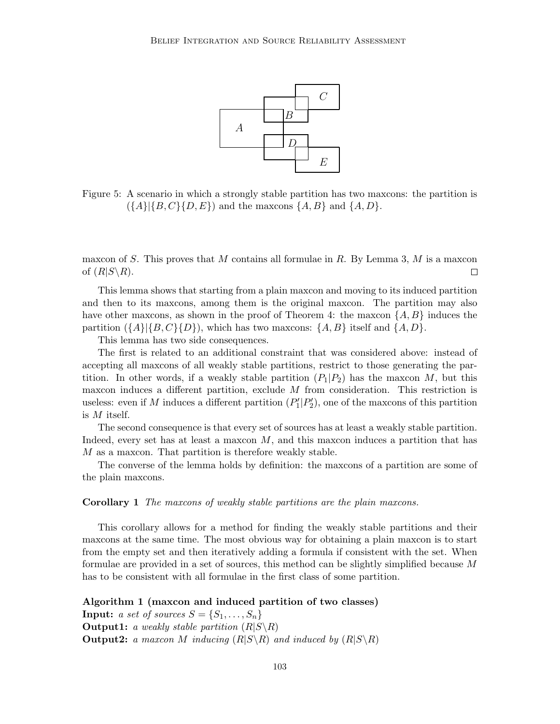

Figure 5: A scenario in which a strongly stable partition has two maxcons: the partition is  $({A} | {B, C} \{D, E\})$  and the maxcons  ${A, B}$  and  ${A, D}$ .

maxcon of *S*. This proves that *M* contains all formulae in *R*. By Lemma 3, *M* is a maxcon of  $(R|S\backslash R)$ .  $\Box$ 

This lemma shows that starting from a plain maxcon and moving to its induced partition and then to its maxcons, among them is the original maxcon. The partition may also have other maxcons, as shown in the proof of Theorem 4: the maxcon  $\{A, B\}$  induces the partition  $({A}{|B,C}{D})$ , which has two maxcons:  ${A,B}$  itself and  ${A,D}$ .

This lemma has two side consequences.

The first is related to an additional constraint that was considered above: instead of accepting all maxcons of all weakly stable partitions, restrict to those generating the partition. In other words, if a weakly stable partition  $(P_1|P_2)$  has the maxcon M, but this maxcon induces a different partition, exclude *M* from consideration. This restriction is useless: even if *M* induces a different partition  $(P'_1|P'_2)$ , one of the maxcons of this partition is *M* itself.

The second consequence is that every set of sources has at least a weakly stable partition. Indeed, every set has at least a maxcon *M*, and this maxcon induces a partition that has *M* as a maxcon. That partition is therefore weakly stable.

The converse of the lemma holds by definition: the maxcons of a partition are some of the plain maxcons.

**Corollary 1** *The maxcons of weakly stable partitions are the plain maxcons.*

This corollary allows for a method for finding the weakly stable partitions and their maxcons at the same time. The most obvious way for obtaining a plain maxcon is to start from the empty set and then iteratively adding a formula if consistent with the set. When formulae are provided in a set of sources, this method can be slightly simplified because *M* has to be consistent with all formulae in the first class of some partition.

**Algorithm 1 (maxcon and induced partition of two classes) Input:** *a set of sources*  $S = \{S_1, \ldots, S_n\}$ **Output1:** *a weakly stable partition*  $(R|S\backslash R)$ **Output2:** *a maxcon M inducing*  $(R|S\backslash R)$  *and induced by*  $(R|S\backslash R)$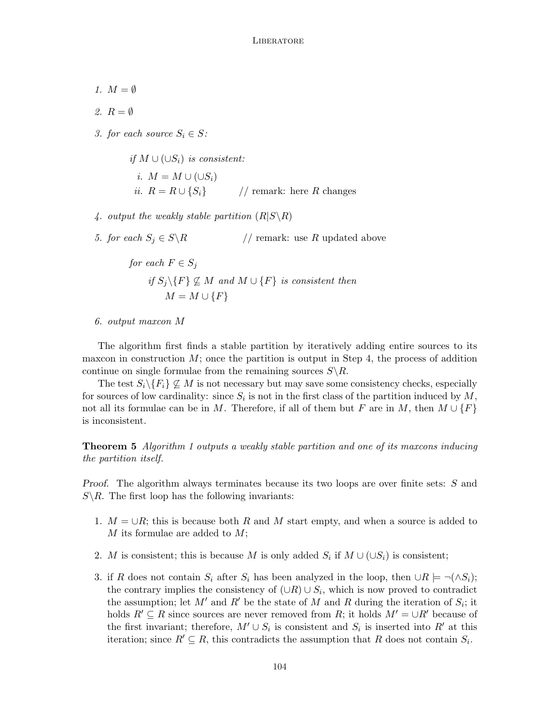- *1.*  $M = \emptyset$
- *2. R* = *∅*
- *3. for each source*  $S_i \in S$ *:*

*if*  $M ∪ (∪S<sub>i</sub>)$  *is consistent: i.*  $M = M ∪ (∪S<sub>i</sub>)$ *ii.*  $R = R \cup \{S_i\}$  // remark: here *R* changes

- *4. output the weakly stable partition*  $(R|S \setminus R)$
- *5. for each*  $S_j \in S \backslash R$  // remark: use *R* updated above

for each 
$$
F \in S_j
$$
  
if  $S_j \setminus \{F\} \not\subseteq M$  and  $M \cup \{F\}$  is consistent then  

$$
M = M \cup \{F\}
$$

*6. output maxcon M*

The algorithm first finds a stable partition by iteratively adding entire sources to its maxcon in construction *M*; once the partition is output in Step 4, the process of addition continue on single formulae from the remaining sources *S\R*.

The test  $S_i \backslash \{F_i\} \nsubseteq M$  is not necessary but may save some consistency checks, especially for sources of low cardinality: since  $S_i$  is not in the first class of the partition induced by  $M$ , not all its formulae can be in *M*. Therefore, if all of them but *F* are in *M*, then  $M \cup \{F\}$ is inconsistent.

**Theorem 5** *Algorithm 1 outputs a weakly stable partition and one of its maxcons inducing the partition itself.*

*Proof.* The algorithm always terminates because its two loops are over finite sets: *S* and  $S \backslash R$ . The first loop has the following invariants:

- 1. *M* = *∪R*; this is because both *R* and *M* start empty, and when a source is added to *M* its formulae are added to *M*;
- 2. *M* is consistent; this is because *M* is only added  $S_i$  if  $M \cup (\cup S_i)$  is consistent;
- 3. if *R* does not contain  $S_i$  after  $S_i$  has been analyzed in the loop, then  $\cup R \models \neg(\land S_i);$ the contrary implies the consistency of  $(\cup R) \cup S_i$ , which is now proved to contradict the assumption; let  $M'$  and  $R'$  be the state of  $M$  and  $R$  during the iteration of  $S_i$ ; it holds  $R' \subseteq R$  since sources are never removed from *R*; it holds  $M' = \bigcup R'$  because of the first invariant; therefore,  $M' \cup S_i$  is consistent and  $S_i$  is inserted into  $R'$  at this iteration; since  $R' \subseteq R$ , this contradicts the assumption that  $R$  does not contain  $S_i$ .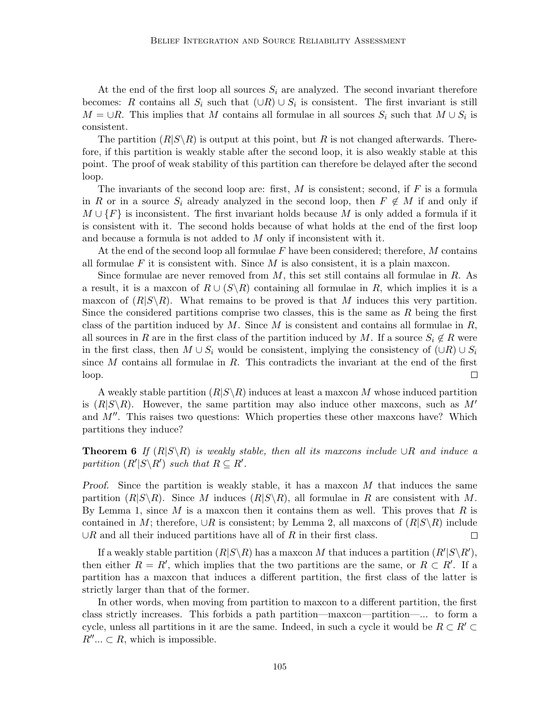At the end of the first loop all sources  $S_i$  are analyzed. The second invariant therefore becomes: *R* contains all  $S_i$  such that  $(\cup R) \cup S_i$  is consistent. The first invariant is still  $M = \bigcup R$ . This implies that *M* contains all formulae in all sources  $S_i$  such that  $M \cup S_i$  is consistent.

The partition  $(R|S\setminus R)$  is output at this point, but R is not changed afterwards. Therefore, if this partition is weakly stable after the second loop, it is also weakly stable at this point. The proof of weak stability of this partition can therefore be delayed after the second loop.

The invariants of the second loop are: first, *M* is consistent; second, if *F* is a formula in *R* or in a source  $S_i$  already analyzed in the second loop, then  $F \notin M$  if and only if  $M \cup \{F\}$  is inconsistent. The first invariant holds because M is only added a formula if it is consistent with it. The second holds because of what holds at the end of the first loop and because a formula is not added to *M* only if inconsistent with it.

At the end of the second loop all formulae *F* have been considered; therefore, *M* contains all formulae *F* it is consistent with. Since *M* is also consistent, it is a plain maxcon.

Since formulae are never removed from *M*, this set still contains all formulae in *R*. As a result, it is a maxcon of  $R \cup (S \backslash R)$  containing all formulae in R, which implies it is a maxcon of  $(R|S\rangle R)$ . What remains to be proved is that *M* induces this very partition. Since the considered partitions comprise two classes, this is the same as *R* being the first class of the partition induced by *M*. Since *M* is consistent and contains all formulae in *R*, all sources in *R* are in the first class of the partition induced by *M*. If a source  $S_i \notin R$  were in the first class, then  $M \cup S_i$  would be consistent, implying the consistency of  $(\cup R) \cup S_i$ since *M* contains all formulae in *R*. This contradicts the invariant at the end of the first loop.  $\Box$ 

A weakly stable partition  $(R|S\setminus R)$  induces at least a maxcon M whose induced partition is  $(R|S\setminus R)$ . However, the same partition may also induce other maxcons, such as M<sup>'</sup> and *M′′*. This raises two questions: Which properties these other maxcons have? Which partitions they induce?

**Theorem 6** *If*  $(R|S \setminus R)$  *is weakly stable, then all its maxcons include*  $\cup R$  *and induce a partition*  $(R' | S \backslash R')$  *such that*  $R \subseteq R'$ *.* 

*Proof.* Since the partition is weakly stable, it has a maxcon M that induces the same partition  $(R|S\setminus R)$ . Since *M* induces  $(R|S\setminus R)$ , all formulae in *R* are consistent with *M*. By Lemma 1, since *M* is a maxcon then it contains them as well. This proves that *R* is contained in *M*; therefore,  $\cup R$  is consistent; by Lemma 2, all maxcons of  $(R|S\setminus R)$  include *∪R* and all their induced partitions have all of *R* in their first class.  $\Box$ 

If a weakly stable partition  $(R|S \setminus R)$  has a maxcon *M* that induces a partition  $(R'|S \setminus R')$ , then either  $R = R'$ , which implies that the two partitions are the same, or  $R \subset R'$ . If a partition has a maxcon that induces a different partition, the first class of the latter is strictly larger than that of the former.

In other words, when moving from partition to maxcon to a different partition, the first class strictly increases. This forbids a path partition—maxcon—partition—... to form a cycle, unless all partitions in it are the same. Indeed, in such a cycle it would be  $R \subset R' \subset$  $R^{\prime\prime}$ ...  $\subset R$ , which is impossible.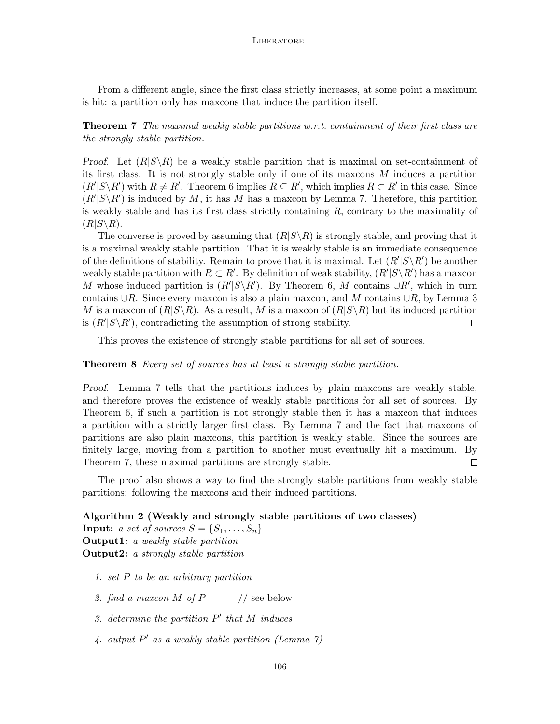From a different angle, since the first class strictly increases, at some point a maximum is hit: a partition only has maxcons that induce the partition itself.

**Theorem 7** *The maximal weakly stable partitions w.r.t. containment of their first class are the strongly stable partition.*

*Proof.* Let  $(R|S\setminus R)$  be a weakly stable partition that is maximal on set-containment of its first class. It is not strongly stable only if one of its maxcons *M* induces a partition  $(R'|S\backslash R')$  with  $R\neq R'$ . Theorem 6 implies  $R\subseteq R'$ , which implies  $R\subset R'$  in this case. Since  $(R'|S \backslash R')$  is induced by M, it has M has a maxcon by Lemma 7. Therefore, this partition is weakly stable and has its first class strictly containing *R*, contrary to the maximality of  $(R|S\backslash R)$ .

The converse is proved by assuming that  $(R|S\setminus R)$  is strongly stable, and proving that it is a maximal weakly stable partition. That it is weakly stable is an immediate consequence of the definitions of stability. Remain to prove that it is maximal. Let  $(R'|S\backslash R')$  be another weakly stable partition with  $R \subset R'$ . By definition of weak stability,  $(R'|S \backslash R')$  has a maxcon *M* whose induced partition is  $(R'|S \backslash R')$ . By Theorem 6, *M* contains  $\cup R'$ , which in turn contains *∪R*. Since every maxcon is also a plain maxcon, and *M* contains *∪R*, by Lemma 3 *M* is a maxcon of  $(R|S\backslash R)$ . As a result, *M* is a maxcon of  $(R|S\backslash R)$  but its induced partition is  $(R'|S \backslash R')$ , contradicting the assumption of strong stability.  $\Box$ 

This proves the existence of strongly stable partitions for all set of sources.

**Theorem 8** *Every set of sources has at least a strongly stable partition.*

*Proof.* Lemma 7 tells that the partitions induces by plain maxcons are weakly stable, and therefore proves the existence of weakly stable partitions for all set of sources. By Theorem 6, if such a partition is not strongly stable then it has a maxcon that induces a partition with a strictly larger first class. By Lemma 7 and the fact that maxcons of partitions are also plain maxcons, this partition is weakly stable. Since the sources are finitely large, moving from a partition to another must eventually hit a maximum. By Theorem 7, these maximal partitions are strongly stable.  $\Box$ 

The proof also shows a way to find the strongly stable partitions from weakly stable partitions: following the maxcons and their induced partitions.

**Algorithm 2 (Weakly and strongly stable partitions of two classes) Input:** *a set of sources*  $S = \{S_1, \ldots, S_n\}$ **Output1:** *a weakly stable partition* **Output2:** *a strongly stable partition*

- *1. set P to be an arbitrary partition*
- *2. find a maxcon M of P* // see below
- *3. determine the partition P ′ that M induces*
- *4. output P ′ as a weakly stable partition (Lemma 7)*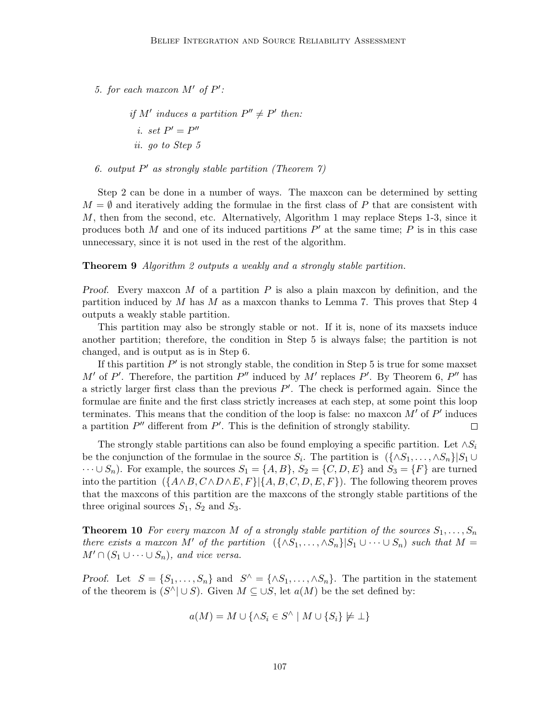5. for each maxcon  $M'$  of  $P'$ :

*if*  $M'$  induces a partition  $P'' \neq P'$  then: *i.* set  $P' = P''$ *ii. go to Step 5*

*6. output P ′ as strongly stable partition (Theorem 7)*

Step 2 can be done in a number of ways. The maxcon can be determined by setting  $M = \emptyset$  and iteratively adding the formulae in the first class of P that are consistent with *M*, then from the second, etc. Alternatively, Algorithm 1 may replace Steps 1-3, since it produces both *M* and one of its induced partitions *P ′* at the same time; *P* is in this case unnecessary, since it is not used in the rest of the algorithm.

**Theorem 9** *Algorithm 2 outputs a weakly and a strongly stable partition.*

*Proof.* Every maxcon *M* of a partition *P* is also a plain maxcon by definition, and the partition induced by *M* has *M* as a maxcon thanks to Lemma 7. This proves that Step 4 outputs a weakly stable partition.

This partition may also be strongly stable or not. If it is, none of its maxsets induce another partition; therefore, the condition in Step 5 is always false; the partition is not changed, and is output as is in Step 6.

If this partition  $P'$  is not strongly stable, the condition in Step 5 is true for some maxset *M'* of *P'*. Therefore, the partition *P''* induced by *M'* replaces *P'*. By Theorem 6, *P''* has a strictly larger first class than the previous *P ′* . The check is performed again. Since the formulae are finite and the first class strictly increases at each step, at some point this loop terminates. This means that the condition of the loop is false: no maxcon *M′* of *P ′* induces a partition *P ′′* different from *P ′* . This is the definition of strongly stability.  $\Box$ 

The strongly stable partitions can also be found employing a specific partition. Let  $\land S_i$ be the conjunction of the formulae in the source  $S_i$ . The partition is  $({\{\land S_1, \ldots, \land S_n\}}|S_1 \cup$  $\cdots \cup S_n$ . For example, the sources  $S_1 = \{A, B\}$ ,  $S_2 = \{C, D, E\}$  and  $S_3 = \{F\}$  are turned into the partition  $({A \wedge B, C \wedge D \wedge E, F} | {A, B, C, D, E, F})$ . The following theorem proves that the maxcons of this partition are the maxcons of the strongly stable partitions of the three original sources  $S_1$ ,  $S_2$  and  $S_3$ .

**Theorem 10** For every maxcon M of a strongly stable partition of the sources  $S_1, \ldots, S_n$ *there exists a maxcon*  $M'$  *of the partition*  $({\lbrace \wedge S_1, \ldots, \wedge S_n \rbrace} | S_1 \cup \cdots \cup S_n)$  *such that*  $M =$  $M' \cap (S_1 \cup \cdots \cup S_n)$ , and vice versa.

*Proof.* Let  $S = \{S_1, \ldots, S_n\}$  and  $S^{\wedge} = \{\wedge S_1, \ldots, \wedge S_n\}$ . The partition in the statement of the theorem is  $(S^{\wedge} \mid \cup S)$ . Given  $M \subseteq \cup S$ , let  $a(M)$  be the set defined by:

$$
a(M) = M \cup \{ \land S_i \in S^{\land} \mid M \cup \{ S_i \} \not\models \bot \}
$$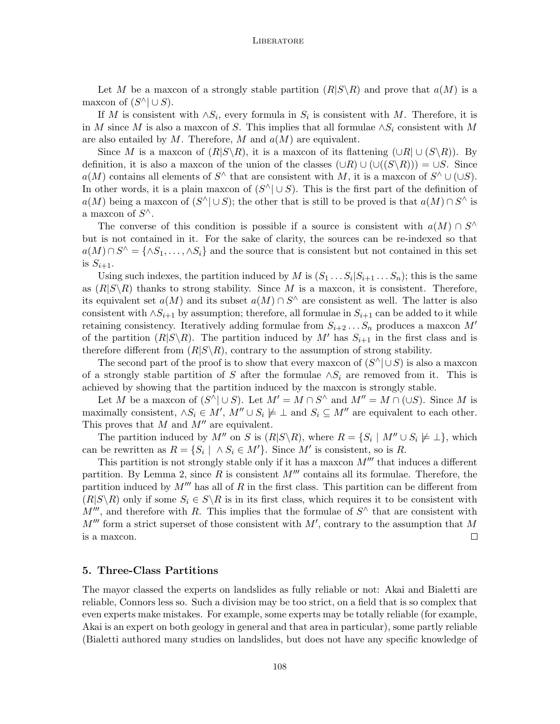Let *M* be a maxcon of a strongly stable partition  $(R|S\setminus R)$  and prove that  $a(M)$  is a maxcon of  $(S^{\wedge} \mid \cup S)$ .

If *M* is consistent with  $\land S_i$ , every formula in  $S_i$  is consistent with *M*. Therefore, it is in *M* since *M* is also a maxcon of *S*. This implies that all formulae *∧S<sup>i</sup>* consistent with *M* are also entailed by *M*. Therefore, *M* and *a*(*M*) are equivalent.

Since *M* is a maxcon of  $(R|S\setminus R)$ , it is a maxcon of its flattening  $(UR| \cup (S\setminus R))$ . By definition, it is also a maxcon of the union of the classes  $(\cup R) \cup (\cup ((S \setminus R))) = \cup S$ . Since  $a(M)$  contains all elements of  $S^{\wedge}$  that are consistent with *M*, it is a maxcon of  $S^{\wedge} \cup (\cup S)$ . In other words, it is a plain maxcon of  $(S^{\wedge} \vert \cup S)$ . This is the first part of the definition of  $a(M)$  being a maxcon of  $(S^{\wedge} \mid \cup S)$ ; the other that is still to be proved is that  $a(M) \cap S^{\wedge}$  is a maxcon of *S ∧*.

The converse of this condition is possible if a source is consistent with  $a(M) \cap S^{\wedge}$ but is not contained in it. For the sake of clarity, the sources can be re-indexed so that  $a(M) \cap S^{\wedge} = \{ \wedge S_1, \ldots, \wedge S_i \}$  and the source that is consistent but not contained in this set is  $S_{i+1}$ .

Using such indexes, the partition induced by *M* is  $(S_1 \ldots S_i | S_{i+1} \ldots S_n)$ ; this is the same as  $(R|S\setminus R)$  thanks to strong stability. Since M is a maxcon, it is consistent. Therefore, its equivalent set  $a(M)$  and its subset  $a(M) \cap S^{\wedge}$  are consistent as well. The latter is also consistent with  $\land$ *S*<sup>*i*+1</sup> by assumption; therefore, all formulae in  $S$ <sup>*i*+1</sup> can be added to it while retaining consistency. Iteratively adding formulae from *Si*+2 *. . . S<sup>n</sup>* produces a maxcon *M′* of the partition  $(R|S\setminus R)$ . The partition induced by M' has  $S_{i+1}$  in the first class and is therefore different from  $(R|S\setminus R)$ , contrary to the assumption of strong stability.

The second part of the proof is to show that every maxcon of (*S ∧| ∪S*) is also a maxcon of a strongly stable partition of *S* after the formulae  $\land S_i$  are removed from it. This is achieved by showing that the partition induced by the maxcon is strongly stable.

Let *M* be a maxcon of  $(S^{\wedge} \mid \cup S)$ . Let  $M' = M \cap S^{\wedge}$  and  $M'' = M \cap (\cup S)$ . Since *M* is maximally consistent,  $\land S_i \in M'$ ,  $M'' \cup S_i \not\models \bot$  and  $S_i \subseteq M''$  are equivalent to each other. This proves that *M* and *M′′* are equivalent.

The partition induced by  $M''$  on  $S$  is  $(R|S \setminus R)$ , where  $R = \{S_i \mid M'' \cup S_i \not\models \bot\}$ , which can be rewritten as  $R = \{S_i \mid \land S_i \in M'\}$ . Since  $M'$  is consistent, so is R.

This partition is not strongly stable only if it has a maxcon  $M'''$  that induces a different partition. By Lemma 2, since  $R$  is consistent  $M'''$  contains all its formulae. Therefore, the partition induced by *M′′′* has all of *R* in the first class. This partition can be different from  $(R|S\setminus R)$  only if some  $S_i \in S\setminus R$  is in its first class, which requires it to be consistent with  $M'''$ , and therefore with *R*. This implies that the formulae of  $S^{\wedge}$  that are consistent with *M′′′* form a strict superset of those consistent with *M′* , contrary to the assumption that *M* is a maxcon.  $\Box$ 

## **5. Three-Class Partitions**

The mayor classed the experts on landslides as fully reliable or not: Akai and Bialetti are reliable, Connors less so. Such a division may be too strict, on a field that is so complex that even experts make mistakes. For example, some experts may be totally reliable (for example, Akai is an expert on both geology in general and that area in particular), some partly reliable (Bialetti authored many studies on landslides, but does not have any specific knowledge of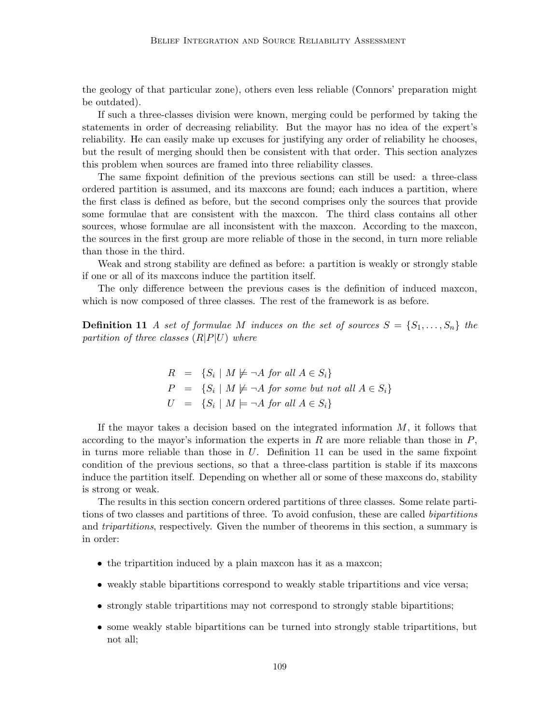the geology of that particular zone), others even less reliable (Connors' preparation might be outdated).

If such a three-classes division were known, merging could be performed by taking the statements in order of decreasing reliability. But the mayor has no idea of the expert's reliability. He can easily make up excuses for justifying any order of reliability he chooses, but the result of merging should then be consistent with that order. This section analyzes this problem when sources are framed into three reliability classes.

The same fixpoint definition of the previous sections can still be used: a three-class ordered partition is assumed, and its maxcons are found; each induces a partition, where the first class is defined as before, but the second comprises only the sources that provide some formulae that are consistent with the maxcon. The third class contains all other sources, whose formulae are all inconsistent with the maxcon. According to the maxcon, the sources in the first group are more reliable of those in the second, in turn more reliable than those in the third.

Weak and strong stability are defined as before: a partition is weakly or strongly stable if one or all of its maxcons induce the partition itself.

The only difference between the previous cases is the definition of induced maxcon, which is now composed of three classes. The rest of the framework is as before.

**Definition 11** *A set of formulae M induces on the set of sources*  $S = \{S_1, \ldots, S_n\}$  *the partition of three classes* (*R|P|U*) *where*

$$
R = \{S_i \mid M \not\models \neg A \text{ for all } A \in S_i\}
$$
  
\n
$$
P = \{S_i \mid M \not\models \neg A \text{ for some but not all } A \in S_i\}
$$
  
\n
$$
U = \{S_i \mid M \models \neg A \text{ for all } A \in S_i\}
$$

If the mayor takes a decision based on the integrated information *M*, it follows that according to the mayor's information the experts in *R* are more reliable than those in *P*, in turns more reliable than those in *U*. Definition 11 can be used in the same fixpoint condition of the previous sections, so that a three-class partition is stable if its maxcons induce the partition itself. Depending on whether all or some of these maxcons do, stability is strong or weak.

The results in this section concern ordered partitions of three classes. Some relate partitions of two classes and partitions of three. To avoid confusion, these are called *bipartitions* and *tripartitions*, respectively. Given the number of theorems in this section, a summary is in order:

- the tripartition induced by a plain maxcon has it as a maxcon;
- weakly stable bipartitions correspond to weakly stable tripartitions and vice versa;
- strongly stable tripartitions may not correspond to strongly stable bipartitions;
- some weakly stable bipartitions can be turned into strongly stable tripartitions, but not all;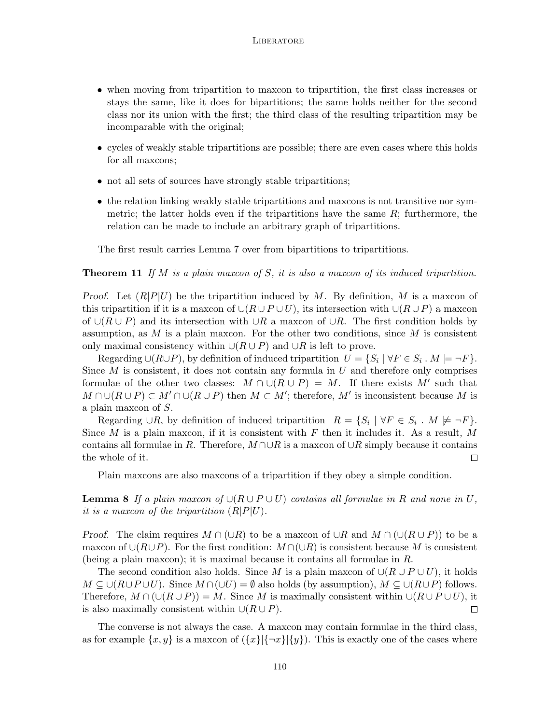- when moving from tripartition to maxcon to tripartition, the first class increases or stays the same, like it does for bipartitions; the same holds neither for the second class nor its union with the first; the third class of the resulting tripartition may be incomparable with the original;
- cycles of weakly stable tripartitions are possible; there are even cases where this holds for all maxcons;
- not all sets of sources have strongly stable tripartitions;
- the relation linking weakly stable tripartitions and maxcons is not transitive nor symmetric; the latter holds even if the tripartitions have the same *R*; furthermore, the relation can be made to include an arbitrary graph of tripartitions.

The first result carries Lemma 7 over from bipartitions to tripartitions.

**Theorem 11** *If M is a plain maxcon of S, it is also a maxcon of its induced tripartition.*

*Proof.* Let  $(R|P|U)$  be the tripartition induced by *M*. By definition, *M* is a maxcon of this tripartition if it is a maxcon of  $\cup (R \cup P \cup U)$ , its intersection with  $\cup (R \cup P)$  a maxcon of *∪*(*R ∪ P*) and its intersection with *∪R* a maxcon of *∪R*. The first condition holds by assumption, as *M* is a plain maxcon. For the other two conditions, since *M* is consistent only maximal consistency within  $∪(R∪P)$  and  $∪R$  is left to prove.

 $\text{Regarding } \cup (R \cup P)$ , by definition of induced tripartition  $U = \{S_i \mid \forall F \in S_i : M \models \neg F\}$ . Since *M* is consistent, it does not contain any formula in *U* and therefore only comprises formulae of the other two classes:  $M \cap \cup (R \cup P) = M$ . If there exists  $M'$  such that  $M \cap \cup (R \cup P) \subset M' \cap \cup (R \cup P)$  then  $M \subset M'$ ; therefore,  $M'$  is inconsistent because  $M$  is a plain maxcon of *S*.

Regarding  $\cup R$ , by definition of induced tripartition  $R = \{S_i \mid \forall F \in S_i : M \not\models \neg F\}$ . Since *M* is a plain maxcon, if it is consistent with *F* then it includes it. As a result, *M* contains all formulae in *R*. Therefore, *M ∩∪R* is a maxcon of *∪R* simply because it contains the whole of it.  $\Box$ 

Plain maxcons are also maxcons of a tripartition if they obey a simple condition.

**Lemma 8** *If a plain maxcon of*  $∪(R∪P∪U)$  *contains all formulae in R and none in U, it is a maxcon of the tripartition*  $(R|P|U)$ .

*Proof.* The claim requires  $M \cap (\cup R)$  to be a maxcon of  $\cup R$  and  $M \cap (\cup (R \cup P))$  to be a maxcon of *∪*(*R∪P*). For the first condition: *M ∩*(*∪R*) is consistent because *M* is consistent (being a plain maxcon); it is maximal because it contains all formulae in *R*.

The second condition also holds. Since *M* is a plain maxcon of  $\cup (R \cup P \cup U)$ , it holds *M* ⊆ ∪( $R$ ∪ $P$ ∪ $U$ ). Since  $M \cap (\cup U) = \emptyset$  also holds (by assumption),  $M \subseteq \cup (R \cup P)$  follows. Therefore,  $M \cap (\cup (R \cup P)) = M$ . Since M is maximally consistent within  $\cup (R \cup P \cup U)$ , it is also maximally consistent within  $\cup (R \cup P)$ .  $\Box$ 

The converse is not always the case. A maxcon may contain formulae in the third class, as for example  $\{x, y\}$  is a maxcon of  $(\{x\}|\{\neg x\}|\{y\})$ . This is exactly one of the cases where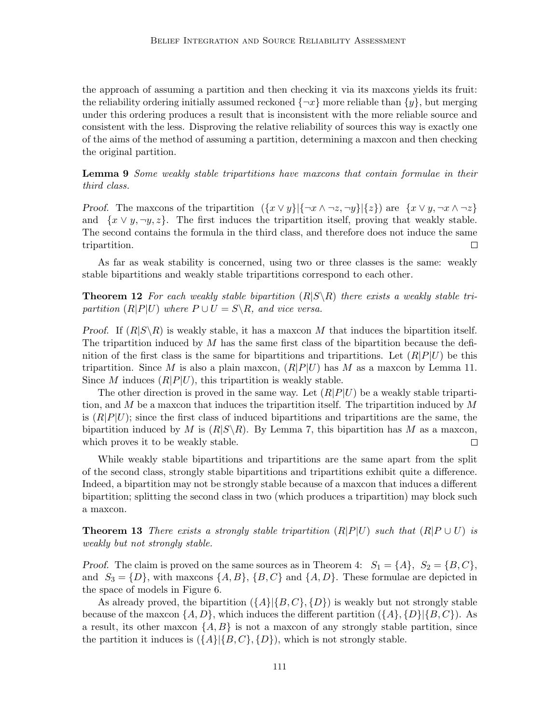the approach of assuming a partition and then checking it via its maxcons yields its fruit: the reliability ordering initially assumed reckoned  $\{\neg x\}$  more reliable than  $\{y\}$ , but merging under this ordering produces a result that is inconsistent with the more reliable source and consistent with the less. Disproving the relative reliability of sources this way is exactly one of the aims of the method of assuming a partition, determining a maxcon and then checking the original partition.

**Lemma 9** *Some weakly stable tripartitions have maxcons that contain formulae in their third class.*

**Proof.** The maxcons of the tripartition  $({x \vee y} | {\neg x \wedge \neg z, \neg y} | {\{z\}})$  are  $\{x \vee y, \neg x \wedge \neg z\}$ and  $\{x \vee y, \neg y, z\}$ . The first induces the tripartition itself, proving that weakly stable. The second contains the formula in the third class, and therefore does not induce the same tripartition.  $\Box$ 

As far as weak stability is concerned, using two or three classes is the same: weakly stable bipartitions and weakly stable tripartitions correspond to each other.

**Theorem 12** For each weakly stable bipartition  $(R|S \setminus R)$  there exists a weakly stable tri*partition*  $(R|P|U)$  *where*  $P \cup U = S \setminus R$ *, and vice versa.* 

*Proof.* If  $(R|S\setminus R)$  is weakly stable, it has a maxcon M that induces the bipartition itself. The tripartition induced by *M* has the same first class of the bipartition because the definition of the first class is the same for bipartitions and tripartitions. Let  $(R|P|U)$  be this tripartition. Since M is also a plain maxcon,  $(R|P|U)$  has M as a maxcon by Lemma 11. Since *M* induces  $(R|P|U)$ , this tripartition is weakly stable.

The other direction is proved in the same way. Let  $(R|P|U)$  be a weakly stable tripartition, and *M* be a maxcon that induces the tripartition itself. The tripartition induced by *M* is  $(R|P|U)$ ; since the first class of induced bipartitions and tripartitions are the same, the bipartition induced by *M* is  $(R|S \setminus R)$ . By Lemma 7, this bipartition has *M* as a maxcon, which proves it to be weakly stable.  $\Box$ 

While weakly stable bipartitions and tripartitions are the same apart from the split of the second class, strongly stable bipartitions and tripartitions exhibit quite a difference. Indeed, a bipartition may not be strongly stable because of a maxcon that induces a different bipartition; splitting the second class in two (which produces a tripartition) may block such a maxcon.

**Theorem 13** *There exists a strongly stable tripartition*  $(R|P|U)$  *such that*  $(R|P \cup U)$  *is weakly but not strongly stable.*

*Proof.* The claim is proved on the same sources as in Theorem 4:  $S_1 = \{A\}$ ,  $S_2 = \{B, C\}$ , and  $S_3 = \{D\}$ , with maxcons  $\{A, B\}$ ,  $\{B, C\}$  and  $\{A, D\}$ . These formulae are depicted in the space of models in Figure 6.

As already proved, the bipartition  $({A} | {B, C}, {D})$  is weakly but not strongly stable because of the maxcon  $\{A, D\}$ , which induces the different partition  $(\{A\}, \{D\}|\{B, C\})$ . As a result, its other maxcon *{A, B}* is not a maxcon of any strongly stable partition, since the partition it induces is  $({A} | {B, C}$ ,  ${D}$ , which is not strongly stable.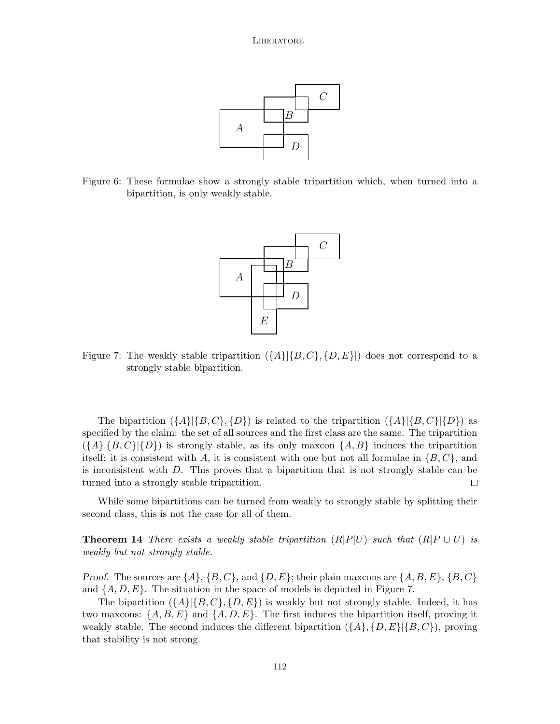

Figure 6: These formulae show a strongly stable tripartition which, when turned into a bipartition, is only weakly stable.



Figure 7: The weakly stable tripartition  $({A} | {B, C}$ ,  ${D, E}$ }) does not correspond to a strongly stable bipartition.

The bipartition  $({A} \mid {B, C}, {D})$  is related to the tripartition  $({A} \mid {B, C} \mid {D})$  as specified by the claim: the set of all sources and the first class are the same. The tripartition  $({A}{\{A\}}|{B,C}\|{D})$  is strongly stable, as its only maxcon  ${A,B}$  induces the tripartition itself: it is consistent with *A*, it is consistent with one but not all formulae in *{B, C}*, and is inconsistent with *D*. This proves that a bipartition that is not strongly stable can be turned into a strongly stable tripartition.  $\Box$ 

While some bipartitions can be turned from weakly to strongly stable by splitting their second class, this is not the case for all of them.

**Theorem 14** *There exists a weakly stable tripartition*  $(R|P|U)$  *such that*  $(R|P \cup U)$  *is weakly but not strongly stable.*

*Proof.* The sources are  $\{A\}$ ,  $\{B, C\}$ , and  $\{D, E\}$ ; their plain maxcons are  $\{A, B, E\}$ ,  $\{B, C\}$ and  $\{A, D, E\}$ . The situation in the space of models is depicted in Figure 7.

The bipartition  $({A} | {B, C}, {D, E})$  is weakly but not strongly stable. Indeed, it has two maxcons:  $\{A, B, E\}$  and  $\{A, D, E\}$ . The first induces the bipartition itself, proving it weakly stable. The second induces the different bipartition  $({A}, {D, E} | {B, C})$ , proving that stability is not strong.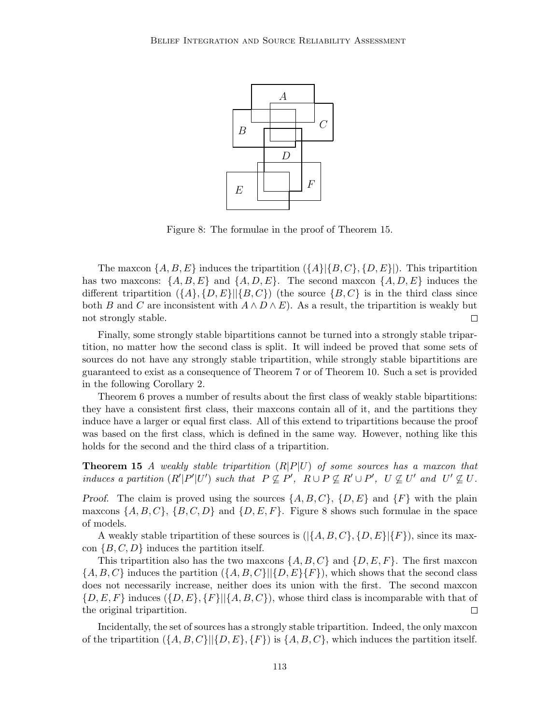

Figure 8: The formulae in the proof of Theorem 15.

The maxcon  $\{A, B, E\}$  induces the tripartition  $(\{A\}|\{B, C\}, \{D, E\})$ . This tripartition has two maxcons:  $\{A, B, E\}$  and  $\{A, D, E\}$ . The second maxcon  $\{A, D, E\}$  induces the different tripartition  $({A}, {D, E}||{B, C})$  (the source  ${B, C}$  is in the third class since both *B* and *C* are inconsistent with  $A \wedge D \wedge E$ . As a result, the tripartition is weakly but not strongly stable.  $\Box$ 

Finally, some strongly stable bipartitions cannot be turned into a strongly stable tripartition, no matter how the second class is split. It will indeed be proved that some sets of sources do not have any strongly stable tripartition, while strongly stable bipartitions are guaranteed to exist as a consequence of Theorem 7 or of Theorem 10. Such a set is provided in the following Corollary 2.

Theorem 6 proves a number of results about the first class of weakly stable bipartitions: they have a consistent first class, their maxcons contain all of it, and the partitions they induce have a larger or equal first class. All of this extend to tripartitions because the proof was based on the first class, which is defined in the same way. However, nothing like this holds for the second and the third class of a tripartition.

**Theorem 15** *A weakly stable tripartition* (*R|P|U*) *of some sources has a maxcon that* induces a partition  $(R'|P'|U')$  such that  $P \nsubseteq P'$ ,  $R \cup P \nsubseteq R' \cup P'$ ,  $U \nsubseteq U'$  and  $U' \nsubseteq U$ .

*Proof.* The claim is proved using the sources  $\{A, B, C\}$ ,  $\{D, E\}$  and  $\{F\}$  with the plain maxcons  $\{A, B, C\}$ ,  $\{B, C, D\}$  and  $\{D, E, F\}$ . Figure 8 shows such formulae in the space of models.

A weakly stable tripartition of these sources is  $(|\{A, B, C\}, \{D, E\}|\{F\})$ , since its maxcon *{B, C, D}* induces the partition itself.

This tripartition also has the two maxcons  $\{A, B, C\}$  and  $\{D, E, F\}$ . The first maxcon  ${A, B, C}$  induces the partition  $({A, B, C}||{D, E}$  $F)$ , which shows that the second class does not necessarily increase, neither does its union with the first. The second maxcon  $\{D, E, F\}$  induces  $(\{D, E\}, \{F\} | \{A, B, C\})$ , whose third class is incomparable with that of the original tripartition.  $\Box$ 

Incidentally, the set of sources has a strongly stable tripartition. Indeed, the only maxcon of the tripartition  $({A, B, C}||{D, E}, {F})$  is  ${A, B, C}$ , which induces the partition itself.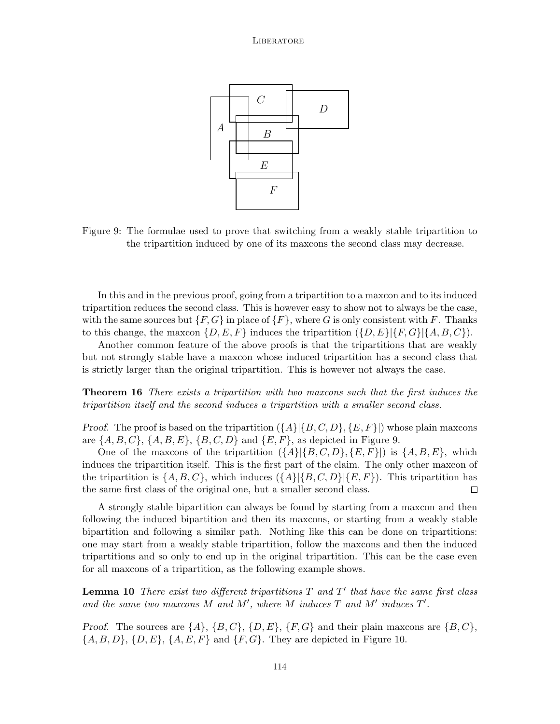

Figure 9: The formulae used to prove that switching from a weakly stable tripartition to the tripartition induced by one of its maxcons the second class may decrease.

In this and in the previous proof, going from a tripartition to a maxcon and to its induced tripartition reduces the second class. This is however easy to show not to always be the case, with the same sources but  ${F, G}$  in place of  ${F}$ , where *G* is only consistent with *F*. Thanks to this change, the maxcon  $\{D, E, F\}$  induces the tripartition  $(\{D, E\} | \{F, G\} | \{A, B, C\})$ .

Another common feature of the above proofs is that the tripartitions that are weakly but not strongly stable have a maxcon whose induced tripartition has a second class that is strictly larger than the original tripartition. This is however not always the case.

**Theorem 16** *There exists a tripartition with two maxcons such that the first induces the tripartition itself and the second induces a tripartition with a smaller second class.*

*Proof.* The proof is based on the tripartition  $({A} | {B, C, D}, {E, F}|)$  whose plain maxcons are *{A, B, C}*, *{A, B, E}*, *{B, C, D}* and *{E, F}*, as depicted in Figure 9.

One of the maxcons of the tripartition  $({A} | {B, C, D}, {E, F}|)$  is  ${A, B, E}$ , which induces the tripartition itself. This is the first part of the claim. The only other maxcon of the tripartition is  $\{A, B, C\}$ , which induces  $(\{A\}|\{B, C, D\}|\{E, F\})$ . This tripartition has the same first class of the original one, but a smaller second class.  $\Box$ 

A strongly stable bipartition can always be found by starting from a maxcon and then following the induced bipartition and then its maxcons, or starting from a weakly stable bipartition and following a similar path. Nothing like this can be done on tripartitions: one may start from a weakly stable tripartition, follow the maxcons and then the induced tripartitions and so only to end up in the original tripartition. This can be the case even for all maxcons of a tripartition, as the following example shows.

**Lemma 10** *There exist two different tripartitions T and T ′ that have the same first class* and the same two maxcons  $M$  and  $M'$ , where  $M$  induces  $T$  and  $M'$  induces  $T'$ .

*Proof.* The sources are  $\{A\}$ ,  $\{B, C\}$ ,  $\{D, E\}$ ,  $\{F, G\}$  and their plain maxcons are  $\{B, C\}$ , *{A, B, D}*, *{D, E}*, *{A, E, F}* and *{F, G}*. They are depicted in Figure 10.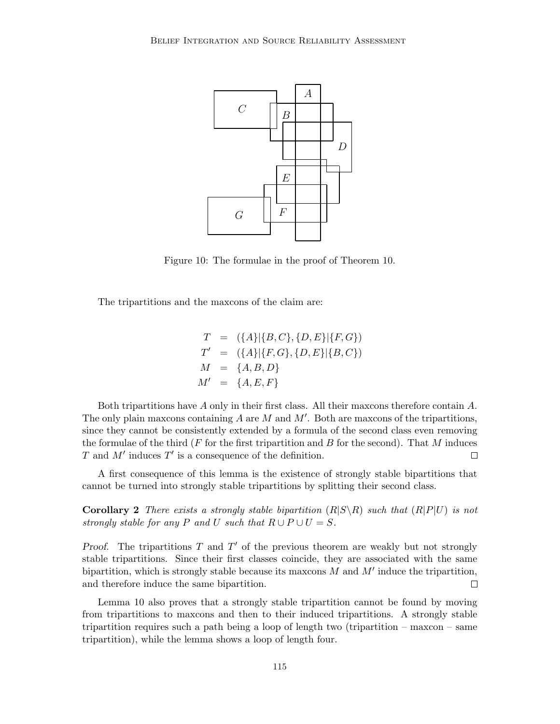

Figure 10: The formulae in the proof of Theorem 10.

The tripartitions and the maxcons of the claim are:

$$
T = (\{A\}|\{B,C\}, \{D,E\}|\{F,G\})
$$
  
\n
$$
T' = (\{A\}|\{F,G\}, \{D,E\}|\{B,C\})
$$
  
\n
$$
M = \{A, B, D\}
$$
  
\n
$$
M' = \{A, E, F\}
$$

Both tripartitions have *A* only in their first class. All their maxcons therefore contain *A*. The only plain maxcons containing *A* are *M* and *M′* . Both are maxcons of the tripartitions, since they cannot be consistently extended by a formula of the second class even removing the formulae of the third (*F* for the first tripartition and *B* for the second). That *M* induces *T* and *M′* induces *T ′* is a consequence of the definition.  $\Box$ 

A first consequence of this lemma is the existence of strongly stable bipartitions that cannot be turned into strongly stable tripartitions by splitting their second class.

**Corollary 2** There exists a strongly stable bipartition  $(R|S\backslash R)$  such that  $(R|P|U)$  is not *strongly stable for any P and U such that*  $R \cup P \cup U = S$ *.* 

*Proof.* The tripartitions *T* and *T ′* of the previous theorem are weakly but not strongly stable tripartitions. Since their first classes coincide, they are associated with the same bipartition, which is strongly stable because its maxcons *M* and *M′* induce the tripartition, and therefore induce the same bipartition.  $\Box$ 

Lemma 10 also proves that a strongly stable tripartition cannot be found by moving from tripartitions to maxcons and then to their induced tripartitions. A strongly stable tripartition requires such a path being a loop of length two (tripartition – maxcon – same tripartition), while the lemma shows a loop of length four.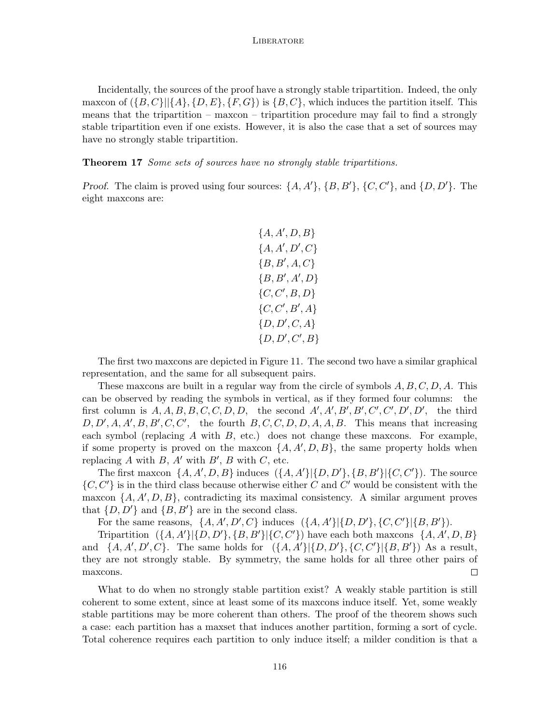Incidentally, the sources of the proof have a strongly stable tripartition. Indeed, the only maxcon of  $(\{B, C\}||\{A\}, \{D, E\}, \{F, G\})$  is  $\{B, C\}$ , which induces the partition itself. This means that the tripartition – maxcon – tripartition procedure may fail to find a strongly stable tripartition even if one exists. However, it is also the case that a set of sources may have no strongly stable tripartition.

**Theorem 17** *Some sets of sources have no strongly stable tripartitions.*

*Proof.* The claim is proved using four sources:  $\{A, A'\}, \{B, B'\}, \{C, C'\}, \text{and } \{D, D'\}.$  The eight maxcons are:

$$
{A, A', D, B} \n{A, A', D', C} \n{B, B', A, C} \n{B, B', A', D} \n{C, C', B, D} \n{C, C', B', A} \n{D, D', C, A} \n{D, D', C', B}
$$

The first two maxcons are depicted in Figure 11. The second two have a similar graphical representation, and the same for all subsequent pairs.

These maxcons are built in a regular way from the circle of symbols *A, B, C, D, A*. This can be observed by reading the symbols in vertical, as if they formed four columns: the first column is  $A, A, B, B, C, C, D, D$ , the second  $A', A', B', B', C', C', D', D'$ , the third  $D, D', A, A', B, B', C, C'$ , the fourth  $B, C, C, D, D, A, A, B$ . This means that increasing each symbol (replacing *A* with *B*, etc.) does not change these maxcons. For example, if some property is proved on the maxcon  $\{A, A', D, B\}$ , the same property holds when replacing  $A$  with  $B$ ,  $A'$  with  $B'$ ,  $B$  with  $C$ , etc.

The first maxcon  $\{A, A', D, B\}$  induces  $(\{A, A'\}|\{D, D'\}, \{B, B'\}|\{C, C'\})$ . The source *{C, C′}* is in the third class because otherwise either *C* and *C ′* would be consistent with the maxcon  $\{A, A', D, B\}$ , contradicting its maximal consistency. A similar argument proves that  $\{D, D'\}$  and  $\{B, B'\}$  are in the second class.

For the same reasons,  $\{A, A', D', C\}$  induces  $(\{A, A'\}|\{D, D'\}, \{C, C'\}|\{B, B'\}).$ 

Tripartition  $(\{A, A'\}|\{D, D'\}, \{B, B'\}|\{C, C'\})$  have each both maxcons  $\{A, A', D, B\}$ and  $\{A, A', D', C\}$ . The same holds for  $(\{A, A'\}|\{D, D'\}, \{C, C'\}|\{B, B'\})$  As a result, they are not strongly stable. By symmetry, the same holds for all three other pairs of maxcons.  $\Box$ 

What to do when no strongly stable partition exist? A weakly stable partition is still coherent to some extent, since at least some of its maxcons induce itself. Yet, some weakly stable partitions may be more coherent than others. The proof of the theorem shows such a case: each partition has a maxset that induces another partition, forming a sort of cycle. Total coherence requires each partition to only induce itself; a milder condition is that a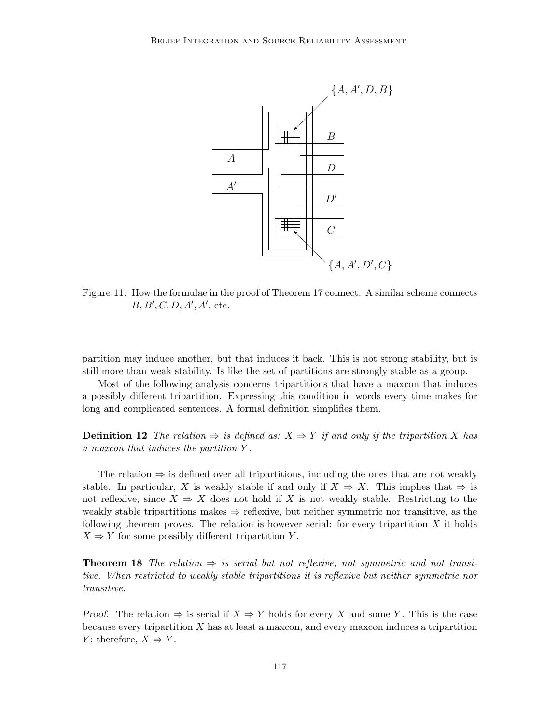

Figure 11: How the formulae in the proof of Theorem 17 connect. A similar scheme connects *B, B′ , C, D, A′ , A′* , etc.

partition may induce another, but that induces it back. This is not strong stability, but is still more than weak stability. Is like the set of partitions are strongly stable as a group.

Most of the following analysis concerns tripartitions that have a maxcon that induces a possibly different tripartition. Expressing this condition in words every time makes for long and complicated sentences. A formal definition simplifies them.

**Definition 12** The relation  $\Rightarrow$  is defined as:  $X \Rightarrow Y$  if and only if the tripartition X has *a maxcon that induces the partition Y .*

The relation *⇒* is defined over all tripartitions, including the ones that are not weakly stable. In particular, *X* is weakly stable if and only if  $X \Rightarrow X$ . This implies that  $\Rightarrow$  is not reflexive, since  $X \Rightarrow X$  does not hold if X is not weakly stable. Restricting to the weakly stable tripartitions makes *⇒* reflexive, but neither symmetric nor transitive, as the following theorem proves. The relation is however serial: for every tripartition *X* it holds  $X \Rightarrow Y$  for some possibly different tripartition *Y*.

**Theorem 18** *The relation*  $\Rightarrow$  *is serial but not reflexive, not symmetric and not transitive. When restricted to weakly stable tripartitions it is reflexive but neither symmetric nor transitive.*

*Proof.* The relation  $\Rightarrow$  is serial if  $X \Rightarrow Y$  holds for every X and some Y. This is the case because every tripartition *X* has at least a maxcon, and every maxcon induces a tripartition *Y*; therefore,  $X \Rightarrow Y$ .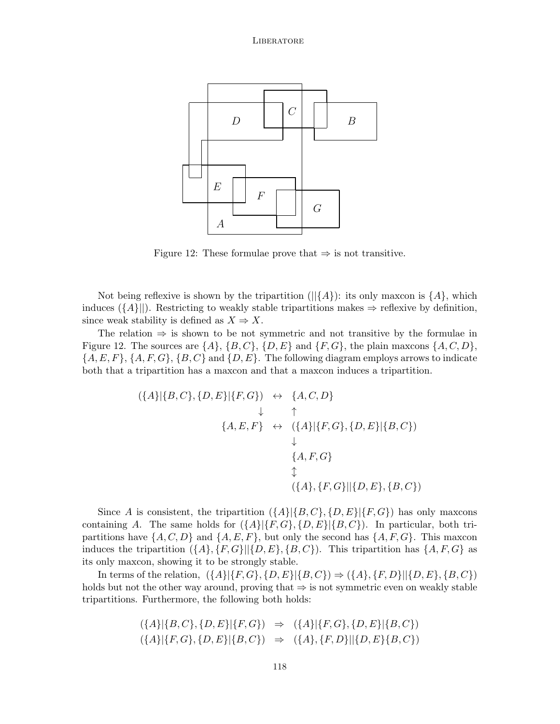

Figure 12: These formulae prove that *⇒* is not transitive.

Not being reflexive is shown by the tripartition ( $\left|\frac{1}{4}\right\rangle$ ): its only maxcon is  $\{A\}$ , which induces  $({A}||)$ . Restricting to weakly stable tripartitions makes  $\Rightarrow$  reflexive by definition, since weak stability is defined as  $X \Rightarrow X$ .

The relation *⇒* is shown to be not symmetric and not transitive by the formulae in Figure 12. The sources are  $\{A\}$ ,  $\{B, C\}$ ,  $\{D, E\}$  and  $\{F, G\}$ , the plain maxcons  $\{A, C, D\}$ , *{A, E, F}*, *{A, F, G}*, *{B, C}* and *{D, E}*. The following diagram employs arrows to indicate both that a tripartition has a maxcon and that a maxcon induces a tripartition.

$$
(\{A\}|\{B,C\},\{D,E\}|\{F,G\}) \leftrightarrow \{A,C,D\} \downarrow \uparrow \{A,E,F\} \leftrightarrow (\{A\}|\{F,G\},\{D,E\}|\{B,C\}) \downarrow \{A,F,G\} \updownarrow \{A,\{F,G\}|\{D,E\},\{B,C\})
$$

Since *A* is consistent, the tripartition  $({A} | {B, C}, {D, E} | {F, G})$  has only maxcons containing *A*. The same holds for  $({A}{\vert {F,G},{F}\vert {D,E}\vert {B,C}})$ . In particular, both tripartitions have  $\{A, C, D\}$  and  $\{A, E, F\}$ , but only the second has  $\{A, F, G\}$ . This maxcon induces the tripartition  $({A}, {F}, G)$ || ${D}, E$ },  ${B}, C$ }). This tripartition has  ${A}, F, G$ } as its only maxcon, showing it to be strongly stable.

In terms of the relation,  $({A} | {F,G}, {D,E} | {B,C} \rangle \Rightarrow ({A}, {F,D} || {D,E}, {B,C} \rangle$ holds but not the other way around, proving that *⇒* is not symmetric even on weakly stable tripartitions. Furthermore, the following both holds:

$$
(\{A\}|\{B,C\},\{D,E\}|\{F,G\}) \Rightarrow (\{A\}|\{F,G\},\{D,E\}|\{B,C\})(\{A\}|\{F,G\},\{D,E\}|\{B,C\}) \Rightarrow (\{A\},\{F,D\}||\{D,E\}\{B,C\})
$$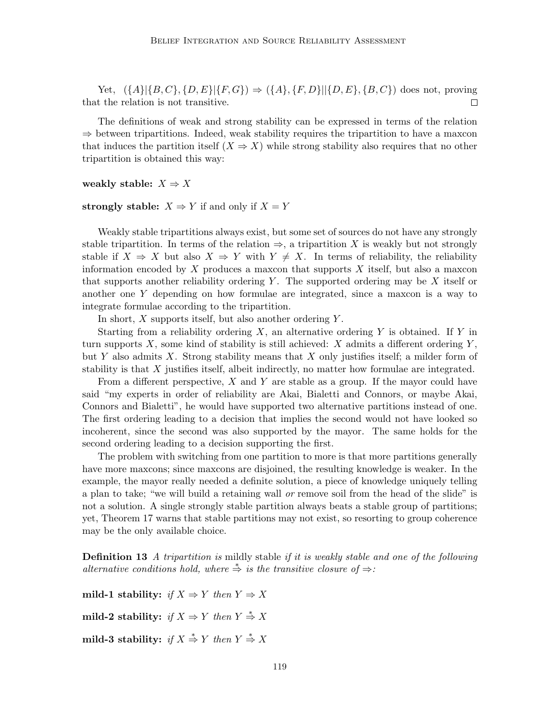Yet,  $({A} | {B,C}, {D, E} | {F,G}) \Rightarrow ({A}, {F,D} || {D,E}, {B,C})$  does not, proving that the relation is not transitive.  $\Box$ 

The definitions of weak and strong stability can be expressed in terms of the relation *⇒* between tripartitions. Indeed, weak stability requires the tripartition to have a maxcon that induces the partition itself  $(X \Rightarrow X)$  while strong stability also requires that no other tripartition is obtained this way:

**weakly stable:**  $X \Rightarrow X$ 

## **strongly stable:**  $X \Rightarrow Y$  if and only if  $X = Y$

Weakly stable tripartitions always exist, but some set of sources do not have any strongly stable tripartition. In terms of the relation  $\Rightarrow$ , a tripartition X is weakly but not strongly stable if  $X \Rightarrow X$  but also  $X \Rightarrow Y$  with  $Y \neq X$ . In terms of reliability, the reliability information encoded by *X* produces a maxcon that supports *X* itself, but also a maxcon that supports another reliability ordering *Y* . The supported ordering may be *X* itself or another one *Y* depending on how formulae are integrated, since a maxcon is a way to integrate formulae according to the tripartition.

In short, *X* supports itself, but also another ordering *Y* .

Starting from a reliability ordering *X*, an alternative ordering *Y* is obtained. If *Y* in turn supports *X*, some kind of stability is still achieved: *X* admits a different ordering *Y* , but *Y* also admits *X*. Strong stability means that *X* only justifies itself; a milder form of stability is that *X* justifies itself, albeit indirectly, no matter how formulae are integrated.

From a different perspective, *X* and *Y* are stable as a group. If the mayor could have said "my experts in order of reliability are Akai, Bialetti and Connors, or maybe Akai, Connors and Bialetti", he would have supported two alternative partitions instead of one. The first ordering leading to a decision that implies the second would not have looked so incoherent, since the second was also supported by the mayor. The same holds for the second ordering leading to a decision supporting the first.

The problem with switching from one partition to more is that more partitions generally have more maxcons; since maxcons are disjoined, the resulting knowledge is weaker. In the example, the mayor really needed a definite solution, a piece of knowledge uniquely telling a plan to take; "we will build a retaining wall *or* remove soil from the head of the slide" is not a solution. A single strongly stable partition always beats a stable group of partitions; yet, Theorem 17 warns that stable partitions may not exist, so resorting to group coherence may be the only available choice.

**Definition 13** *A tripartition is* mildly stable *if it is weakly stable and one of the following alternative conditions hold, where*  $\stackrel{*}{\Rightarrow}$  *is the transitive closure of*  $\Rightarrow$ *:* 

**mild-1 stability:** *if*  $X \Rightarrow Y$  *then*  $Y \Rightarrow X$  $mild-2$  stability: *if*  $X \Rightarrow Y$  *then*  $Y \stackrel{*}{\Rightarrow} X$ 

 $mild-3$  stability: *if*  $X \stackrel{*}{\Rightarrow} Y$  *then*  $Y \stackrel{*}{\Rightarrow} X$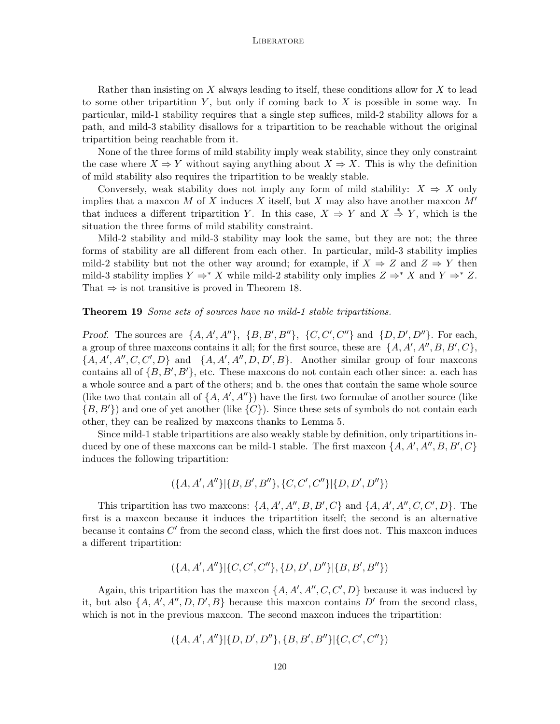Rather than insisting on *X* always leading to itself, these conditions allow for *X* to lead to some other tripartition *Y* , but only if coming back to *X* is possible in some way. In particular, mild-1 stability requires that a single step suffices, mild-2 stability allows for a path, and mild-3 stability disallows for a tripartition to be reachable without the original tripartition being reachable from it.

None of the three forms of mild stability imply weak stability, since they only constraint the case where  $X \Rightarrow Y$  without saying anything about  $X \Rightarrow X$ . This is why the definition of mild stability also requires the tripartition to be weakly stable.

Conversely, weak stability does not imply any form of mild stability:  $X \Rightarrow X$  only implies that a maxcon *M* of *X* induces *X* itself, but *X* may also have another maxcon *M′* that induces a different tripartition *Y*. In this case,  $X \Rightarrow Y$  and  $X \stackrel{*}{\Rightarrow} Y$ , which is the situation the three forms of mild stability constraint.

Mild-2 stability and mild-3 stability may look the same, but they are not; the three forms of stability are all different from each other. In particular, mild-3 stability implies mild-2 stability but not the other way around; for example, if  $X \Rightarrow Z$  and  $Z \Rightarrow Y$  then mild-3 stability implies  $Y \Rightarrow^* X$  while mild-2 stability only implies  $Z \Rightarrow^* X$  and  $Y \Rightarrow^* Z$ . That  $\Rightarrow$  is not transitive is proved in Theorem 18.

## **Theorem 19** *Some sets of sources have no mild-1 stable tripartitions.*

*Proof.* The sources are  $\{A, A', A''\}, \{B, B', B''\}, \{C, C', C''\}$  and  $\{D, D', D''\}.$  For each, a group of three maxcons contains it all; for the first source, these are  $\{A, A', A'', B, B', C\}$ , *{A, A′ , A′′, C, C′ , D}* and *{A, A′ , A′′, D, D′ , B}*. Another similar group of four maxcons contains all of  $\{B, B', B'\}$ , etc. These maxcons do not contain each other since: a. each has a whole source and a part of the others; and b. the ones that contain the same whole source (like two that contain all of  $\{A, A', A''\}$ ) have the first two formulae of another source (like *{B, B′}*) and one of yet another (like *{C}*). Since these sets of symbols do not contain each other, they can be realized by maxcons thanks to Lemma 5.

Since mild-1 stable tripartitions are also weakly stable by definition, only tripartitions induced by one of these maxcons can be mild-1 stable. The first maxcon  $\{A, A', A'', B, B', C\}$ induces the following tripartition:

$$
(\{A, A', A''\}|\{B, B', B''\}, \{C, C', C''\}|\{D, D', D''\})
$$

This tripartition has two maxcons:  $\{A, A', A'', B, B', C\}$  and  $\{A, A', A'', C, C', D\}$ . The first is a maxcon because it induces the tripartition itself; the second is an alternative because it contains C' from the second class, which the first does not. This maxcon induces a different tripartition:

$$
(\{A, A', A''\}|\{C, C', C''\}, \{D, D', D''\}|\{B, B', B''\})
$$

Again, this tripartition has the maxcon  $\{A, A', A'', C, C', D\}$  because it was induced by it, but also  $\{A, A', A'', D, D', B\}$  because this maxcon contains  $D'$  from the second class, which is not in the previous maxcon. The second maxcon induces the tripartition:

$$
(\{A, A', A''\}|\{D, D', D''\}, \{B, B', B''\}|\{C, C', C''\})
$$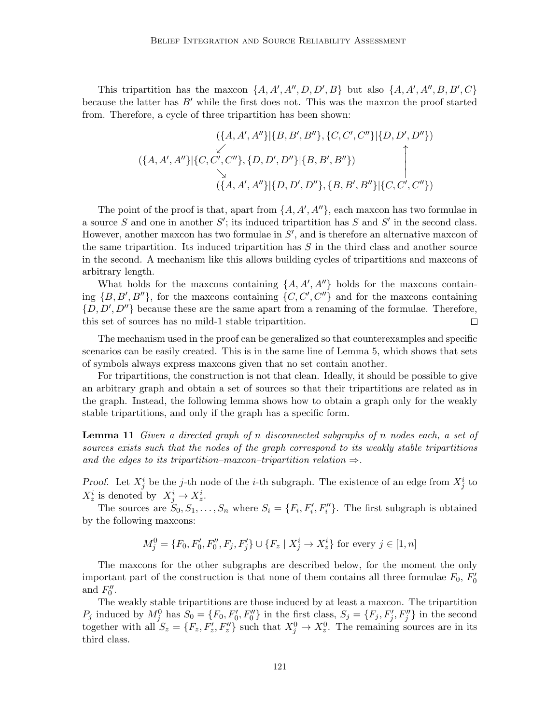This tripartition has the maxcon  $\{A, A', A'', D, D', B\}$  but also  $\{A, A', A'', B, B', C\}$ because the latter has *B′* while the first does not. This was the maxcon the proof started from. Therefore, a cycle of three tripartition has been shown:

$$
(\{A, A', A''\}|\{B, B', B''\}, \{C, C', C''\}|\{D, D', D''\})
$$

$$
(\{A, A', A''\}|\{C, C', C''\}, \{D, D', D''\}|\{B, B', B''\})
$$

$$
\downarrow
$$

$$
(\{A, A', A''\}|\{D, D', D''\}, \{B, B', B''\}|\{C, C', C''\})
$$

The point of the proof is that, apart from  $\{A, A', A''\}$ , each maxcon has two formulae in a source *S* and one in another *S ′* ; its induced tripartition has *S* and *S ′* in the second class. However, another maxcon has two formulae in *S ′* , and is therefore an alternative maxcon of the same tripartition. Its induced tripartition has *S* in the third class and another source in the second. A mechanism like this allows building cycles of tripartitions and maxcons of arbitrary length.

What holds for the maxcons containing  $\{A, A', A''\}$  holds for the maxcons containing  $\{B, B', B''\}$ , for the maxcons containing  $\{C, C', C''\}$  and for the maxcons containing *{D, D′ , D′′}* because these are the same apart from a renaming of the formulae. Therefore, this set of sources has no mild-1 stable tripartition.  $\Box$ 

The mechanism used in the proof can be generalized so that counterexamples and specific scenarios can be easily created. This is in the same line of Lemma 5, which shows that sets of symbols always express maxcons given that no set contain another.

For tripartitions, the construction is not that clean. Ideally, it should be possible to give an arbitrary graph and obtain a set of sources so that their tripartitions are related as in the graph. Instead, the following lemma shows how to obtain a graph only for the weakly stable tripartitions, and only if the graph has a specific form.

**Lemma 11** *Given a directed graph of n disconnected subgraphs of n nodes each, a set of sources exists such that the nodes of the graph correspond to its weakly stable tripartitions and the edges to its tripartition–maxcon–tripartition relation*  $\Rightarrow$ *.* 

*Proof.* Let  $X_j^i$  be the *j*-th node of the *i*-th subgraph. The existence of an edge from  $X_j^i$  to  $X_z^i$  is denoted by  $X_j^i \to X_z^i$ .

The sources are  $S_0, S_1, \ldots, S_n$  where  $S_i = \{F_i, F'_i, F''_i\}$ . The first subgraph is obtained by the following maxcons:

$$
M_j^0 = \{F_0, F_0', F_0'', F_j, F_j'\} \cup \{F_z \mid X_j^i \to X_z^i\} \text{ for every } j \in [1, n]
$$

The maxcons for the other subgraphs are described below, for the moment the only important part of the construction is that none of them contains all three formulae  $F_0$ ,  $F'_0$ and  $F''_0$ .

The weakly stable tripartitions are those induced by at least a maxcon. The tripartition  $P_j$  induced by  $M_j^0$  has  $S_0 = \{F_0, F_0', F_0''\}$  in the first class,  $S_j = \{F_j, F_j', F_j''\}$  in the second together with all  $S_z = \{F_z, F'_z, F''_z\}$  such that  $X_j^0 \to X_z^0$ . The remaining sources are in its third class.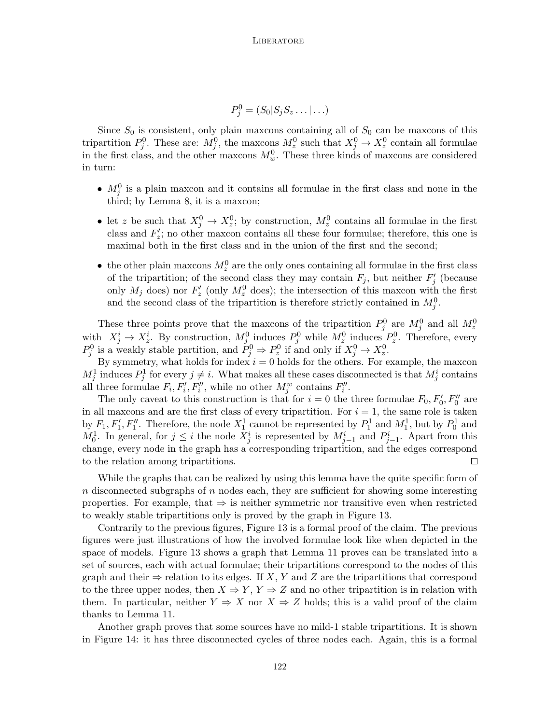$$
P_j^0 = (S_0 | S_j S_z \dots | \dots)
$$

Since  $S_0$  is consistent, only plain maxcons containing all of  $S_0$  can be maxcons of this tripartition  $P_j^0$ . These are:  $M_j^0$ , the maxcons  $M_z^0$  such that  $X_j^0 \to X_z^0$  contain all formulae in the first class, and the other maxcons  $M_w^0$ . These three kinds of maxcons are considered in turn:

- $M_j^0$  is a plain maxcon and it contains all formulae in the first class and none in the third; by Lemma 8, it is a maxcon;
- let *z* be such that  $X_j^0 \to X_z^0$ ; by construction,  $M_z^0$  contains all formulae in the first class and  $F'_{z}$ ; no other maxcon contains all these four formulae; therefore, this one is maximal both in the first class and in the union of the first and the second;
- the other plain maxcons  $M_z^0$  are the only ones containing all formulae in the first class of the tripartition; of the second class they may contain  $F_j$ , but neither  $F'_j$  (because only  $M_j$  does) nor  $F'_z$  (only  $M_z^0$  does); the intersection of this maxcon with the first and the second class of the tripartition is therefore strictly contained in  $M_j^0$ .

These three points prove that the maxcons of the tripartition  $P_j^0$  are  $M_j^0$  and all  $M_z^0$ with  $X_j^i \to X_z^i$ . By construction,  $M_j^0$  induces  $P_j^0$  while  $M_z^0$  induces  $P_z^0$ . Therefore, every  $P_j^0$  is a weakly stable partition, and  $\tilde{P}_j^0 \Rightarrow P_z^0$  if and only if  $X_j^0 \to X_z^0$ .

By symmetry, what holds for index  $i = 0$  holds for the others. For example, the maxcon  $M_j^1$  induces  $P_j^1$  for every  $j \neq i$ . What makes all these cases disconnected is that  $M_j^i$  contains all three formulae  $F_i, F'_i, F''_i$ , while no other  $M_j^w$  contains  $F''_i$ .

The only caveat to this construction is that for  $i = 0$  the three formulae  $F_0, F'_0, F''_0$  are in all maxcons and are the first class of every tripartition. For  $i = 1$ , the same role is taken by  $F_1, F'_1, F''_1$ . Therefore, the node  $X_1^1$  cannot be represented by  $P_1^1$  and  $M_1^1$ , but by  $P_0^1$  and *M*<sup>1</sup><sub>0</sub>. In general, for  $j \leq i$  the node  $X_j^i$  is represented by  $M_{j-1}^i$  and  $P_{j-1}^i$ . Apart from this change, every node in the graph has a corresponding tripartition, and the edges correspond to the relation among tripartitions.  $\Box$ 

While the graphs that can be realized by using this lemma have the quite specific form of *n* disconnected subgraphs of *n* nodes each, they are sufficient for showing some interesting properties. For example, that *⇒* is neither symmetric nor transitive even when restricted to weakly stable tripartitions only is proved by the graph in Figure 13.

Contrarily to the previous figures, Figure 13 is a formal proof of the claim. The previous figures were just illustrations of how the involved formulae look like when depicted in the space of models. Figure 13 shows a graph that Lemma 11 proves can be translated into a set of sources, each with actual formulae; their tripartitions correspond to the nodes of this graph and their  $\Rightarrow$  relation to its edges. If X, Y and Z are the tripartitions that correspond to the three upper nodes, then  $X \Rightarrow Y, Y \Rightarrow Z$  and no other tripartition is in relation with them. In particular, neither  $Y \Rightarrow X$  nor  $X \Rightarrow Z$  holds; this is a valid proof of the claim thanks to Lemma 11.

Another graph proves that some sources have no mild-1 stable tripartitions. It is shown in Figure 14: it has three disconnected cycles of three nodes each. Again, this is a formal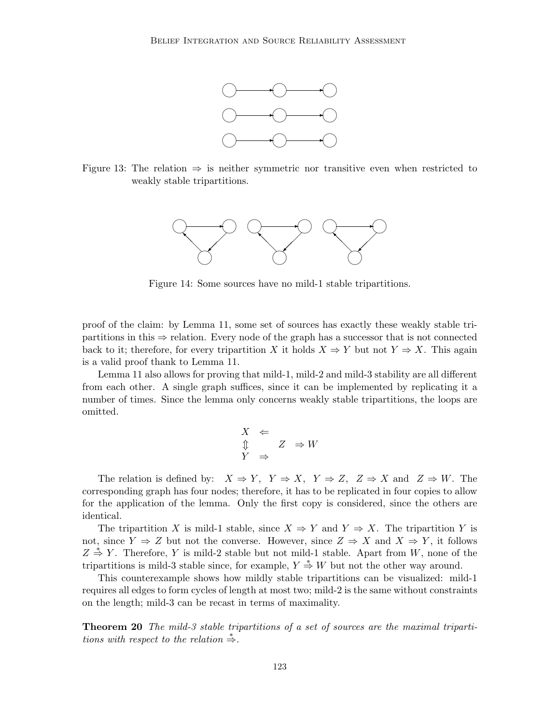

Figure 13: The relation *⇒* is neither symmetric nor transitive even when restricted to weakly stable tripartitions.



Figure 14: Some sources have no mild-1 stable tripartitions.

proof of the claim: by Lemma 11, some set of sources has exactly these weakly stable tripartitions in this *⇒* relation. Every node of the graph has a successor that is not connected back to it; therefore, for every tripartition *X* it holds  $X \Rightarrow Y$  but not  $Y \Rightarrow X$ . This again is a valid proof thank to Lemma 11.

Lemma 11 also allows for proving that mild-1, mild-2 and mild-3 stability are all different from each other. A single graph suffices, since it can be implemented by replicating it a number of times. Since the lemma only concerns weakly stable tripartitions, the loops are omitted.

$$
\begin{array}{ccc}\nX & \Leftarrow & & \\
\updownarrow & & Z & \Rightarrow W \\
Y & \Rightarrow & & \n\end{array}
$$

The relation is defined by:  $X \Rightarrow Y$ ,  $Y \Rightarrow X$ ,  $Y \Rightarrow Z$ ,  $Z \Rightarrow X$  and  $Z \Rightarrow W$ . The corresponding graph has four nodes; therefore, it has to be replicated in four copies to allow for the application of the lemma. Only the first copy is considered, since the others are identical.

The tripartition *X* is mild-1 stable, since  $X \Rightarrow Y$  and  $Y \Rightarrow X$ . The tripartition *Y* is not, since  $Y \Rightarrow Z$  but not the converse. However, since  $Z \Rightarrow X$  and  $X \Rightarrow Y$ , it follows  $Z \stackrel{*}{\Rightarrow} Y$ . Therefore, *Y* is mild-2 stable but not mild-1 stable. Apart from *W*, none of the tripartitions is mild-3 stable since, for example,  $Y \stackrel{*}{\Rightarrow} W$  but not the other way around.

This counterexample shows how mildly stable tripartitions can be visualized: mild-1 requires all edges to form cycles of length at most two; mild-2 is the same without constraints on the length; mild-3 can be recast in terms of maximality.

**Theorem 20** *The mild-3 stable tripartitions of a set of sources are the maximal tripartitions with respect to the relation*  $\stackrel{*}{\Rightarrow}$ *.*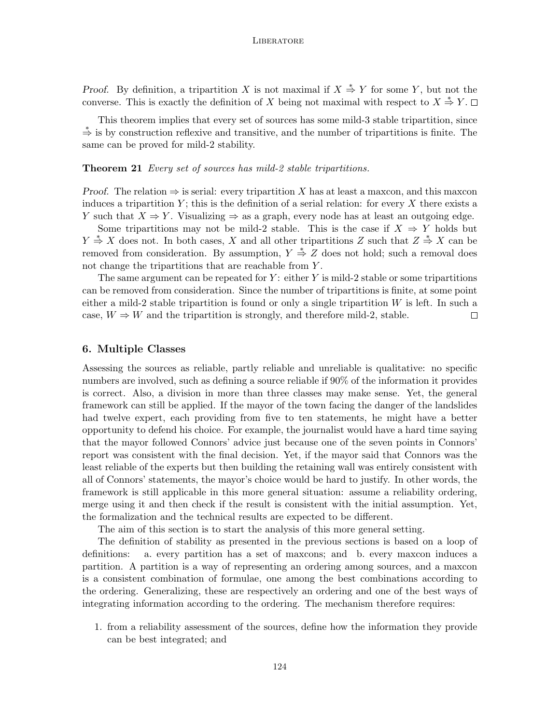*Proof.* By definition, a tripartition *X* is not maximal if  $X \stackrel{*}{\Rightarrow} Y$  for some *Y*, but not the converse. This is exactly the definition of *X* being not maximal with respect to  $X \stackrel{*}{\Rightarrow} Y$ .

This theorem implies that every set of sources has some mild-3 stable tripartition, since *<sup>∗</sup>⇒* is by construction reflexive and transitive, and the number of tripartitions is finite. The same can be proved for mild-2 stability.

#### **Theorem 21** *Every set of sources has mild-2 stable tripartitions.*

*Proof.* The relation  $\Rightarrow$  is serial: every tripartition *X* has at least a maxcon, and this maxcon induces a tripartition  $Y$ ; this is the definition of a serial relation: for every  $X$  there exists a *Y* such that  $X \Rightarrow Y$ . Visualizing  $\Rightarrow$  as a graph, every node has at least an outgoing edge.

Some tripartitions may not be mild-2 stable. This is the case if  $X \Rightarrow Y$  holds but *Y*  $\stackrel{*}{\Rightarrow}$  *X* does not. In both cases, *X* and all other tripartitions *Z* such that *Z*  $\stackrel{*}{\Rightarrow}$  *X* can be removed from consideration. By assumption,  $Y \stackrel{*}{\Rightarrow} Z$  does not hold; such a removal does not change the tripartitions that are reachable from *Y* .

The same argument can be repeated for *Y* : either *Y* is mild-2 stable or some tripartitions can be removed from consideration. Since the number of tripartitions is finite, at some point either a mild-2 stable tripartition is found or only a single tripartition *W* is left. In such a case,  $W \Rightarrow W$  and the tripartition is strongly, and therefore mild-2, stable.  $\Box$ 

#### **6. Multiple Classes**

Assessing the sources as reliable, partly reliable and unreliable is qualitative: no specific numbers are involved, such as defining a source reliable if 90% of the information it provides is correct. Also, a division in more than three classes may make sense. Yet, the general framework can still be applied. If the mayor of the town facing the danger of the landslides had twelve expert, each providing from five to ten statements, he might have a better opportunity to defend his choice. For example, the journalist would have a hard time saying that the mayor followed Connors' advice just because one of the seven points in Connors' report was consistent with the final decision. Yet, if the mayor said that Connors was the least reliable of the experts but then building the retaining wall was entirely consistent with all of Connors' statements, the mayor's choice would be hard to justify. In other words, the framework is still applicable in this more general situation: assume a reliability ordering, merge using it and then check if the result is consistent with the initial assumption. Yet, the formalization and the technical results are expected to be different.

The aim of this section is to start the analysis of this more general setting.

The definition of stability as presented in the previous sections is based on a loop of definitions: a. every partition has a set of maxcons; and b. every maxcon induces a partition. A partition is a way of representing an ordering among sources, and a maxcon is a consistent combination of formulae, one among the best combinations according to the ordering. Generalizing, these are respectively an ordering and one of the best ways of integrating information according to the ordering. The mechanism therefore requires:

1. from a reliability assessment of the sources, define how the information they provide can be best integrated; and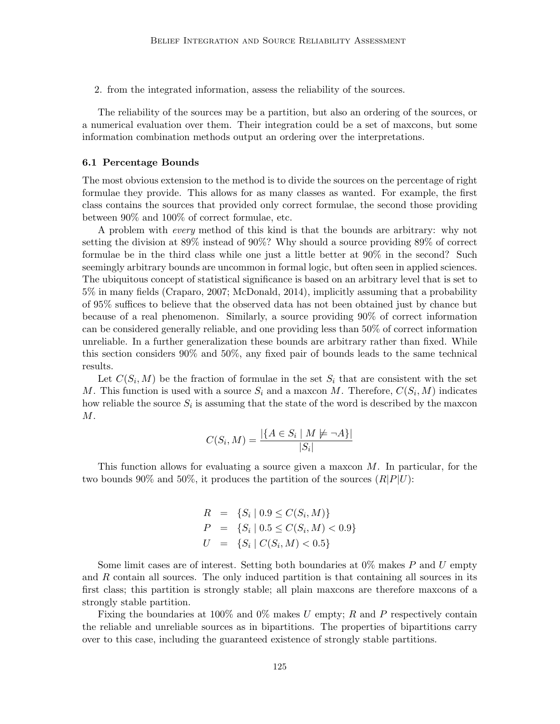2. from the integrated information, assess the reliability of the sources.

The reliability of the sources may be a partition, but also an ordering of the sources, or a numerical evaluation over them. Their integration could be a set of maxcons, but some information combination methods output an ordering over the interpretations.

#### **6.1 Percentage Bounds**

The most obvious extension to the method is to divide the sources on the percentage of right formulae they provide. This allows for as many classes as wanted. For example, the first class contains the sources that provided only correct formulae, the second those providing between 90% and 100% of correct formulae, etc.

A problem with *every* method of this kind is that the bounds are arbitrary: why not setting the division at 89% instead of 90%? Why should a source providing 89% of correct formulae be in the third class while one just a little better at 90% in the second? Such seemingly arbitrary bounds are uncommon in formal logic, but often seen in applied sciences. The ubiquitous concept of statistical significance is based on an arbitrary level that is set to 5% in many fields (Craparo, 2007; McDonald, 2014), implicitly assuming that a probability of 95% suffices to believe that the observed data has not been obtained just by chance but because of a real phenomenon. Similarly, a source providing 90% of correct information can be considered generally reliable, and one providing less than 50% of correct information unreliable. In a further generalization these bounds are arbitrary rather than fixed. While this section considers 90% and 50%, any fixed pair of bounds leads to the same technical results.

Let  $C(S_i, M)$  be the fraction of formulae in the set  $S_i$  that are consistent with the set *M*. This function is used with a source  $S_i$  and a maxcon *M*. Therefore,  $C(S_i, M)$  indicates how reliable the source  $S_i$  is assuming that the state of the word is described by the maxcon *M*.

$$
C(S_i, M) = \frac{|\{A \in S_i \mid M \not\models \neg A\}|}{|S_i|}
$$

This function allows for evaluating a source given a maxcon *M*. In particular, for the two bounds 90% and 50%, it produces the partition of the sources  $(R|P|U)$ :

$$
R = \{S_i \mid 0.9 \le C(S_i, M)\}
$$
  
\n
$$
P = \{S_i \mid 0.5 \le C(S_i, M) < 0.9\}
$$
  
\n
$$
U = \{S_i \mid C(S_i, M) < 0.5\}
$$

Some limit cases are of interest. Setting both boundaries at 0% makes *P* and *U* empty and *R* contain all sources. The only induced partition is that containing all sources in its first class; this partition is strongly stable; all plain maxcons are therefore maxcons of a strongly stable partition.

Fixing the boundaries at 100% and 0% makes *U* empty; *R* and *P* respectively contain the reliable and unreliable sources as in bipartitions. The properties of bipartitions carry over to this case, including the guaranteed existence of strongly stable partitions.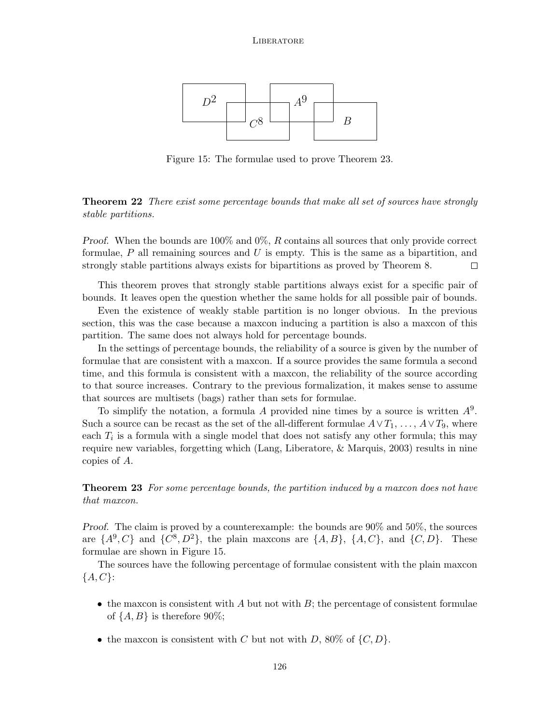

Figure 15: The formulae used to prove Theorem 23.

**Theorem 22** *There exist some percentage bounds that make all set of sources have strongly stable partitions.*

*Proof.* When the bounds are 100% and 0%, *R* contains all sources that only provide correct formulae, *P* all remaining sources and *U* is empty. This is the same as a bipartition, and strongly stable partitions always exists for bipartitions as proved by Theorem 8.  $\Box$ 

This theorem proves that strongly stable partitions always exist for a specific pair of bounds. It leaves open the question whether the same holds for all possible pair of bounds.

Even the existence of weakly stable partition is no longer obvious. In the previous section, this was the case because a maxcon inducing a partition is also a maxcon of this partition. The same does not always hold for percentage bounds.

In the settings of percentage bounds, the reliability of a source is given by the number of formulae that are consistent with a maxcon. If a source provides the same formula a second time, and this formula is consistent with a maxcon, the reliability of the source according to that source increases. Contrary to the previous formalization, it makes sense to assume that sources are multisets (bags) rather than sets for formulae.

To simplify the notation, a formula *A* provided nine times by a source is written *A*<sup>9</sup> . Such a source can be recast as the set of the all-different formulae  $A \vee T_1, \ldots, A \vee T_9$ , where each  $T_i$  is a formula with a single model that does not satisfy any other formula; this may require new variables, forgetting which (Lang, Liberatore, & Marquis, 2003) results in nine copies of *A*.

**Theorem 23** *For some percentage bounds, the partition induced by a maxcon does not have that maxcon.*

*Proof.* The claim is proved by a counterexample: the bounds are 90% and 50%, the sources are  $\{A^9, C\}$  and  $\{C^8, D^2\}$ , the plain maxcons are  $\{A, B\}$ ,  $\{A, C\}$ , and  $\{C, D\}$ . These formulae are shown in Figure 15.

The sources have the following percentage of formulae consistent with the plain maxcon *{A, C}*:

- the maxcon is consistent with *A* but not with *B*; the percentage of consistent formulae of  $\{A, B\}$  is therefore 90%;
- the maxcon is consistent with *C* but not with *D*, 80% of  $\{C, D\}$ .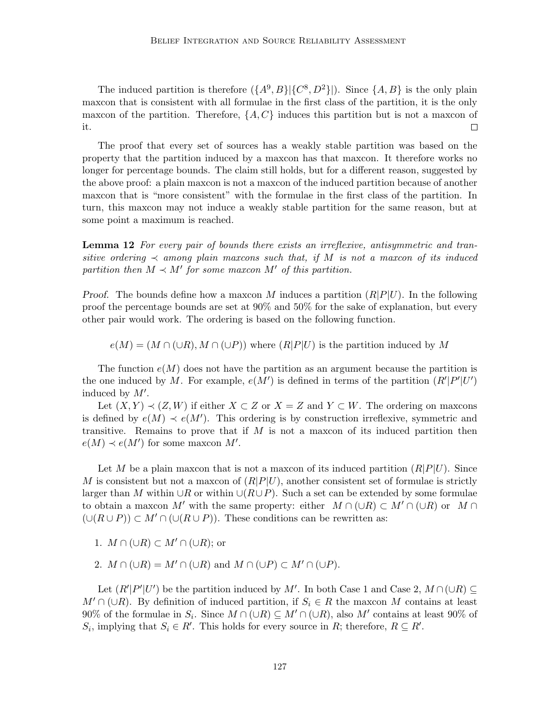The induced partition is therefore  $({A}^{9}, B) | {C}^{8}, D^{2} |$ . Since  ${A, B}$  is the only plain maxcon that is consistent with all formulae in the first class of the partition, it is the only maxcon of the partition. Therefore,  $\{A, C\}$  induces this partition but is not a maxcon of it.  $\Box$ 

The proof that every set of sources has a weakly stable partition was based on the property that the partition induced by a maxcon has that maxcon. It therefore works no longer for percentage bounds. The claim still holds, but for a different reason, suggested by the above proof: a plain maxcon is not a maxcon of the induced partition because of another maxcon that is "more consistent" with the formulae in the first class of the partition. In turn, this maxcon may not induce a weakly stable partition for the same reason, but at some point a maximum is reached.

**Lemma 12** *For every pair of bounds there exists an irreflexive, antisymmetric and transitive ordering*  $\prec$  *among plain maxcons such that, if M is not a maxcon of its induced partition then*  $M \prec M'$  *for some maxcon*  $M'$  *of this partition.* 

*Proof.* The bounds define how a maxcon *M* induces a partition (*R|P|U*). In the following proof the percentage bounds are set at 90% and 50% for the sake of explanation, but every other pair would work. The ordering is based on the following function.

 $e(M) = (M \cap (\cup R), M \cap (\cup P))$  where  $(R|P|U)$  is the partition induced by M

The function  $e(M)$  does not have the partition as an argument because the partition is the one induced by M. For example,  $e(M')$  is defined in terms of the partition  $(R'|P'|U')$ induced by *M′* .

Let  $(X, Y) \prec (Z, W)$  if either  $X \subset Z$  or  $X = Z$  and  $Y \subset W$ . The ordering on maxcons is defined by  $e(M) \prec e(M')$ . This ordering is by construction irreflexive, symmetric and transitive. Remains to prove that if *M* is not a maxcon of its induced partition then  $e(M) \prec e(M')$  for some maxcon *M'*.

Let *M* be a plain maxcon that is not a maxcon of its induced partition  $(R|P|U)$ . Since *M* is consistent but not a maxcon of  $(R|P|U)$ , another consistent set of formulae is strictly larger than *M* within *∪R* or within *∪*(*R∪P*). Such a set can be extended by some formulae to obtain a maxcon *M'* with the same property: either  $M \cap (\cup R) \subset M' \cap (\cup R)$  or  $M \cap$  $(∪(R∪P)) ⊂ M' ∩ (∪(R∪P))$ . These conditions can be rewritten as:

- 1.  $M \cap (\cup R) \subset M' \cap (\cup R)$ ; or
- 2.  $M \cap (\cup R) = M' \cap (\cup R)$  and  $M \cap (\cup P) \subset M' \cap (\cup P)$ .

Let  $(R'|P'|U')$  be the partition induced by M'. In both Case 1 and Case 2,  $M \cap (\cup R) \subseteq$ *M*<sup> $′$ </sup> ∩ (∪*R*). By definition of induced partition, if  $S_i$  ∈ *R* the maxcon *M* contains at least 90% of the formulae in  $S_i$ . Since  $M \cap (\cup R) \subseteq M' \cap (\cup R)$ , also  $M'$  contains at least 90% of  $S_i$ , implying that  $S_i \in R'$ . This holds for every source in *R*; therefore,  $R \subseteq R'$ .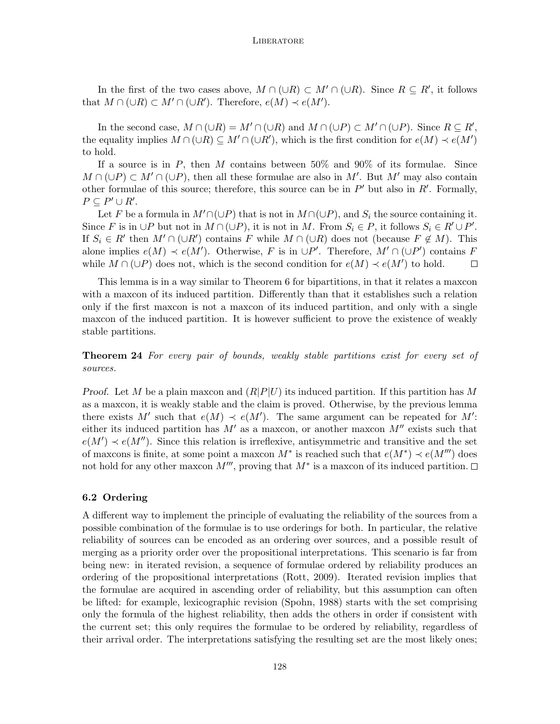In the first of the two cases above,  $M \cap (\cup R) \subset M' \cap (\cup R)$ . Since  $R \subseteq R'$ , it follows that  $M \cap (\cup R) \subset M' \cap (\cup R')$ . Therefore,  $e(M) \prec e(M')$ .

In the second case,  $M \cap (\cup R) = M' \cap (\cup R)$  and  $M \cap (\cup P) \subset M' \cap (\cup P)$ . Since  $R \subseteq R'$ , the equality implies  $M \cap (\cup R) \subseteq M' \cap (\cup R')$ , which is the first condition for  $e(M) \prec e(M')$ to hold.

If a source is in *P*, then *M* contains between 50% and 90% of its formulae. Since  $M \cap (\cup P) \subset M' \cap (\cup P)$ , then all these formulae are also in M'. But M' may also contain other formulae of this source; therefore, this source can be in  $P'$  but also in  $R'$ . Formally,  $P \subseteq P' \cup R'.$ 

Let *F* be a formula in  $M' \cap (\cup P)$  that is not in  $M \cap (\cup P)$ , and *S<sub>i</sub>* the source containing it. Since F is in  $\cup P$  but not in  $M \cap (\cup P)$ , it is not in M. From  $S_i \in P$ , it follows  $S_i \in R' \cup P'$ . If  $S_i \in R'$  then  $M' \cap (\cup R')$  contains  $F$  while  $M \cap (\cup R)$  does not (because  $F \notin M$ ). This alone implies  $e(M) \prec e(M')$ . Otherwise, *F* is in  $\cup P'$ . Therefore,  $M' \cap (\cup P')$  contains *F* while  $M \cap (\cup P)$  does not, which is the second condition for  $e(M) \prec e(M')$  to hold.  $\Box$ 

This lemma is in a way similar to Theorem 6 for bipartitions, in that it relates a maxcon with a maxcon of its induced partition. Differently than that it establishes such a relation only if the first maxcon is not a maxcon of its induced partition, and only with a single maxcon of the induced partition. It is however sufficient to prove the existence of weakly stable partitions.

**Theorem 24** *For every pair of bounds, weakly stable partitions exist for every set of sources.*

*Proof.* Let *M* be a plain maxcon and (*R|P|U*) its induced partition. If this partition has *M* as a maxcon, it is weakly stable and the claim is proved. Otherwise, by the previous lemma there exists M' such that  $e(M) \prec e(M')$ . The same argument can be repeated for M': either its induced partition has  $M'$  as a maxcon, or another maxcon  $M''$  exists such that  $e(M') \prec e(M'')$ . Since this relation is irreflexive, antisymmetric and transitive and the set of maxcons is finite, at some point a maxcon  $M^*$  is reached such that  $e(M^*) \prec e(M''')$  does not hold for any other maxcon *M′′′*, proving that *M∗* is a maxcon of its induced partition.

## **6.2 Ordering**

A different way to implement the principle of evaluating the reliability of the sources from a possible combination of the formulae is to use orderings for both. In particular, the relative reliability of sources can be encoded as an ordering over sources, and a possible result of merging as a priority order over the propositional interpretations. This scenario is far from being new: in iterated revision, a sequence of formulae ordered by reliability produces an ordering of the propositional interpretations (Rott, 2009). Iterated revision implies that the formulae are acquired in ascending order of reliability, but this assumption can often be lifted: for example, lexicographic revision (Spohn, 1988) starts with the set comprising only the formula of the highest reliability, then adds the others in order if consistent with the current set; this only requires the formulae to be ordered by reliability, regardless of their arrival order. The interpretations satisfying the resulting set are the most likely ones;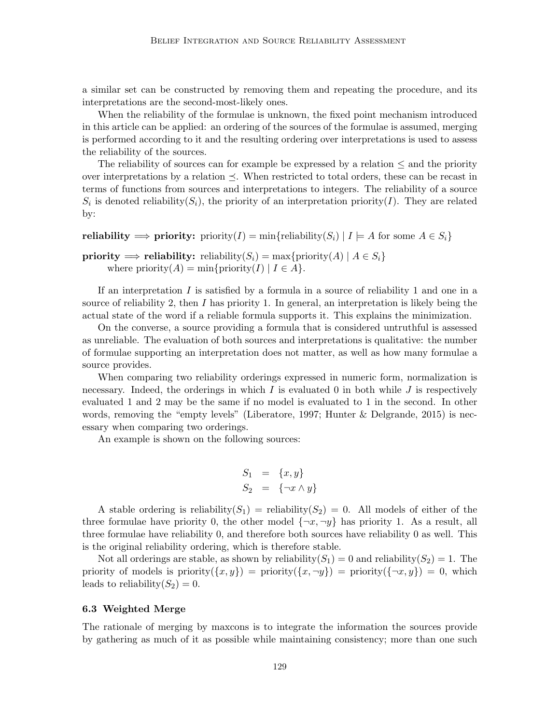a similar set can be constructed by removing them and repeating the procedure, and its interpretations are the second-most-likely ones.

When the reliability of the formulae is unknown, the fixed point mechanism introduced in this article can be applied: an ordering of the sources of the formulae is assumed, merging is performed according to it and the resulting ordering over interpretations is used to assess the reliability of the sources.

The reliability of sources can for example be expressed by a relation *≤* and the priority over interpretations by a relation  $\preceq$ . When restricted to total orders, these can be recast in terms of functions from sources and interpretations to integers. The reliability of a source  $S_i$  is denoted reliability( $S_i$ ), the priority of an interpretation priority(*I*). They are related by:

**reliability**  $\Rightarrow$  **priority:** priority(*I*) = min{reliability(*S*<sup>*i*</sup>) | *I*  $\models$  *A* for some *A*  $∈$  *S*<sup>*i*</sup>}

```
priority \implies reliability: reliability(S<sub>i</sub>) = max{priority(A) | A \in S_i}
      where priority(A) = min{priority(I) | I \in A }.
```
If an interpretation *I* is satisfied by a formula in a source of reliability 1 and one in a source of reliability 2, then *I* has priority 1. In general, an interpretation is likely being the actual state of the word if a reliable formula supports it. This explains the minimization.

On the converse, a source providing a formula that is considered untruthful is assessed as unreliable. The evaluation of both sources and interpretations is qualitative: the number of formulae supporting an interpretation does not matter, as well as how many formulae a source provides.

When comparing two reliability orderings expressed in numeric form, normalization is necessary. Indeed, the orderings in which  $I$  is evaluated 0 in both while  $J$  is respectively evaluated 1 and 2 may be the same if no model is evaluated to 1 in the second. In other words, removing the "empty levels" (Liberatore, 1997; Hunter  $\&$  Delgrande, 2015) is necessary when comparing two orderings.

An example is shown on the following sources:

$$
S_1 = \{x, y\}
$$
  

$$
S_2 = \{\neg x \land y\}
$$

A stable ordering is reliability( $S_1$ ) = reliability( $S_2$ ) = 0. All models of either of the three formulae have priority 0, the other model  $\{\neg x, \neg y\}$  has priority 1. As a result, all three formulae have reliability 0, and therefore both sources have reliability 0 as well. This is the original reliability ordering, which is therefore stable.

Not all orderings are stable, as shown by reliability( $S_1$ ) = 0 and reliability( $S_2$ ) = 1. The priority of models is priority( $\{x, y\}$ ) = priority( $\{\neg x, \neg y\}$ ) = 0, which leads to reliability $(S_2) = 0$ .

## **6.3 Weighted Merge**

The rationale of merging by maxcons is to integrate the information the sources provide by gathering as much of it as possible while maintaining consistency; more than one such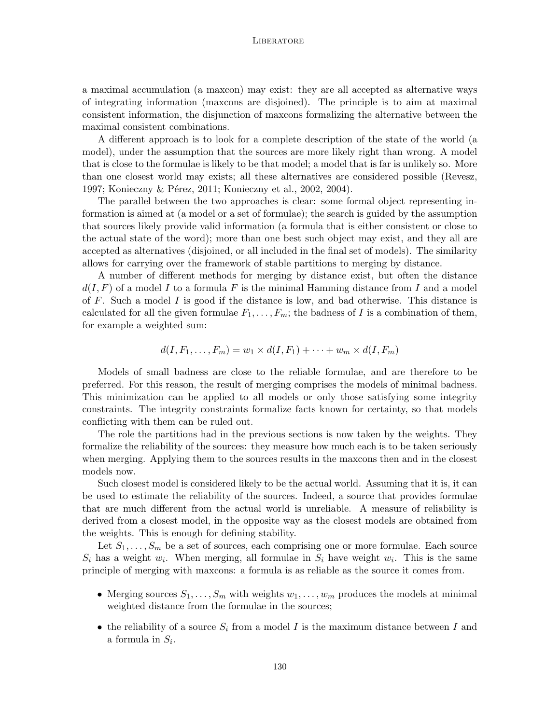a maximal accumulation (a maxcon) may exist: they are all accepted as alternative ways of integrating information (maxcons are disjoined). The principle is to aim at maximal consistent information, the disjunction of maxcons formalizing the alternative between the maximal consistent combinations.

A different approach is to look for a complete description of the state of the world (a model), under the assumption that the sources are more likely right than wrong. A model that is close to the formulae is likely to be that model; a model that is far is unlikely so. More than one closest world may exists; all these alternatives are considered possible (Revesz, 1997; Konieczny & Pérez, 2011; Konieczny et al., 2002, 2004).

The parallel between the two approaches is clear: some formal object representing information is aimed at (a model or a set of formulae); the search is guided by the assumption that sources likely provide valid information (a formula that is either consistent or close to the actual state of the word); more than one best such object may exist, and they all are accepted as alternatives (disjoined, or all included in the final set of models). The similarity allows for carrying over the framework of stable partitions to merging by distance.

A number of different methods for merging by distance exist, but often the distance  $d(I, F)$  of a model I to a formula F is the minimal Hamming distance from I and a model of *F*. Such a model *I* is good if the distance is low, and bad otherwise. This distance is calculated for all the given formulae  $F_1, \ldots, F_m$ ; the badness of *I* is a combination of them, for example a weighted sum:

$$
d(I, F_1, \ldots, F_m) = w_1 \times d(I, F_1) + \cdots + w_m \times d(I, F_m)
$$

Models of small badness are close to the reliable formulae, and are therefore to be preferred. For this reason, the result of merging comprises the models of minimal badness. This minimization can be applied to all models or only those satisfying some integrity constraints. The integrity constraints formalize facts known for certainty, so that models conflicting with them can be ruled out.

The role the partitions had in the previous sections is now taken by the weights. They formalize the reliability of the sources: they measure how much each is to be taken seriously when merging. Applying them to the sources results in the maxcons then and in the closest models now.

Such closest model is considered likely to be the actual world. Assuming that it is, it can be used to estimate the reliability of the sources. Indeed, a source that provides formulae that are much different from the actual world is unreliable. A measure of reliability is derived from a closest model, in the opposite way as the closest models are obtained from the weights. This is enough for defining stability.

Let  $S_1, \ldots, S_m$  be a set of sources, each comprising one or more formulae. Each source  $S_i$  has a weight  $w_i$ . When merging, all formulae in  $S_i$  have weight  $w_i$ . This is the same principle of merging with maxcons: a formula is as reliable as the source it comes from.

- Merging sources  $S_1, \ldots, S_m$  with weights  $w_1, \ldots, w_m$  produces the models at minimal weighted distance from the formulae in the sources;
- *•* the reliability of a source *S<sup>i</sup>* from a model *I* is the maximum distance between *I* and a formula in *S<sup>i</sup>* .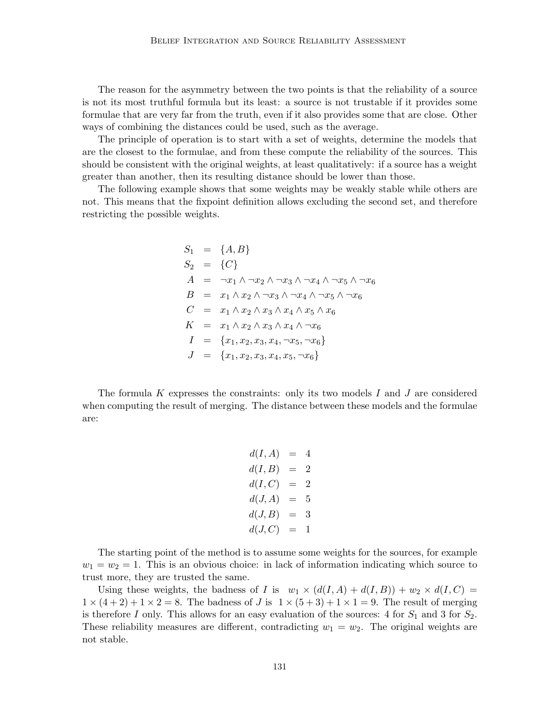The reason for the asymmetry between the two points is that the reliability of a source is not its most truthful formula but its least: a source is not trustable if it provides some formulae that are very far from the truth, even if it also provides some that are close. Other ways of combining the distances could be used, such as the average.

The principle of operation is to start with a set of weights, determine the models that are the closest to the formulae, and from these compute the reliability of the sources. This should be consistent with the original weights, at least qualitatively: if a source has a weight greater than another, then its resulting distance should be lower than those.

The following example shows that some weights may be weakly stable while others are not. This means that the fixpoint definition allows excluding the second set, and therefore restricting the possible weights.

$$
S_1 = \{A, B\}
$$
  
\n
$$
S_2 = \{C\}
$$
  
\n
$$
A = \neg x_1 \land \neg x_2 \land \neg x_3 \land \neg x_4 \land \neg x_5 \land \neg x_6
$$
  
\n
$$
B = x_1 \land x_2 \land \neg x_3 \land \neg x_4 \land \neg x_5 \land \neg x_6
$$
  
\n
$$
C = x_1 \land x_2 \land x_3 \land x_4 \land x_5 \land x_6
$$
  
\n
$$
K = x_1 \land x_2 \land x_3 \land x_4 \land \neg x_6
$$
  
\n
$$
I = \{x_1, x_2, x_3, x_4, \neg x_5, \neg x_6\}
$$
  
\n
$$
J = \{x_1, x_2, x_3, x_4, x_5, \neg x_6\}
$$

The formula *K* expresses the constraints: only its two models *I* and *J* are considered when computing the result of merging. The distance between these models and the formulae are:

$$
d(I, A) = 4\n d(I, B) = 2\n d(I, C) = 2\n d(J, A) = 5\n d(J, B) = 3\n d(J, C) = 1
$$

The starting point of the method is to assume some weights for the sources, for example  $w_1 = w_2 = 1$ . This is an obvious choice: in lack of information indicating which source to trust more, they are trusted the same.

Using these weights, the badness of *I* is  $w_1 \times (d(I, A) + d(I, B)) + w_2 \times d(I, C) =$  $1 \times (4+2) + 1 \times 2 = 8$ . The badness of *J* is  $1 \times (5+3) + 1 \times 1 = 9$ . The result of merging is therefore *I* only. This allows for an easy evaluation of the sources: 4 for  $S_1$  and 3 for  $S_2$ . These reliability measures are different, contradicting  $w_1 = w_2$ . The original weights are not stable.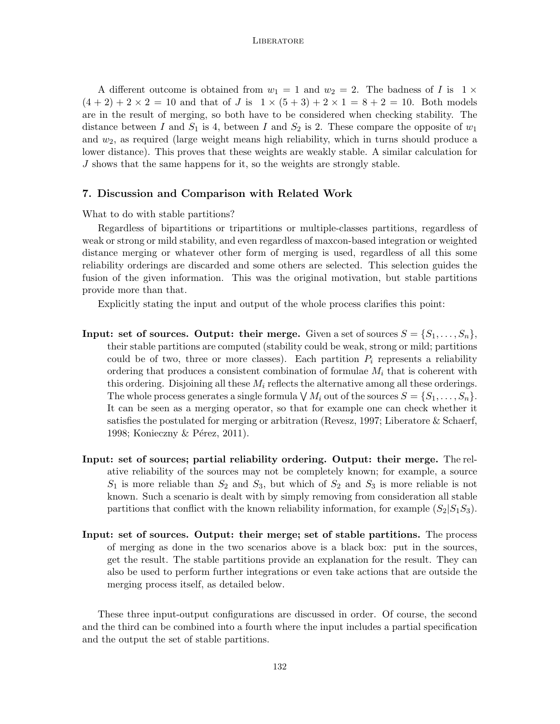A different outcome is obtained from  $w_1 = 1$  and  $w_2 = 2$ . The badness of *I* is  $1 \times$  $(4 + 2) + 2 \times 2 = 10$  and that of *J* is  $1 \times (5 + 3) + 2 \times 1 = 8 + 2 = 10$ . Both models are in the result of merging, so both have to be considered when checking stability. The distance between *I* and  $S_1$  is 4, between *I* and  $S_2$  is 2. These compare the opposite of  $w_1$ and *w*2, as required (large weight means high reliability, which in turns should produce a lower distance). This proves that these weights are weakly stable. A similar calculation for *J* shows that the same happens for it, so the weights are strongly stable.

## **7. Discussion and Comparison with Related Work**

What to do with stable partitions?

Regardless of bipartitions or tripartitions or multiple-classes partitions, regardless of weak or strong or mild stability, and even regardless of maxcon-based integration or weighted distance merging or whatever other form of merging is used, regardless of all this some reliability orderings are discarded and some others are selected. This selection guides the fusion of the given information. This was the original motivation, but stable partitions provide more than that.

Explicitly stating the input and output of the whole process clarifies this point:

- **Input: set of sources. Output: their merge.** Given a set of sources  $S = \{S_1, \ldots, S_n\}$ , their stable partitions are computed (stability could be weak, strong or mild; partitions could be of two, three or more classes). Each partition  $P_i$  represents a reliability ordering that produces a consistent combination of formulae *M<sup>i</sup>* that is coherent with this ordering. Disjoining all these *M<sup>i</sup>* reflects the alternative among all these orderings. The whole process generates a single formula  $\bigvee M_i$  out of the sources  $S = \{S_1, \ldots, S_n\}$ . It can be seen as a merging operator, so that for example one can check whether it satisfies the postulated for merging or arbitration (Revesz, 1997; Liberatore & Schaerf, 1998; Konieczny & Pérez, 2011).
- **Input: set of sources; partial reliability ordering. Output: their merge.** The relative reliability of the sources may not be completely known; for example, a source *S*<sup>1</sup> is more reliable than *S*<sup>2</sup> and *S*3, but which of *S*<sup>2</sup> and *S*<sup>3</sup> is more reliable is not known. Such a scenario is dealt with by simply removing from consideration all stable partitions that conflict with the known reliability information, for example  $(S_2|S_1S_3)$ .
- **Input: set of sources. Output: their merge; set of stable partitions.** The process of merging as done in the two scenarios above is a black box: put in the sources, get the result. The stable partitions provide an explanation for the result. They can also be used to perform further integrations or even take actions that are outside the merging process itself, as detailed below.

These three input-output configurations are discussed in order. Of course, the second and the third can be combined into a fourth where the input includes a partial specification and the output the set of stable partitions.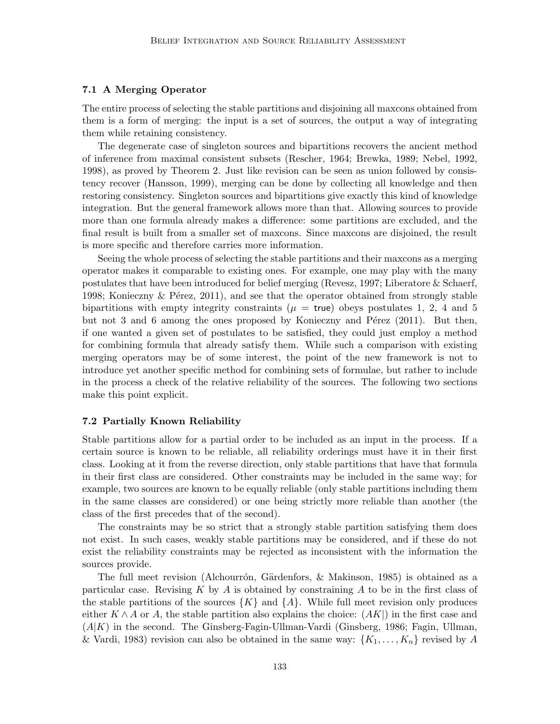#### **7.1 A Merging Operator**

The entire process of selecting the stable partitions and disjoining all maxcons obtained from them is a form of merging: the input is a set of sources, the output a way of integrating them while retaining consistency.

The degenerate case of singleton sources and bipartitions recovers the ancient method of inference from maximal consistent subsets (Rescher, 1964; Brewka, 1989; Nebel, 1992, 1998), as proved by Theorem 2. Just like revision can be seen as union followed by consistency recover (Hansson, 1999), merging can be done by collecting all knowledge and then restoring consistency. Singleton sources and bipartitions give exactly this kind of knowledge integration. But the general framework allows more than that. Allowing sources to provide more than one formula already makes a difference: some partitions are excluded, and the final result is built from a smaller set of maxcons. Since maxcons are disjoined, the result is more specific and therefore carries more information.

Seeing the whole process of selecting the stable partitions and their maxcons as a merging operator makes it comparable to existing ones. For example, one may play with the many postulates that have been introduced for belief merging (Revesz, 1997; Liberatore & Schaerf, 1998; Konieczny  $\&$  Pérez, 2011), and see that the operator obtained from strongly stable bipartitions with empty integrity constraints ( $\mu$  = true) obeys postulates 1, 2, 4 and 5 but not 3 and 6 among the ones proposed by Konieczny and Pérez  $(2011)$ . But then, if one wanted a given set of postulates to be satisfied, they could just employ a method for combining formula that already satisfy them. While such a comparison with existing merging operators may be of some interest, the point of the new framework is not to introduce yet another specific method for combining sets of formulae, but rather to include in the process a check of the relative reliability of the sources. The following two sections make this point explicit.

#### **7.2 Partially Known Reliability**

Stable partitions allow for a partial order to be included as an input in the process. If a certain source is known to be reliable, all reliability orderings must have it in their first class. Looking at it from the reverse direction, only stable partitions that have that formula in their first class are considered. Other constraints may be included in the same way; for example, two sources are known to be equally reliable (only stable partitions including them in the same classes are considered) or one being strictly more reliable than another (the class of the first precedes that of the second).

The constraints may be so strict that a strongly stable partition satisfying them does not exist. In such cases, weakly stable partitions may be considered, and if these do not exist the reliability constraints may be rejected as inconsistent with the information the sources provide.

The full meet revision (Alchourrón, Gärdenfors,  $\&$  Makinson, 1985) is obtained as a particular case. Revising *K* by *A* is obtained by constraining *A* to be in the first class of the stable partitions of the sources  $\{K\}$  and  $\{A\}$ . While full meet revision only produces either  $K \wedge A$  or  $A$ , the stable partition also explains the choice:  $(AK)$  in the first case and (*A|K*) in the second. The Ginsberg-Fagin-Ullman-Vardi (Ginsberg, 1986; Fagin, Ullman, & Vardi, 1983) revision can also be obtained in the same way:  $\{K_1, \ldots, K_n\}$  revised by A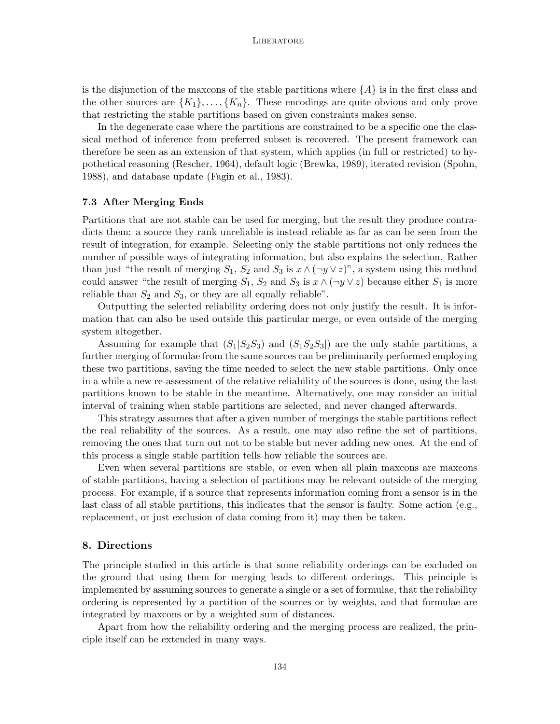is the disjunction of the maxcons of the stable partitions where  ${A}$  is in the first class and the other sources are  $\{K_1\},\ldots,\{K_n\}$ . These encodings are quite obvious and only prove that restricting the stable partitions based on given constraints makes sense.

In the degenerate case where the partitions are constrained to be a specific one the classical method of inference from preferred subset is recovered. The present framework can therefore be seen as an extension of that system, which applies (in full or restricted) to hypothetical reasoning (Rescher, 1964), default logic (Brewka, 1989), iterated revision (Spohn, 1988), and database update (Fagin et al., 1983).

#### **7.3 After Merging Ends**

Partitions that are not stable can be used for merging, but the result they produce contradicts them: a source they rank unreliable is instead reliable as far as can be seen from the result of integration, for example. Selecting only the stable partitions not only reduces the number of possible ways of integrating information, but also explains the selection. Rather than just "the result of merging  $S_1$ ,  $S_2$  and  $S_3$  is  $x \wedge (\neg y \vee z)$ ", a system using this method could answer "the result of merging  $S_1$ ,  $S_2$  and  $S_3$  is  $x \wedge (\neg y \vee z)$  because either  $S_1$  is more reliable than  $S_2$  and  $S_3$ , or they are all equally reliable".

Outputting the selected reliability ordering does not only justify the result. It is information that can also be used outside this particular merge, or even outside of the merging system altogether.

Assuming for example that  $(S_1|S_2S_3)$  and  $(S_1S_2S_3)$  are the only stable partitions, a further merging of formulae from the same sources can be preliminarily performed employing these two partitions, saving the time needed to select the new stable partitions. Only once in a while a new re-assessment of the relative reliability of the sources is done, using the last partitions known to be stable in the meantime. Alternatively, one may consider an initial interval of training when stable partitions are selected, and never changed afterwards.

This strategy assumes that after a given number of mergings the stable partitions reflect the real reliability of the sources. As a result, one may also refine the set of partitions, removing the ones that turn out not to be stable but never adding new ones. At the end of this process a single stable partition tells how reliable the sources are.

Even when several partitions are stable, or even when all plain maxcons are maxcons of stable partitions, having a selection of partitions may be relevant outside of the merging process. For example, if a source that represents information coming from a sensor is in the last class of all stable partitions, this indicates that the sensor is faulty. Some action (e.g., replacement, or just exclusion of data coming from it) may then be taken.

## **8. Directions**

The principle studied in this article is that some reliability orderings can be excluded on the ground that using them for merging leads to different orderings. This principle is implemented by assuming sources to generate a single or a set of formulae, that the reliability ordering is represented by a partition of the sources or by weights, and that formulae are integrated by maxcons or by a weighted sum of distances.

Apart from how the reliability ordering and the merging process are realized, the principle itself can be extended in many ways.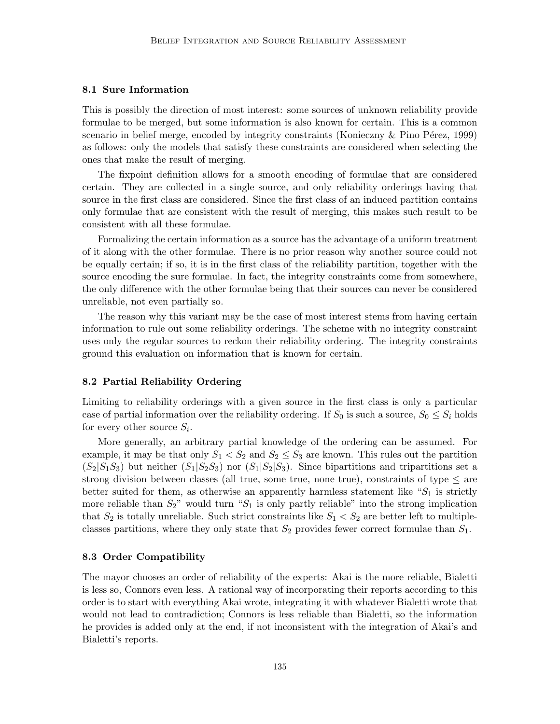## **8.1 Sure Information**

This is possibly the direction of most interest: some sources of unknown reliability provide formulae to be merged, but some information is also known for certain. This is a common scenario in belief merge, encoded by integrity constraints (Konieczny & Pino Pérez, 1999) as follows: only the models that satisfy these constraints are considered when selecting the ones that make the result of merging.

The fixpoint definition allows for a smooth encoding of formulae that are considered certain. They are collected in a single source, and only reliability orderings having that source in the first class are considered. Since the first class of an induced partition contains only formulae that are consistent with the result of merging, this makes such result to be consistent with all these formulae.

Formalizing the certain information as a source has the advantage of a uniform treatment of it along with the other formulae. There is no prior reason why another source could not be equally certain; if so, it is in the first class of the reliability partition, together with the source encoding the sure formulae. In fact, the integrity constraints come from somewhere, the only difference with the other formulae being that their sources can never be considered unreliable, not even partially so.

The reason why this variant may be the case of most interest stems from having certain information to rule out some reliability orderings. The scheme with no integrity constraint uses only the regular sources to reckon their reliability ordering. The integrity constraints ground this evaluation on information that is known for certain.

#### **8.2 Partial Reliability Ordering**

Limiting to reliability orderings with a given source in the first class is only a particular case of partial information over the reliability ordering. If  $S_0$  is such a source,  $S_0 \leq S_i$  holds for every other source  $S_i$ .

More generally, an arbitrary partial knowledge of the ordering can be assumed. For example, it may be that only  $S_1 < S_2$  and  $S_2 \leq S_3$  are known. This rules out the partition  $(S_2|S_1S_3)$  but neither  $(S_1|S_2S_3)$  nor  $(S_1|S_2|S_3)$ . Since bipartitions and tripartitions set a strong division between classes (all true, some true, none true), constraints of type *≤* are better suited for them, as otherwise an apparently harmless statement like "*S*<sup>1</sup> is strictly more reliable than *S*2" would turn "*S*<sup>1</sup> is only partly reliable" into the strong implication that  $S_2$  is totally unreliable. Such strict constraints like  $S_1 < S_2$  are better left to multipleclasses partitions, where they only state that *S*<sup>2</sup> provides fewer correct formulae than *S*1.

#### **8.3 Order Compatibility**

The mayor chooses an order of reliability of the experts: Akai is the more reliable, Bialetti is less so, Connors even less. A rational way of incorporating their reports according to this order is to start with everything Akai wrote, integrating it with whatever Bialetti wrote that would not lead to contradiction; Connors is less reliable than Bialetti, so the information he provides is added only at the end, if not inconsistent with the integration of Akai's and Bialetti's reports.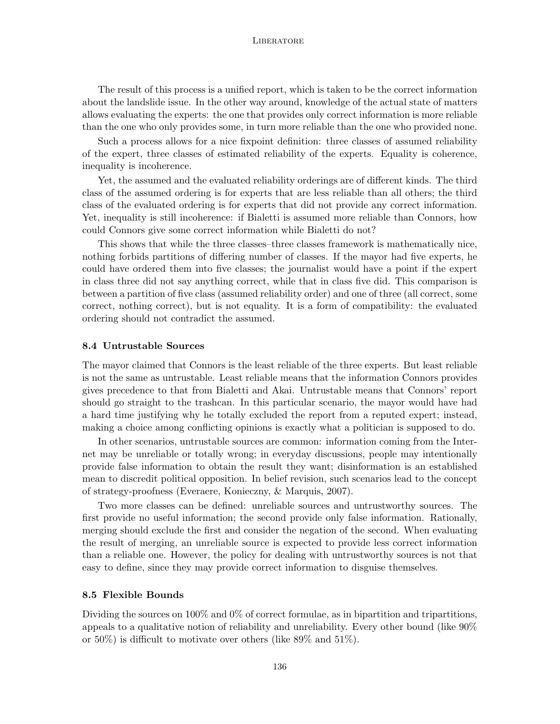The result of this process is a unified report, which is taken to be the correct information about the landslide issue. In the other way around, knowledge of the actual state of matters allows evaluating the experts: the one that provides only correct information is more reliable than the one who only provides some, in turn more reliable than the one who provided none.

Such a process allows for a nice fixpoint definition: three classes of assumed reliability of the expert, three classes of estimated reliability of the experts. Equality is coherence, inequality is incoherence.

Yet, the assumed and the evaluated reliability orderings are of different kinds. The third class of the assumed ordering is for experts that are less reliable than all others; the third class of the evaluated ordering is for experts that did not provide any correct information. Yet, inequality is still incoherence: if Bialetti is assumed more reliable than Connors, how could Connors give some correct information while Bialetti do not?

This shows that while the three classes–three classes framework is mathematically nice, nothing forbids partitions of differing number of classes. If the mayor had five experts, he could have ordered them into five classes; the journalist would have a point if the expert in class three did not say anything correct, while that in class five did. This comparison is between a partition of five class (assumed reliability order) and one of three (all correct, some correct, nothing correct), but is not equality. It is a form of compatibility: the evaluated ordering should not contradict the assumed.

## **8.4 Untrustable Sources**

The mayor claimed that Connors is the least reliable of the three experts. But least reliable is not the same as untrustable. Least reliable means that the information Connors provides gives precedence to that from Bialetti and Akai. Untrustable means that Connors' report should go straight to the trashcan. In this particular scenario, the mayor would have had a hard time justifying why he totally excluded the report from a reputed expert; instead, making a choice among conflicting opinions is exactly what a politician is supposed to do.

In other scenarios, untrustable sources are common: information coming from the Internet may be unreliable or totally wrong; in everyday discussions, people may intentionally provide false information to obtain the result they want; disinformation is an established mean to discredit political opposition. In belief revision, such scenarios lead to the concept of strategy-proofness (Everaere, Konieczny, & Marquis, 2007).

Two more classes can be defined: unreliable sources and untrustworthy sources. The first provide no useful information; the second provide only false information. Rationally, merging should exclude the first and consider the negation of the second. When evaluating the result of merging, an unreliable source is expected to provide less correct information than a reliable one. However, the policy for dealing with untrustworthy sources is not that easy to define, since they may provide correct information to disguise themselves.

#### **8.5 Flexible Bounds**

Dividing the sources on 100% and 0% of correct formulae, as in bipartition and tripartitions, appeals to a qualitative notion of reliability and unreliability. Every other bound (like 90% or 50%) is difficult to motivate over others (like 89% and 51%).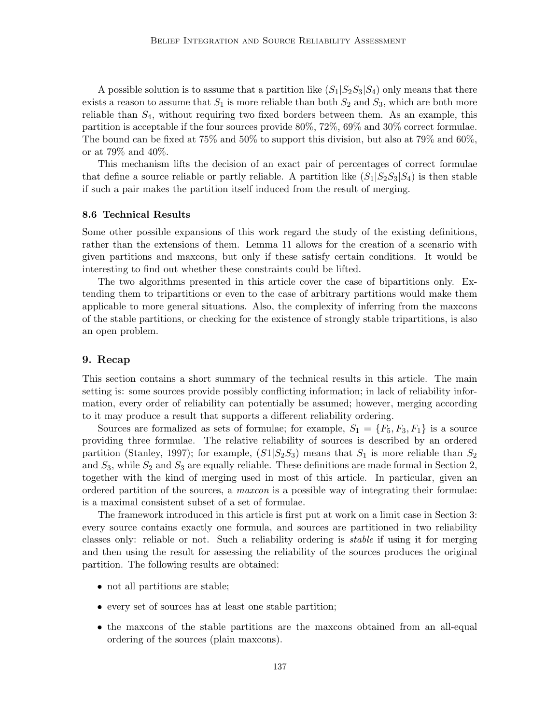A possible solution is to assume that a partition like  $(S_1|S_2S_3|S_4)$  only means that there exists a reason to assume that  $S_1$  is more reliable than both  $S_2$  and  $S_3$ , which are both more reliable than *S*4, without requiring two fixed borders between them. As an example, this partition is acceptable if the four sources provide 80%, 72%, 69% and 30% correct formulae. The bound can be fixed at 75% and 50% to support this division, but also at 79% and 60%, or at 79% and 40%.

This mechanism lifts the decision of an exact pair of percentages of correct formulae that define a source reliable or partly reliable. A partition like  $(S_1|S_2S_3|S_4)$  is then stable if such a pair makes the partition itself induced from the result of merging.

#### **8.6 Technical Results**

Some other possible expansions of this work regard the study of the existing definitions, rather than the extensions of them. Lemma 11 allows for the creation of a scenario with given partitions and maxcons, but only if these satisfy certain conditions. It would be interesting to find out whether these constraints could be lifted.

The two algorithms presented in this article cover the case of bipartitions only. Extending them to tripartitions or even to the case of arbitrary partitions would make them applicable to more general situations. Also, the complexity of inferring from the maxcons of the stable partitions, or checking for the existence of strongly stable tripartitions, is also an open problem.

## **9. Recap**

This section contains a short summary of the technical results in this article. The main setting is: some sources provide possibly conflicting information; in lack of reliability information, every order of reliability can potentially be assumed; however, merging according to it may produce a result that supports a different reliability ordering.

Sources are formalized as sets of formulae; for example,  $S_1 = \{F_5, F_3, F_1\}$  is a source providing three formulae. The relative reliability of sources is described by an ordered partition (Stanley, 1997); for example,  $(S1|S_2S_3)$  means that  $S_1$  is more reliable than  $S_2$ and  $S_3$ , while  $S_2$  and  $S_3$  are equally reliable. These definitions are made formal in Section 2, together with the kind of merging used in most of this article. In particular, given an ordered partition of the sources, a *maxcon* is a possible way of integrating their formulae: is a maximal consistent subset of a set of formulae.

The framework introduced in this article is first put at work on a limit case in Section 3: every source contains exactly one formula, and sources are partitioned in two reliability classes only: reliable or not. Such a reliability ordering is *stable* if using it for merging and then using the result for assessing the reliability of the sources produces the original partition. The following results are obtained:

- not all partitions are stable;
- every set of sources has at least one stable partition;
- the maxcons of the stable partitions are the maxcons obtained from an all-equal ordering of the sources (plain maxcons).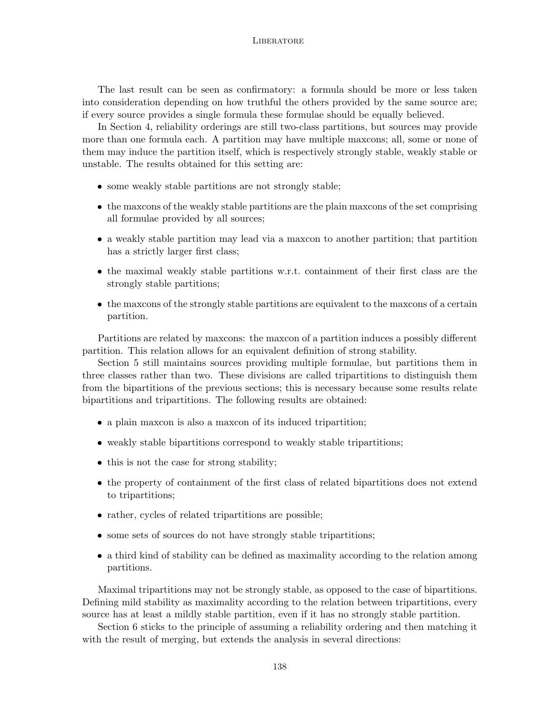The last result can be seen as confirmatory: a formula should be more or less taken into consideration depending on how truthful the others provided by the same source are; if every source provides a single formula these formulae should be equally believed.

In Section 4, reliability orderings are still two-class partitions, but sources may provide more than one formula each. A partition may have multiple maxcons; all, some or none of them may induce the partition itself, which is respectively strongly stable, weakly stable or unstable. The results obtained for this setting are:

- some weakly stable partitions are not strongly stable;
- the maxcons of the weakly stable partitions are the plain maxcons of the set comprising all formulae provided by all sources;
- a weakly stable partition may lead via a maxcon to another partition; that partition has a strictly larger first class;
- the maximal weakly stable partitions w.r.t. containment of their first class are the strongly stable partitions;
- the maxcons of the strongly stable partitions are equivalent to the maxcons of a certain partition.

Partitions are related by maxcons: the maxcon of a partition induces a possibly different partition. This relation allows for an equivalent definition of strong stability.

Section 5 still maintains sources providing multiple formulae, but partitions them in three classes rather than two. These divisions are called tripartitions to distinguish them from the bipartitions of the previous sections; this is necessary because some results relate bipartitions and tripartitions. The following results are obtained:

- a plain maxcon is also a maxcon of its induced tripartition;
- weakly stable bipartitions correspond to weakly stable tripartitions;
- this is not the case for strong stability;
- the property of containment of the first class of related bipartitions does not extend to tripartitions;
- rather, cycles of related tripartitions are possible;
- some sets of sources do not have strongly stable tripartitions;
- a third kind of stability can be defined as maximality according to the relation among partitions.

Maximal tripartitions may not be strongly stable, as opposed to the case of bipartitions. Defining mild stability as maximality according to the relation between tripartitions, every source has at least a mildly stable partition, even if it has no strongly stable partition.

Section 6 sticks to the principle of assuming a reliability ordering and then matching it with the result of merging, but extends the analysis in several directions: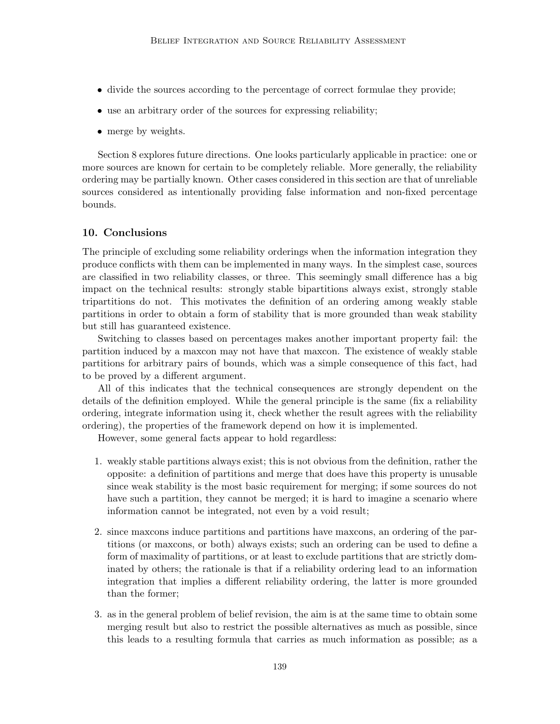- divide the sources according to the percentage of correct formulae they provide;
- use an arbitrary order of the sources for expressing reliability;
- *•* merge by weights.

Section 8 explores future directions. One looks particularly applicable in practice: one or more sources are known for certain to be completely reliable. More generally, the reliability ordering may be partially known. Other cases considered in this section are that of unreliable sources considered as intentionally providing false information and non-fixed percentage bounds.

## **10. Conclusions**

The principle of excluding some reliability orderings when the information integration they produce conflicts with them can be implemented in many ways. In the simplest case, sources are classified in two reliability classes, or three. This seemingly small difference has a big impact on the technical results: strongly stable bipartitions always exist, strongly stable tripartitions do not. This motivates the definition of an ordering among weakly stable partitions in order to obtain a form of stability that is more grounded than weak stability but still has guaranteed existence.

Switching to classes based on percentages makes another important property fail: the partition induced by a maxcon may not have that maxcon. The existence of weakly stable partitions for arbitrary pairs of bounds, which was a simple consequence of this fact, had to be proved by a different argument.

All of this indicates that the technical consequences are strongly dependent on the details of the definition employed. While the general principle is the same (fix a reliability ordering, integrate information using it, check whether the result agrees with the reliability ordering), the properties of the framework depend on how it is implemented.

However, some general facts appear to hold regardless:

- 1. weakly stable partitions always exist; this is not obvious from the definition, rather the opposite: a definition of partitions and merge that does have this property is unusable since weak stability is the most basic requirement for merging; if some sources do not have such a partition, they cannot be merged; it is hard to imagine a scenario where information cannot be integrated, not even by a void result;
- 2. since maxcons induce partitions and partitions have maxcons, an ordering of the partitions (or maxcons, or both) always exists; such an ordering can be used to define a form of maximality of partitions, or at least to exclude partitions that are strictly dominated by others; the rationale is that if a reliability ordering lead to an information integration that implies a different reliability ordering, the latter is more grounded than the former;
- 3. as in the general problem of belief revision, the aim is at the same time to obtain some merging result but also to restrict the possible alternatives as much as possible, since this leads to a resulting formula that carries as much information as possible; as a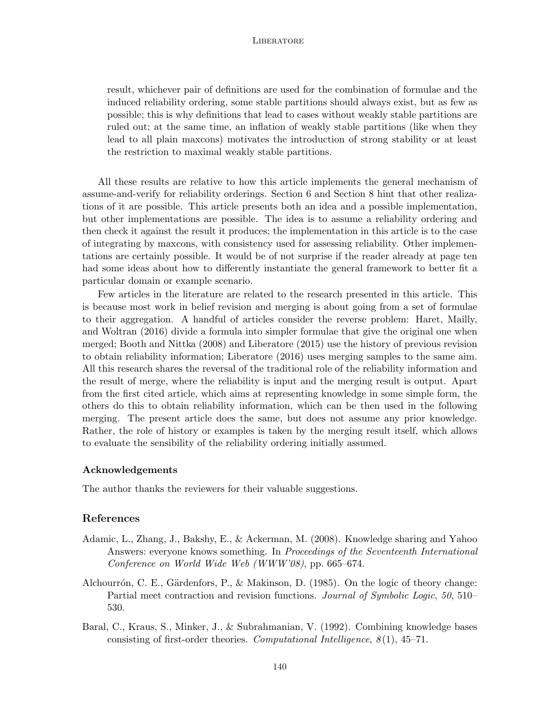result, whichever pair of definitions are used for the combination of formulae and the induced reliability ordering, some stable partitions should always exist, but as few as possible; this is why definitions that lead to cases without weakly stable partitions are ruled out; at the same time, an inflation of weakly stable partitions (like when they lead to all plain maxcons) motivates the introduction of strong stability or at least the restriction to maximal weakly stable partitions.

All these results are relative to how this article implements the general mechanism of assume-and-verify for reliability orderings. Section 6 and Section 8 hint that other realizations of it are possible. This article presents both an idea and a possible implementation, but other implementations are possible. The idea is to assume a reliability ordering and then check it against the result it produces; the implementation in this article is to the case of integrating by maxcons, with consistency used for assessing reliability. Other implementations are certainly possible. It would be of not surprise if the reader already at page ten had some ideas about how to differently instantiate the general framework to better fit a particular domain or example scenario.

Few articles in the literature are related to the research presented in this article. This is because most work in belief revision and merging is about going from a set of formulae to their aggregation. A handful of articles consider the reverse problem: Haret, Mailly, and Woltran (2016) divide a formula into simpler formulae that give the original one when merged; Booth and Nittka (2008) and Liberatore (2015) use the history of previous revision to obtain reliability information; Liberatore (2016) uses merging samples to the same aim. All this research shares the reversal of the traditional role of the reliability information and the result of merge, where the reliability is input and the merging result is output. Apart from the first cited article, which aims at representing knowledge in some simple form, the others do this to obtain reliability information, which can be then used in the following merging. The present article does the same, but does not assume any prior knowledge. Rather, the role of history or examples is taken by the merging result itself, which allows to evaluate the sensibility of the reliability ordering initially assumed.

#### **Acknowledgements**

The author thanks the reviewers for their valuable suggestions.

#### **References**

- Adamic, L., Zhang, J., Bakshy, E., & Ackerman, M. (2008). Knowledge sharing and Yahoo Answers: everyone knows something. In *Proceedings of the Seventeenth International Conference on World Wide Web (WWW'08)*, pp. 665–674.
- Alchourrón, C. E., Gärdenfors, P., & Makinson, D.  $(1985)$ . On the logic of theory change: Partial meet contraction and revision functions. *Journal of Symbolic Logic*, *50*, 510– 530.
- Baral, C., Kraus, S., Minker, J., & Subrahmanian, V. (1992). Combining knowledge bases consisting of first-order theories. *Computational Intelligence*, *8* (1), 45–71.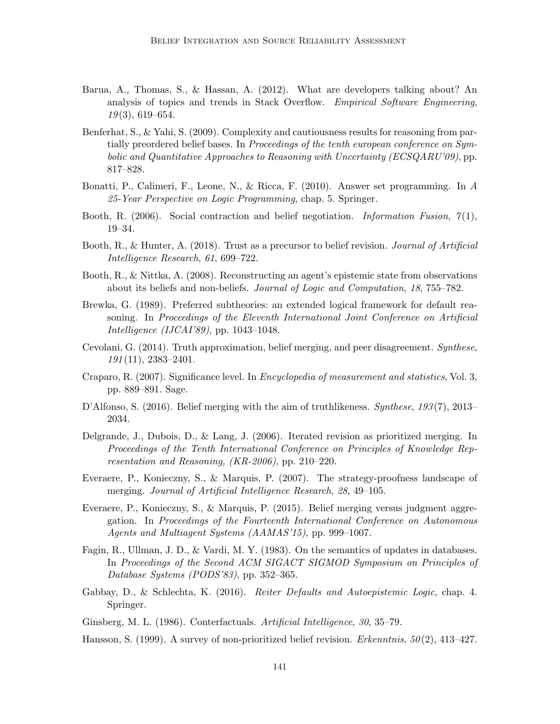- Barua, A., Thomas, S., & Hassan, A. (2012). What are developers talking about? An analysis of topics and trends in Stack Overflow. *Empirical Software Engineering*, *19* (3), 619–654.
- Benferhat, S., & Yahi, S. (2009). Complexity and cautiousness results for reasoning from partially preordered belief bases. In *Proceedings of the tenth european conference on Symbolic and Quantitative Approaches to Reasoning with Uncertainty (ECSQARU'09)*, pp. 817–828.
- Bonatti, P., Calimeri, F., Leone, N., & Ricca, F. (2010). Answer set programming. In *A 25-Year Perspective on Logic Programming*, chap. 5. Springer.
- Booth, R. (2006). Social contraction and belief negotiation. *Information Fusion*, *7* (1), 19–34.
- Booth, R., & Hunter, A. (2018). Trust as a precursor to belief revision. *Journal of Artificial Intelligence Research*, *61*, 699–722.
- Booth, R., & Nittka, A. (2008). Reconstructing an agent's epistemic state from observations about its beliefs and non-beliefs. *Journal of Logic and Computation*, *18*, 755–782.
- Brewka, G. (1989). Preferred subtheories: an extended logical framework for default reasoning. In *Proceedings of the Eleventh International Joint Conference on Artificial Intelligence (IJCAI'89)*, pp. 1043–1048.
- Cevolani, G. (2014). Truth approximation, belief merging, and peer disagreement. *Synthese*, *191* (11), 2383–2401.
- Craparo, R. (2007). Significance level. In *Encyclopedia of measurement and statistics*, Vol. 3, pp. 889–891. Sage.
- D'Alfonso, S. (2016). Belief merging with the aim of truthlikeness. *Synthese*, *193* (7), 2013– 2034.
- Delgrande, J., Dubois, D., & Lang, J. (2006). Iterated revision as prioritized merging. In *Proceedings of the Tenth International Conference on Principles of Knowledge Representation and Reasoning, (KR-2006)*, pp. 210–220.
- Everaere, P., Konieczny, S., & Marquis, P. (2007). The strategy-proofness landscape of merging. *Journal of Artificial Intelligence Research*, *28*, 49–105.
- Everaere, P., Konieczny, S., & Marquis, P. (2015). Belief merging versus judgment aggregation. In *Proceedings of the Fourteenth International Conference on Autonomous Agents and Multiagent Systems (AAMAS'15)*, pp. 999–1007.
- Fagin, R., Ullman, J. D., & Vardi, M. Y. (1983). On the semantics of updates in databases. In *Proceedings of the Second ACM SIGACT SIGMOD Symposium on Principles of Database Systems (PODS'83)*, pp. 352–365.
- Gabbay, D., & Schlechta, K. (2016). *Reiter Defaults and Autoepistemic Logic*, chap. 4. Springer.
- Ginsberg, M. L. (1986). Conterfactuals. *Artificial Intelligence*, *30*, 35–79.
- Hansson, S. (1999). A survey of non-prioritized belief revision. *Erkenntnis*, *50* (2), 413–427.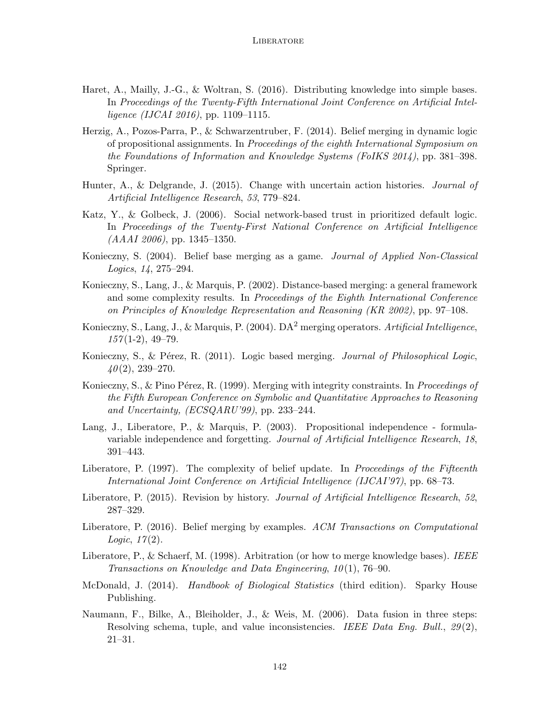- Haret, A., Mailly, J.-G., & Woltran, S. (2016). Distributing knowledge into simple bases. In *Proceedings of the Twenty-Fifth International Joint Conference on Artificial Intelligence (IJCAI 2016)*, pp. 1109–1115.
- Herzig, A., Pozos-Parra, P., & Schwarzentruber, F. (2014). Belief merging in dynamic logic of propositional assignments. In *Proceedings of the eighth International Symposium on the Foundations of Information and Knowledge Systems (FoIKS 2014)*, pp. 381–398. Springer.
- Hunter, A., & Delgrande, J. (2015). Change with uncertain action histories. *Journal of Artificial Intelligence Research*, *53*, 779–824.
- Katz, Y., & Golbeck, J. (2006). Social network-based trust in prioritized default logic. In *Proceedings of the Twenty-First National Conference on Artificial Intelligence (AAAI 2006)*, pp. 1345–1350.
- Konieczny, S. (2004). Belief base merging as a game. *Journal of Applied Non-Classical Logics*, *14*, 275–294.
- Konieczny, S., Lang, J., & Marquis, P. (2002). Distance-based merging: a general framework and some complexity results. In *Proceedings of the Eighth International Conference on Principles of Knowledge Representation and Reasoning (KR 2002)*, pp. 97–108.
- Konieczny, S., Lang, J., & Marquis, P. (2004). DA<sup>2</sup> merging operators. *Artificial Intelligence*, *157* (1-2), 49–79.
- Konieczny, S., & P´erez, R. (2011). Logic based merging. *Journal of Philosophical Logic*, *40* (2), 239–270.
- Konieczny, S., & Pino Pérez, R. (1999). Merging with integrity constraints. In *Proceedings of the Fifth European Conference on Symbolic and Quantitative Approaches to Reasoning and Uncertainty, (ECSQARU'99)*, pp. 233–244.
- Lang, J., Liberatore, P., & Marquis, P. (2003). Propositional independence formulavariable independence and forgetting. *Journal of Artificial Intelligence Research*, *18*, 391–443.
- Liberatore, P. (1997). The complexity of belief update. In *Proceedings of the Fifteenth International Joint Conference on Artificial Intelligence (IJCAI'97)*, pp. 68–73.
- Liberatore, P. (2015). Revision by history. *Journal of Artificial Intelligence Research*, *52*, 287–329.
- Liberatore, P. (2016). Belief merging by examples. *ACM Transactions on Computational Logic*, *17* (2).
- Liberatore, P., & Schaerf, M. (1998). Arbitration (or how to merge knowledge bases). *IEEE Transactions on Knowledge and Data Engineering*, *10* (1), 76–90.
- McDonald, J. (2014). *Handbook of Biological Statistics* (third edition). Sparky House Publishing.
- Naumann, F., Bilke, A., Bleiholder, J., & Weis, M. (2006). Data fusion in three steps: Resolving schema, tuple, and value inconsistencies. *IEEE Data Eng. Bull.*, *29* (2), 21–31.